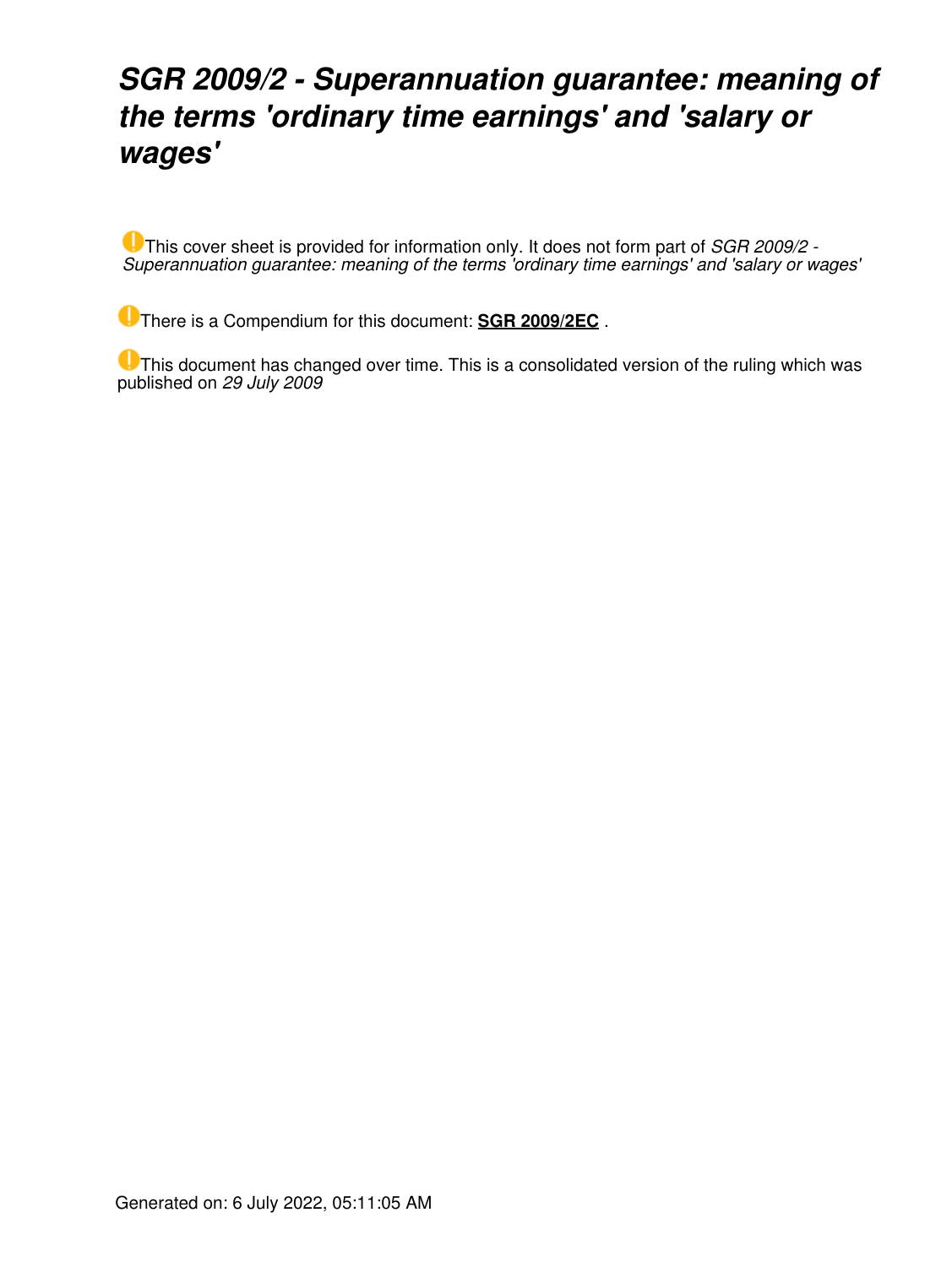### *SGR 2009/2 - Superannuation guarantee: meaning of the terms 'ordinary time earnings' and 'salary or wages'*

This cover sheet is provided for information only. It does not form part of *SGR 2009/2 - Superannuation guarantee: meaning of the terms 'ordinary time earnings' and 'salary or wages'*

There is a Compendium for this document: **[SGR 2009/2EC](https://www.ato.gov.au/law/view/document?LocID=%22CSR%2FSGR2009EC2%2FNAT%2FATO%2F00001%22&PiT=99991231235958)** .

**U** This document has changed over time. This is a consolidated version of the ruling which was published on *29 July 2009*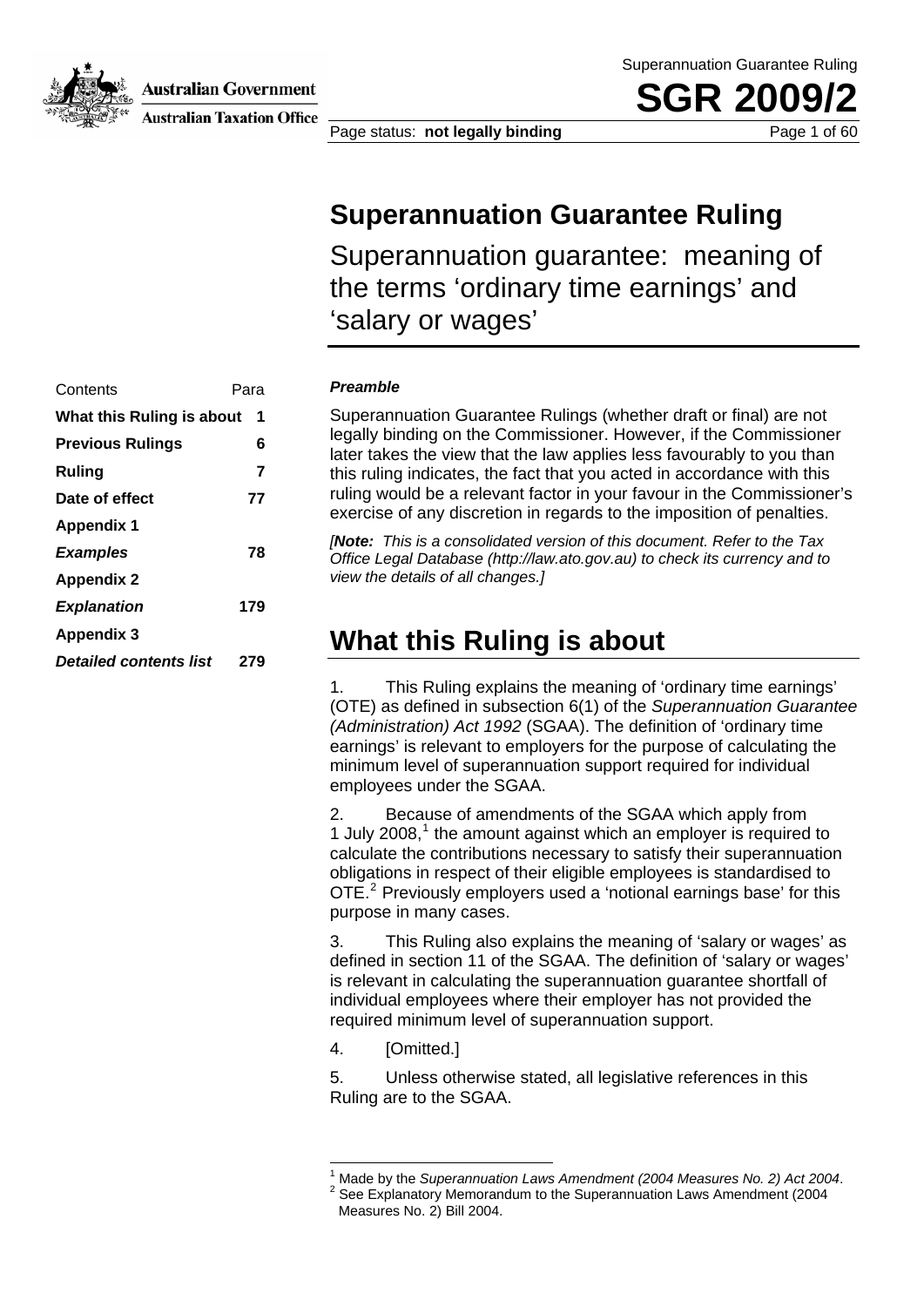**Australian Government** 



**Australian Taxation Office** 

Superannuation Guarantee Ruling

**SGR 20** 

Page status: **not legally binding** Page 1 of 60

#### **Superannuation Guarantee Ruling**

Superannuation guarantee: meaning of the terms 'ordinary time earnings' and 'salary or wages'

| Contents                      | Para |
|-------------------------------|------|
| What this Ruling is about     | 1    |
| <b>Previous Rulings</b>       | 6    |
| Ruling                        | 7    |
| Date of effect                | 77   |
| <b>Appendix 1</b>             |      |
| <b>Examples</b>               | 78   |
| <b>Appendix 2</b>             |      |
| <b>Explanation</b>            | 179  |
| <b>Appendix 3</b>             |      |
| <b>Detailed contents list</b> | 279  |
|                               |      |

#### **Preamble**

Superannuation Guarantee Rulings (whether draft or final) are not legally binding on the Commissioner. However, if the Commissioner later takes the view that the law applies less favourably to you than **Ruling** T **7** *Ruling Ruling Ruling Ruling Ruling Ruling Ruling Ruling Ruling Ruling Ruling* **<b>***Ruling Ruling Ruling Ruling Ruling* **<b>***Ruling Ruling Ruling* ruling would be a relevant factor in your favour in the Commissioner's exercise of any discretion in regards to the imposition of penalties.

*[ This is a consolidated version of this document. Refer to the Tax Note:* **Examples a** *greet time is a sensolidated voision of and securities in the case of the sequence of the sequence of the sequence of*  $\alpha$  *office Legal Database (http://law.ato.gov.au) to check its currency and to view the details of all changes.]* 

#### **What this Ruling is about**

1. This Ruling explains the meaning of 'ordinary time earnings' (OTE) as defined in subsection 6(1) of the *Superannuation Guarantee (Administration) Act 1992* (SGAA). The definition of 'ordinary time earnings' is relevant to employers for the purpose of calculating the minimum level of superannuation support required for individual employees under the SGAA.

2. Because of amendments of the SGAA which apply from 1 July  $2008$ ,<sup>1</sup> the amount against which an employer is required to calculate the contributions necessary to satisfy their superannuation obligations in respect of their eligible employees is standardised to OTE.<sup>2</sup> Previously employers used a 'notional earnings base' for this purpose in many cases.

3. This Ruling also explains the meaning of 'salary or wages' as defined in section 11 of the SGAA. The definition of 'salary or wages' is relevant in calculating the superannuation guarantee shortfall of individual employees where their employer has not provided the required minimum level of superannuation support.

4. [Omitted.]

1

5. Unless otherwise stated, all legislative references in this Ruling are to the SGAA.

<sup>1</sup> Made by the *Superannuation Laws Amendment (2004 Measures No. 2) Act 2004*. <sup>2</sup>

See Explanatory Memorandum to the Superannuation Laws Amendment (2004 Measures No. 2) Bill 2004.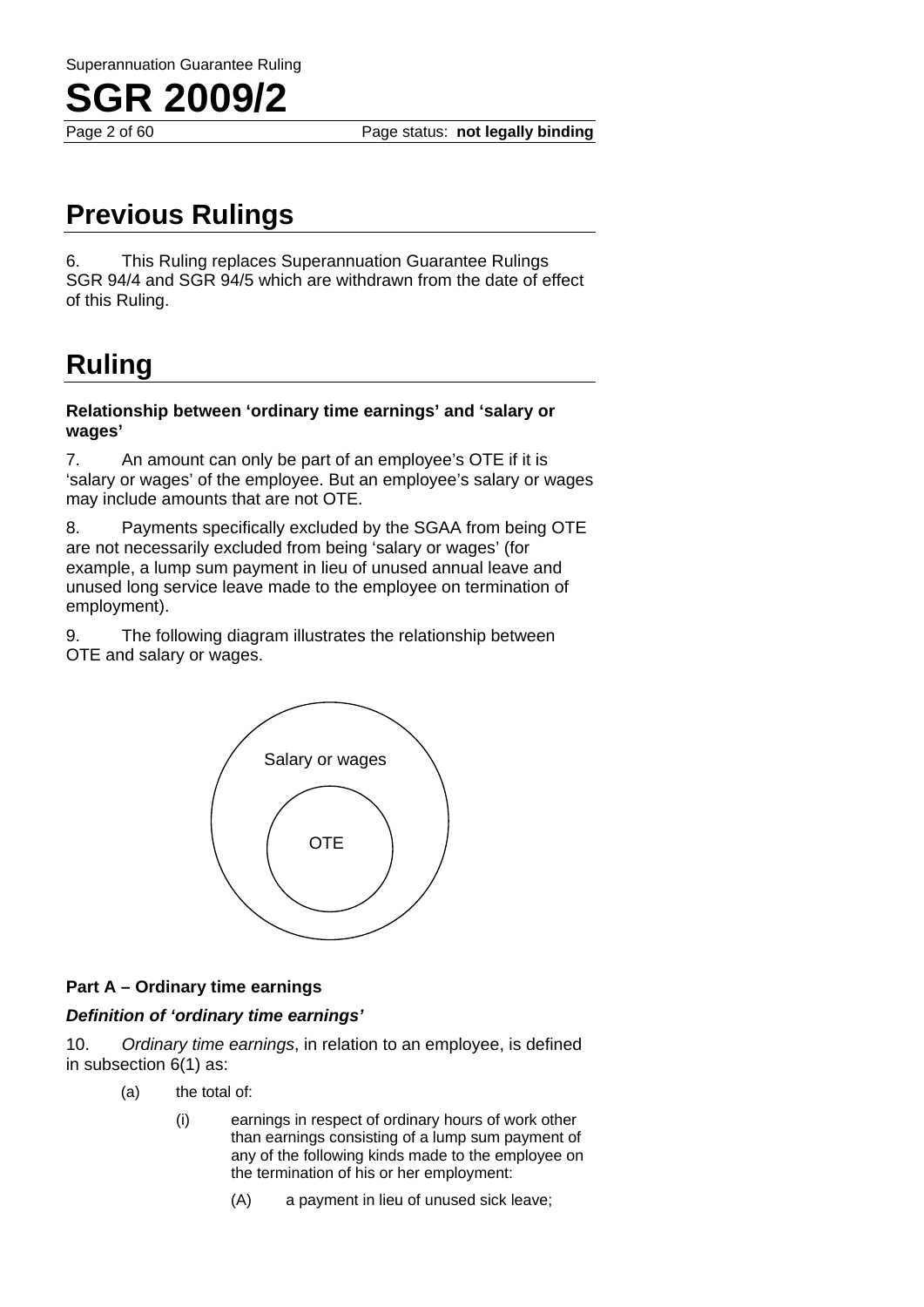

Page 2 of 60 Page status: **not legally binding**

### **Previous Rulings**

6. This Ruling replaces Superannuation Guarantee Rulings SGR 94/4 and SGR 94/5 which are withdrawn from the date of effect of this Ruling.

### **Ruling**

#### **Relationship between 'ordinary time earnings' and 'salary or wages'**

7. An amount can only be part of an employee's OTE if it is 'salary or wages' of the employee. But an employee's salary or wages may include amounts that are not OTE.

8. Payments specifically excluded by the SGAA from being OTE are not necessarily excluded from being 'salary or wages' (for example, a lump sum payment in lieu of unused annual leave and unused long service leave made to the employee on termination of employment).

9. The following diagram illustrates the relationship between OTE and salary or wages.



#### **Part A – Ordinary time earnings**

#### *Definition of 'ordinary time earnings'*

10. *Ordinary time earnings*, in relation to an employee, is defined in subsection 6(1) as:

- (a) the total of:
	- (i) earnings in respect of ordinary hours of work other than earnings consisting of a lump sum payment of any of the following kinds made to the employee on the termination of his or her employment:
		- (A) a payment in lieu of unused sick leave;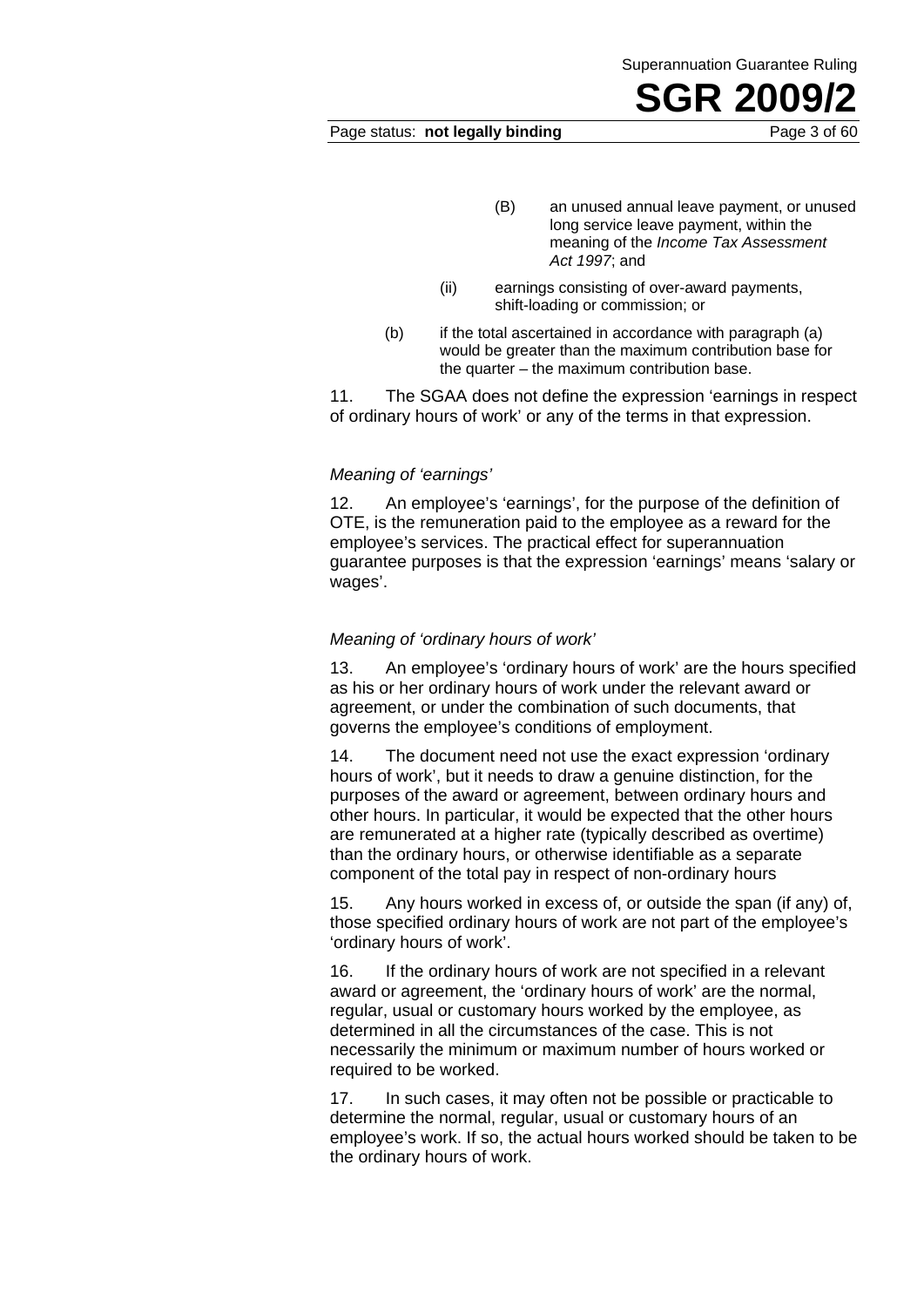#### Page status: **not legally binding** Page 3 of 60

- (B) an unused annual leave payment, or unused long service leave payment, within the meaning of the *Income Tax Assessment Act 1997*; and
- (ii) earnings consisting of over-award payments, shift-loading or commission; or
- (b) if the total ascertained in accordance with paragraph (a) would be greater than the maximum contribution base for the quarter – the maximum contribution base.

11. The SGAA does not define the expression 'earnings in respect of ordinary hours of work' or any of the terms in that expression.

#### *Meaning of 'earnings'*

12. An employee's 'earnings', for the purpose of the definition of OTE, is the remuneration paid to the employee as a reward for the employee's services. The practical effect for superannuation guarantee purposes is that the expression 'earnings' means 'salary or wages'.

#### *Meaning of 'ordinary hours of work'*

13. An employee's 'ordinary hours of work' are the hours specified as his or her ordinary hours of work under the relevant award or agreement, or under the combination of such documents, that governs the employee's conditions of employment.

14. The document need not use the exact expression 'ordinary hours of work', but it needs to draw a genuine distinction, for the purposes of the award or agreement, between ordinary hours and other hours. In particular, it would be expected that the other hours are remunerated at a higher rate (typically described as overtime) than the ordinary hours, or otherwise identifiable as a separate component of the total pay in respect of non-ordinary hours

15. Any hours worked in excess of, or outside the span (if any) of, those specified ordinary hours of work are not part of the employee's 'ordinary hours of work'.

16. If the ordinary hours of work are not specified in a relevant award or agreement, the 'ordinary hours of work' are the normal, regular, usual or customary hours worked by the employee, as determined in all the circumstances of the case. This is not necessarily the minimum or maximum number of hours worked or required to be worked.

17. In such cases, it may often not be possible or practicable to determine the normal, regular, usual or customary hours of an employee's work. If so, the actual hours worked should be taken to be the ordinary hours of work.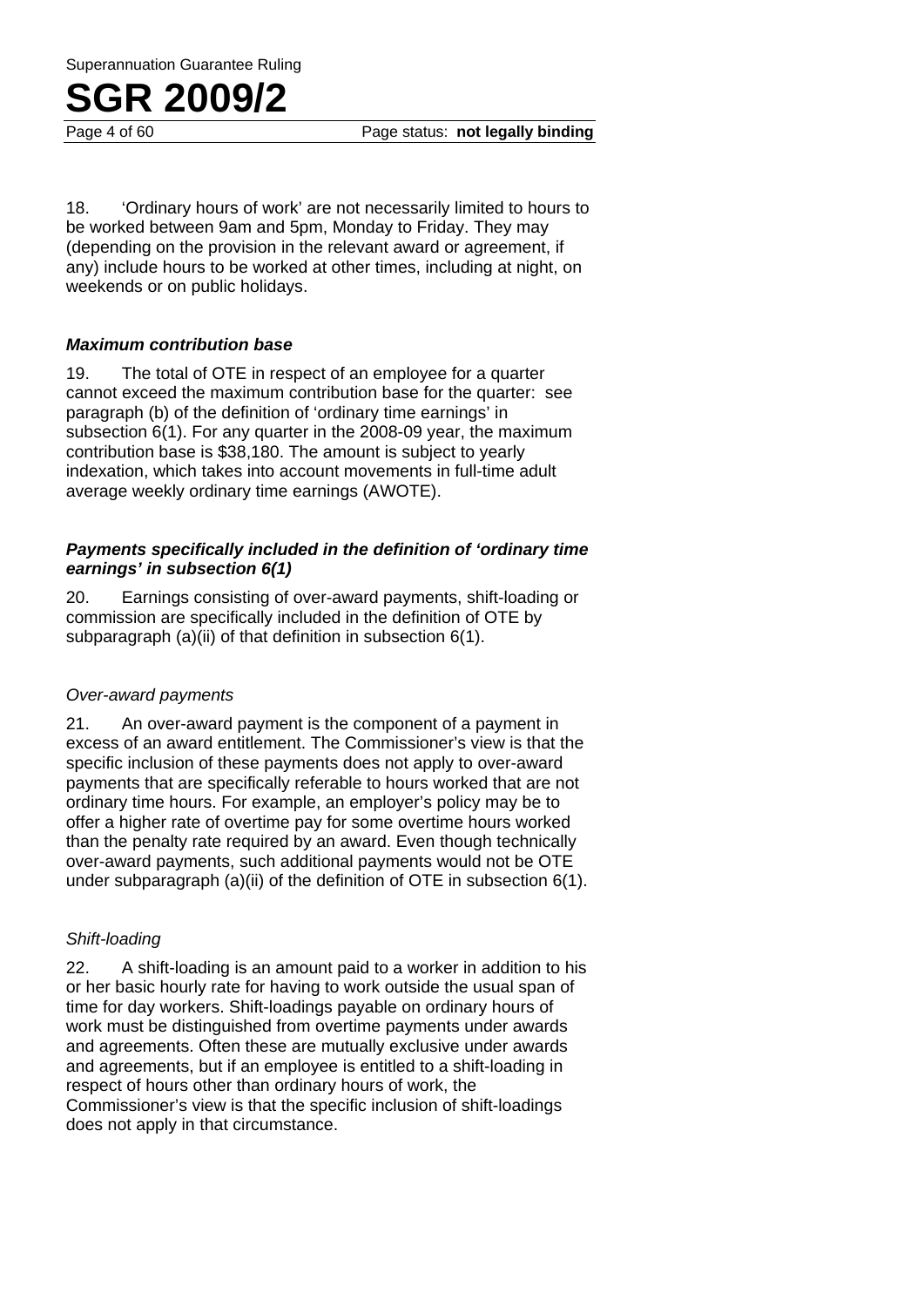Page 4 of 60 Page status: **not legally binding**

18. 'Ordinary hours of work' are not necessarily limited to hours to be worked between 9am and 5pm, Monday to Friday. They may (depending on the provision in the relevant award or agreement, if any) include hours to be worked at other times, including at night, on weekends or on public holidays.

#### *Maximum contribution base*

19. The total of OTE in respect of an employee for a quarter cannot exceed the maximum contribution base for the quarter: see paragraph (b) of the definition of 'ordinary time earnings' in subsection 6(1). For any quarter in the 2008-09 year, the maximum contribution base is \$38,180. The amount is subject to yearly indexation, which takes into account movements in full-time adult average weekly ordinary time earnings (AWOTE).

#### *Payments specifically included in the definition of 'ordinary time earnings' in subsection 6(1)*

20. Earnings consisting of over-award payments, shift-loading or commission are specifically included in the definition of OTE by subparagraph (a)(ii) of that definition in subsection 6(1).

#### *Over-award payments*

21. An over-award payment is the component of a payment in excess of an award entitlement. The Commissioner's view is that the specific inclusion of these payments does not apply to over-award payments that are specifically referable to hours worked that are not ordinary time hours. For example, an employer's policy may be to offer a higher rate of overtime pay for some overtime hours worked than the penalty rate required by an award. Even though technically over-award payments, such additional payments would not be OTE under subparagraph (a)(ii) of the definition of OTE in subsection 6(1).

#### *Shift-loading*

22. A shift-loading is an amount paid to a worker in addition to his or her basic hourly rate for having to work outside the usual span of time for day workers. Shift-loadings payable on ordinary hours of work must be distinguished from overtime payments under awards and agreements. Often these are mutually exclusive under awards and agreements, but if an employee is entitled to a shift-loading in respect of hours other than ordinary hours of work, the Commissioner's view is that the specific inclusion of shift-loadings does not apply in that circumstance.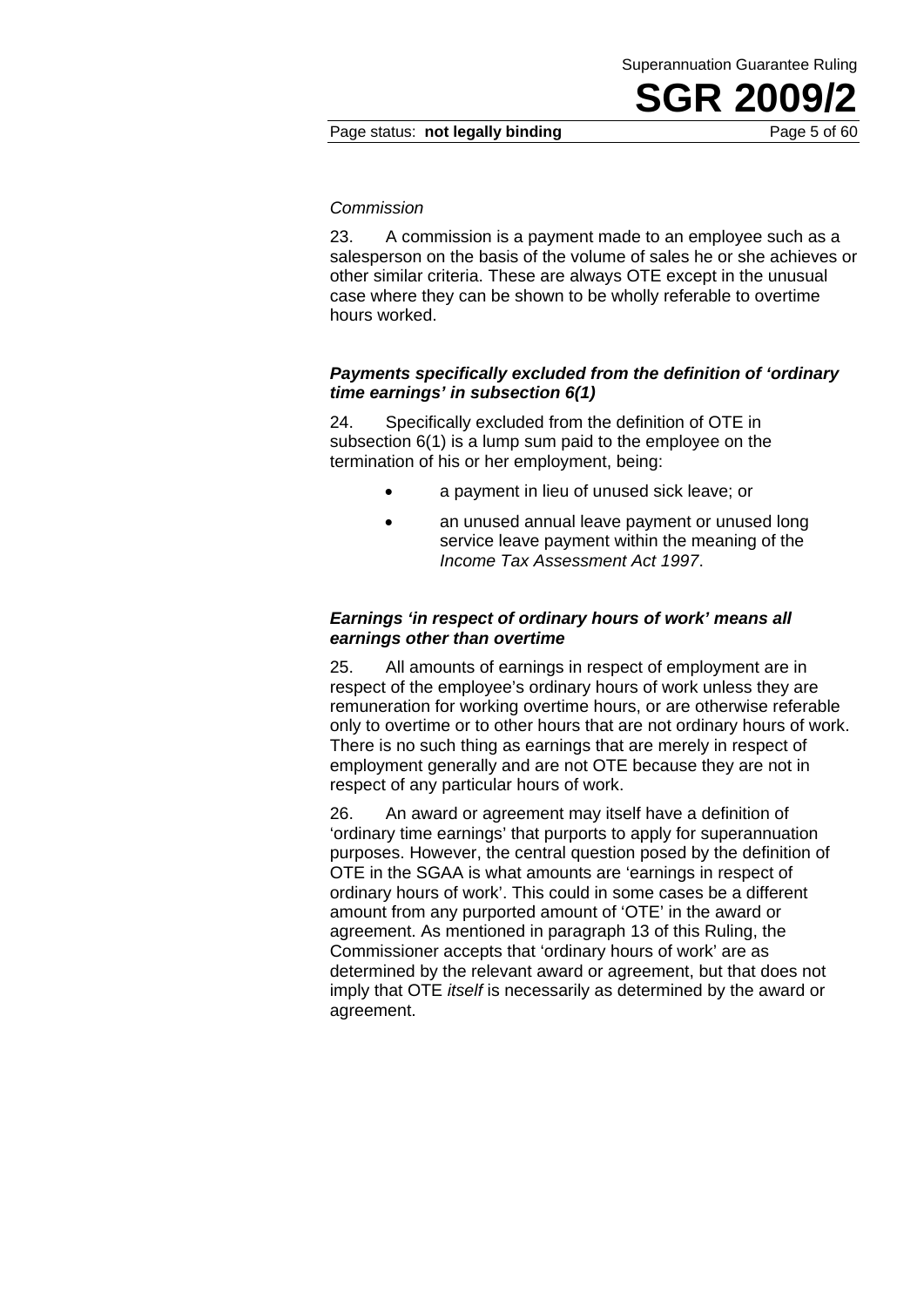#### Page status: **not legally binding** Page 5 of 60

#### *Commission*

23. A commission is a payment made to an employee such as a salesperson on the basis of the volume of sales he or she achieves or other similar criteria. These are always OTE except in the unusual case where they can be shown to be wholly referable to overtime hours worked.

#### *Payments specifically excluded from the definition of 'ordinary time earnings' in subsection 6(1)*

24. Specifically excluded from the definition of OTE in subsection 6(1) is a lump sum paid to the employee on the termination of his or her employment, being:

- a payment in lieu of unused sick leave; or
- an unused annual leave payment or unused long service leave payment within the meaning of the *Income Tax Assessment Act 1997*.

#### *Earnings 'in respect of ordinary hours of work' means all earnings other than overtime*

25. All amounts of earnings in respect of employment are in respect of the employee's ordinary hours of work unless they are remuneration for working overtime hours, or are otherwise referable only to overtime or to other hours that are not ordinary hours of work. There is no such thing as earnings that are merely in respect of employment generally and are not OTE because they are not in respect of any particular hours of work.

26. An award or agreement may itself have a definition of 'ordinary time earnings' that purports to apply for superannuation purposes. However, the central question posed by the definition of OTE in the SGAA is what amounts are 'earnings in respect of ordinary hours of work'. This could in some cases be a different amount from any purported amount of 'OTE' in the award or agreement. As mentioned in paragraph 13 of this Ruling, the Commissioner accepts that 'ordinary hours of work' are as determined by the relevant award or agreement, but that does not imply that OTE *itself* is necessarily as determined by the award or agreement.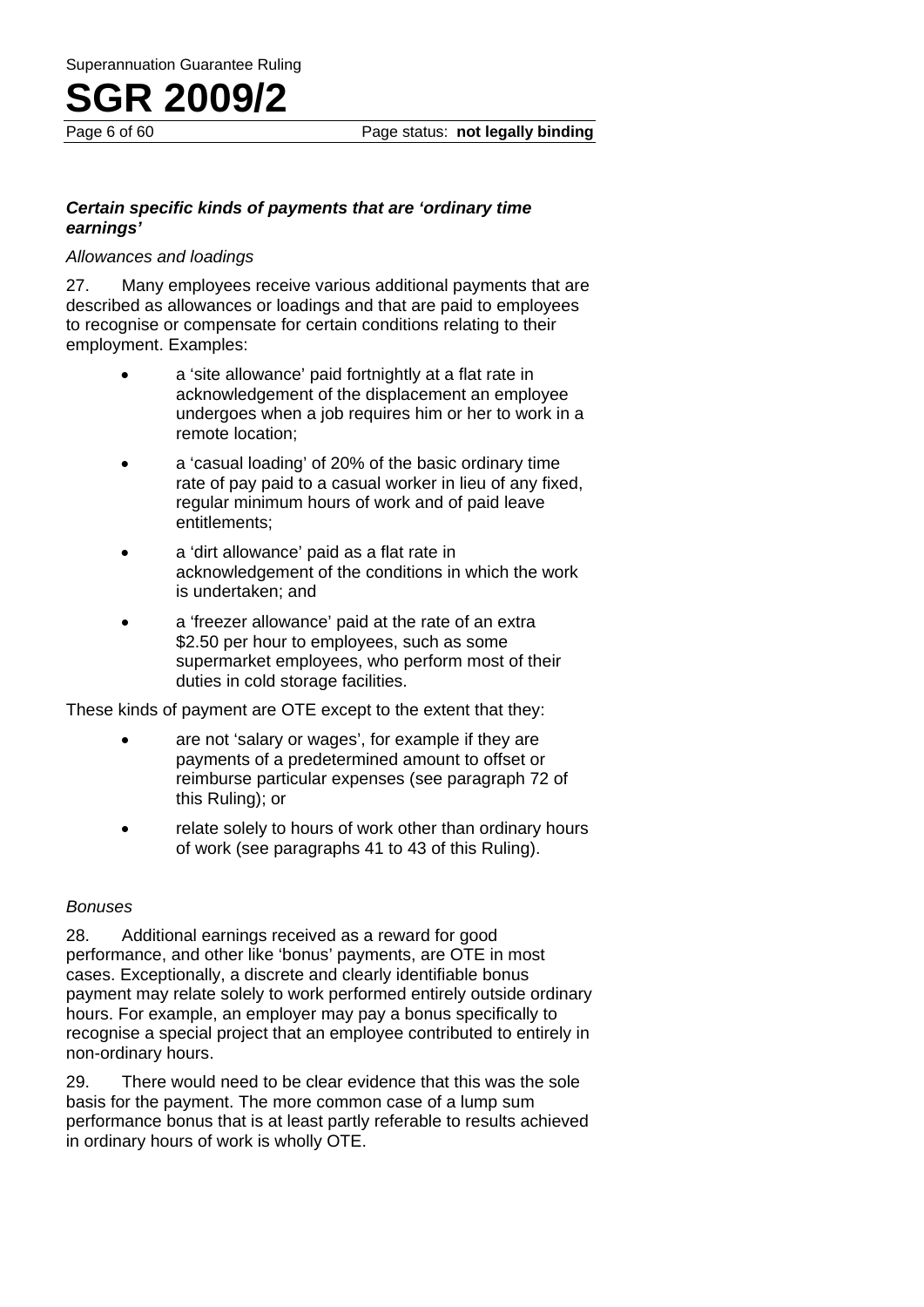#### *Certain specific kinds of payments that are 'ordinary time earnings'*

#### *Allowances and loadings*

27. Many employees receive various additional payments that are described as allowances or loadings and that are paid to employees to recognise or compensate for certain conditions relating to their employment. Examples:

- a 'site allowance' paid fortnightly at a flat rate in acknowledgement of the displacement an employee undergoes when a job requires him or her to work in a remote location;
- a 'casual loading' of 20% of the basic ordinary time rate of pay paid to a casual worker in lieu of any fixed, regular minimum hours of work and of paid leave entitlements;
- a 'dirt allowance' paid as a flat rate in acknowledgement of the conditions in which the work is undertaken; and
- a 'freezer allowance' paid at the rate of an extra \$2.50 per hour to employees, such as some supermarket employees, who perform most of their duties in cold storage facilities.

These kinds of payment are OTE except to the extent that they:

- are not 'salary or wages', for example if they are payments of a predetermined amount to offset or reimburse particular expenses (see paragraph 72 of this Ruling); or
- relate solely to hours of work other than ordinary hours of work (see paragraphs 41 to 43 of this Ruling).

#### *Bonuses*

28. Additional earnings received as a reward for good performance, and other like 'bonus' payments, are OTE in most cases. Exceptionally, a discrete and clearly identifiable bonus payment may relate solely to work performed entirely outside ordinary hours. For example, an employer may pay a bonus specifically to recognise a special project that an employee contributed to entirely in non-ordinary hours.

29. There would need to be clear evidence that this was the sole basis for the payment. The more common case of a lump sum performance bonus that is at least partly referable to results achieved in ordinary hours of work is wholly OTE.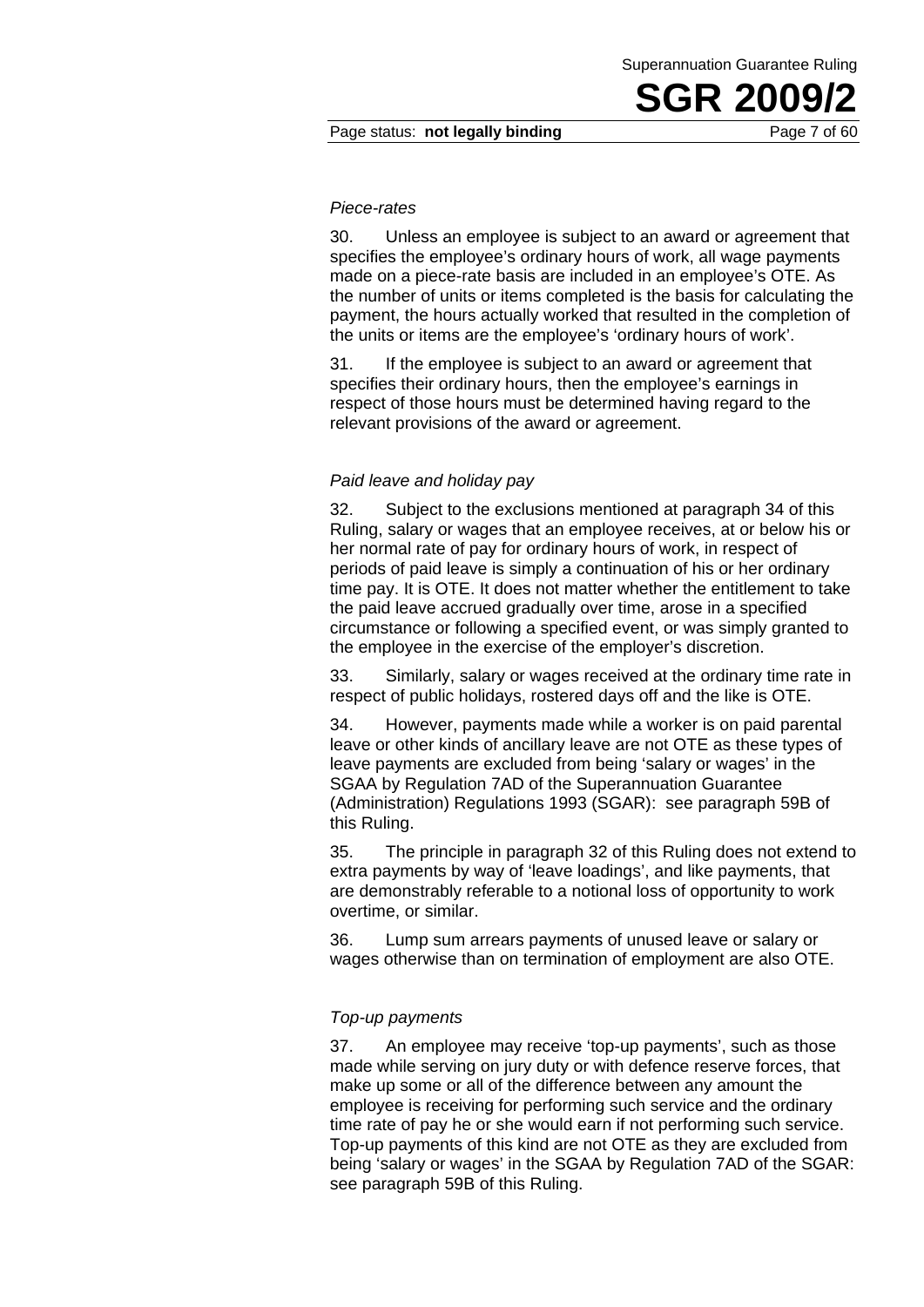#### Page status: **not legally binding** Page 7 of 60

#### *Piece-rates*

30. Unless an employee is subject to an award or agreement that specifies the employee's ordinary hours of work, all wage payments made on a piece-rate basis are included in an employee's OTE. As the number of units or items completed is the basis for calculating the payment, the hours actually worked that resulted in the completion of the units or items are the employee's 'ordinary hours of work'.

31. If the employee is subject to an award or agreement that specifies their ordinary hours, then the employee's earnings in respect of those hours must be determined having regard to the relevant provisions of the award or agreement.

#### *Paid leave and holiday pay*

32. Subject to the exclusions mentioned at paragraph 34 of this Ruling, salary or wages that an employee receives, at or below his or her normal rate of pay for ordinary hours of work, in respect of periods of paid leave is simply a continuation of his or her ordinary time pay. It is OTE. It does not matter whether the entitlement to take the paid leave accrued gradually over time, arose in a specified circumstance or following a specified event, or was simply granted to the employee in the exercise of the employer's discretion.

33. Similarly, salary or wages received at the ordinary time rate in respect of public holidays, rostered days off and the like is OTE.

34. However, payments made while a worker is on paid parental leave or other kinds of ancillary leave are not OTE as these types of leave payments are excluded from being 'salary or wages' in the SGAA by Regulation 7AD of the Superannuation Guarantee (Administration) Regulations 1993 (SGAR): see paragraph 59B of this Ruling.

35. The principle in paragraph 32 of this Ruling does not extend to extra payments by way of 'leave loadings', and like payments, that are demonstrably referable to a notional loss of opportunity to work overtime, or similar.

36. Lump sum arrears payments of unused leave or salary or wages otherwise than on termination of employment are also OTE.

#### *Top-up payments*

37. An employee may receive 'top-up payments', such as those made while serving on jury duty or with defence reserve forces, that make up some or all of the difference between any amount the employee is receiving for performing such service and the ordinary time rate of pay he or she would earn if not performing such service. Top-up payments of this kind are not OTE as they are excluded from being 'salary or wages' in the SGAA by Regulation 7AD of the SGAR: see paragraph 59B of this Ruling.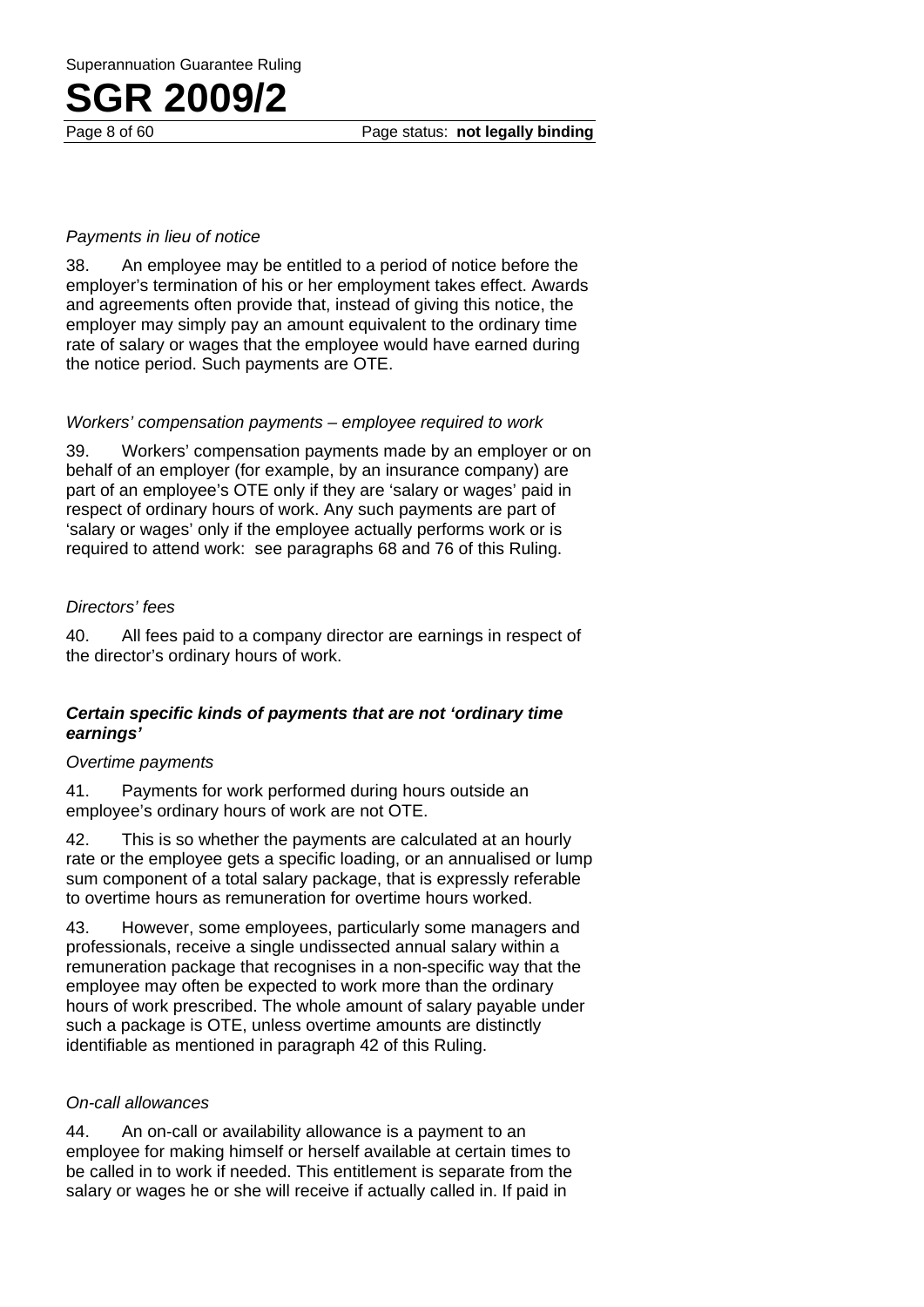Page 8 of 60 Page status: **not legally binding**

#### *Payments in lieu of notice*

38. An employee may be entitled to a period of notice before the employer's termination of his or her employment takes effect. Awards and agreements often provide that, instead of giving this notice, the employer may simply pay an amount equivalent to the ordinary time rate of salary or wages that the employee would have earned during the notice period. Such payments are OTE.

#### *Workers' compensation payments – employee required to work*

39. Workers' compensation payments made by an employer or on behalf of an employer (for example, by an insurance company) are part of an employee's OTE only if they are 'salary or wages' paid in respect of ordinary hours of work. Any such payments are part of 'salary or wages' only if the employee actually performs work or is required to attend work: see paragraphs 68 and 76 of this Ruling.

#### *Directors' fees*

40. All fees paid to a company director are earnings in respect of the director's ordinary hours of work.

#### *Certain specific kinds of payments that are not 'ordinary time earnings'*

#### *Overtime payments*

41. Payments for work performed during hours outside an employee's ordinary hours of work are not OTE.

42. This is so whether the payments are calculated at an hourly rate or the employee gets a specific loading, or an annualised or lump sum component of a total salary package, that is expressly referable to overtime hours as remuneration for overtime hours worked.

43. However, some employees, particularly some managers and professionals, receive a single undissected annual salary within a remuneration package that recognises in a non-specific way that the employee may often be expected to work more than the ordinary hours of work prescribed. The whole amount of salary payable under such a package is OTE, unless overtime amounts are distinctly identifiable as mentioned in paragraph 42 of this Ruling.

#### *On-call allowances*

44. An on-call or availability allowance is a payment to an employee for making himself or herself available at certain times to be called in to work if needed. This entitlement is separate from the salary or wages he or she will receive if actually called in. If paid in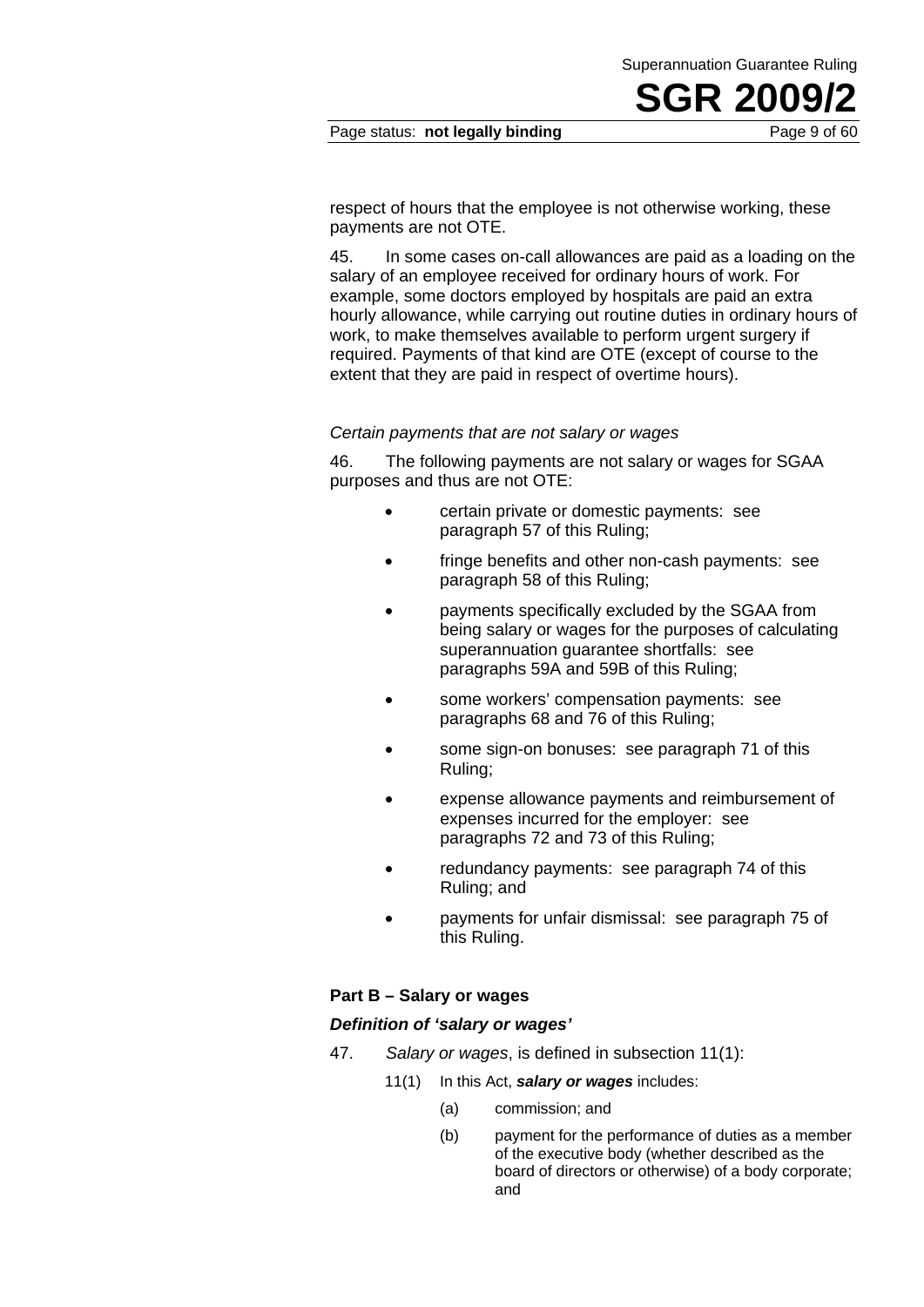#### Page status: **not legally binding** Page 9 of 60

respect of hours that the employee is not otherwise working, these payments are not OTE.

45. In some cases on-call allowances are paid as a loading on the salary of an employee received for ordinary hours of work. For example, some doctors employed by hospitals are paid an extra hourly allowance, while carrying out routine duties in ordinary hours of work, to make themselves available to perform urgent surgery if required. Payments of that kind are OTE (except of course to the extent that they are paid in respect of overtime hours).

#### *Certain payments that are not salary or wages*

46. The following payments are not salary or wages for SGAA purposes and thus are not OTE:

- certain private or domestic payments: see paragraph 57 of this Ruling;
- fringe benefits and other non-cash payments: see paragraph 58 of this Ruling;
- payments specifically excluded by the SGAA from being salary or wages for the purposes of calculating superannuation guarantee shortfalls: see paragraphs 59A and 59B of this Ruling;
- some workers' compensation payments: see paragraphs 68 and 76 of this Ruling;
- some sign-on bonuses: see paragraph 71 of this Ruling;
- expense allowance payments and reimbursement of expenses incurred for the employer: see paragraphs 72 and 73 of this Ruling;
- redundancy payments: see paragraph 74 of this Ruling; and
- payments for unfair dismissal: see paragraph 75 of this Ruling.

#### **Part B – Salary or wages**

#### *Definition of 'salary or wages'*

- 47. *Salary or wages*, is defined in subsection 11(1):
	- 11(1) In this Act, *salary or wages* includes:
		- (a) commission; and
		- (b) payment for the performance of duties as a member of the executive body (whether described as the board of directors or otherwise) of a body corporate; and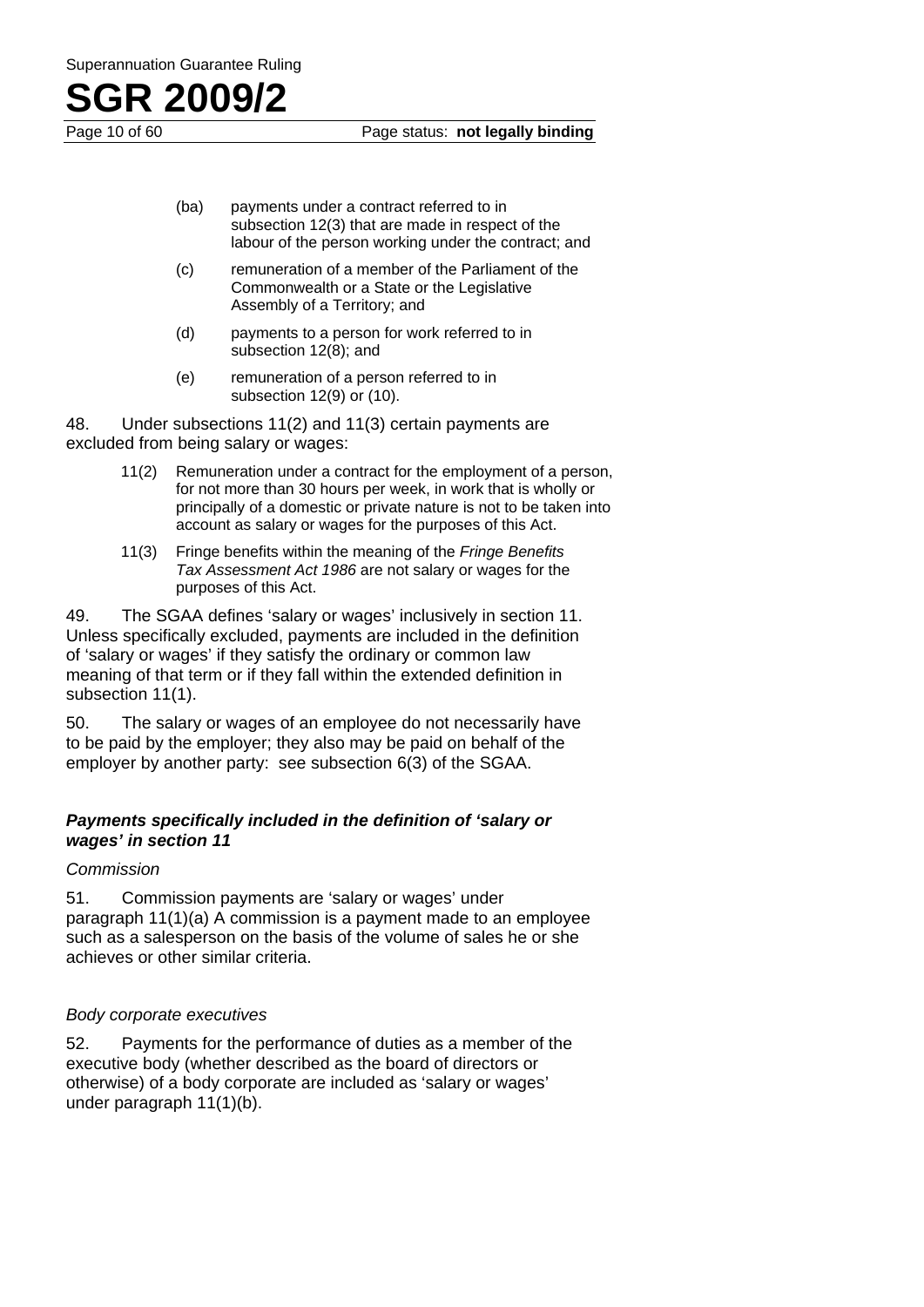

Page 10 of 60 Page status: **not legally binding**

- (ba) payments under a contract referred to in subsection 12(3) that are made in respect of the labour of the person working under the contract; and
- (c) remuneration of a member of the Parliament of the Commonwealth or a State or the Legislative Assembly of a Territory; and
- (d) payments to a person for work referred to in subsection 12(8); and
- (e) remuneration of a person referred to in subsection 12(9) or (10).

48. Under subsections 11(2) and 11(3) certain payments are excluded from being salary or wages:

- 11(2) Remuneration under a contract for the employment of a person, for not more than 30 hours per week, in work that is wholly or principally of a domestic or private nature is not to be taken into account as salary or wages for the purposes of this Act.
- 11(3) Fringe benefits within the meaning of the *Fringe Benefits Tax Assessment Act 1986* are not salary or wages for the purposes of this Act.

49. The SGAA defines 'salary or wages' inclusively in section 11. Unless specifically excluded, payments are included in the definition of 'salary or wages' if they satisfy the ordinary or common law meaning of that term or if they fall within the extended definition in subsection 11(1).

50. The salary or wages of an employee do not necessarily have to be paid by the employer; they also may be paid on behalf of the employer by another party: see subsection 6(3) of the SGAA.

#### *Payments specifically included in the definition of 'salary or wages' in section 11*

#### *Commission*

51. Commission payments are 'salary or wages' under paragraph 11(1)(a) A commission is a payment made to an employee such as a salesperson on the basis of the volume of sales he or she achieves or other similar criteria.

#### *Body corporate executives*

52. Payments for the performance of duties as a member of the executive body (whether described as the board of directors or otherwise) of a body corporate are included as 'salary or wages' under paragraph 11(1)(b).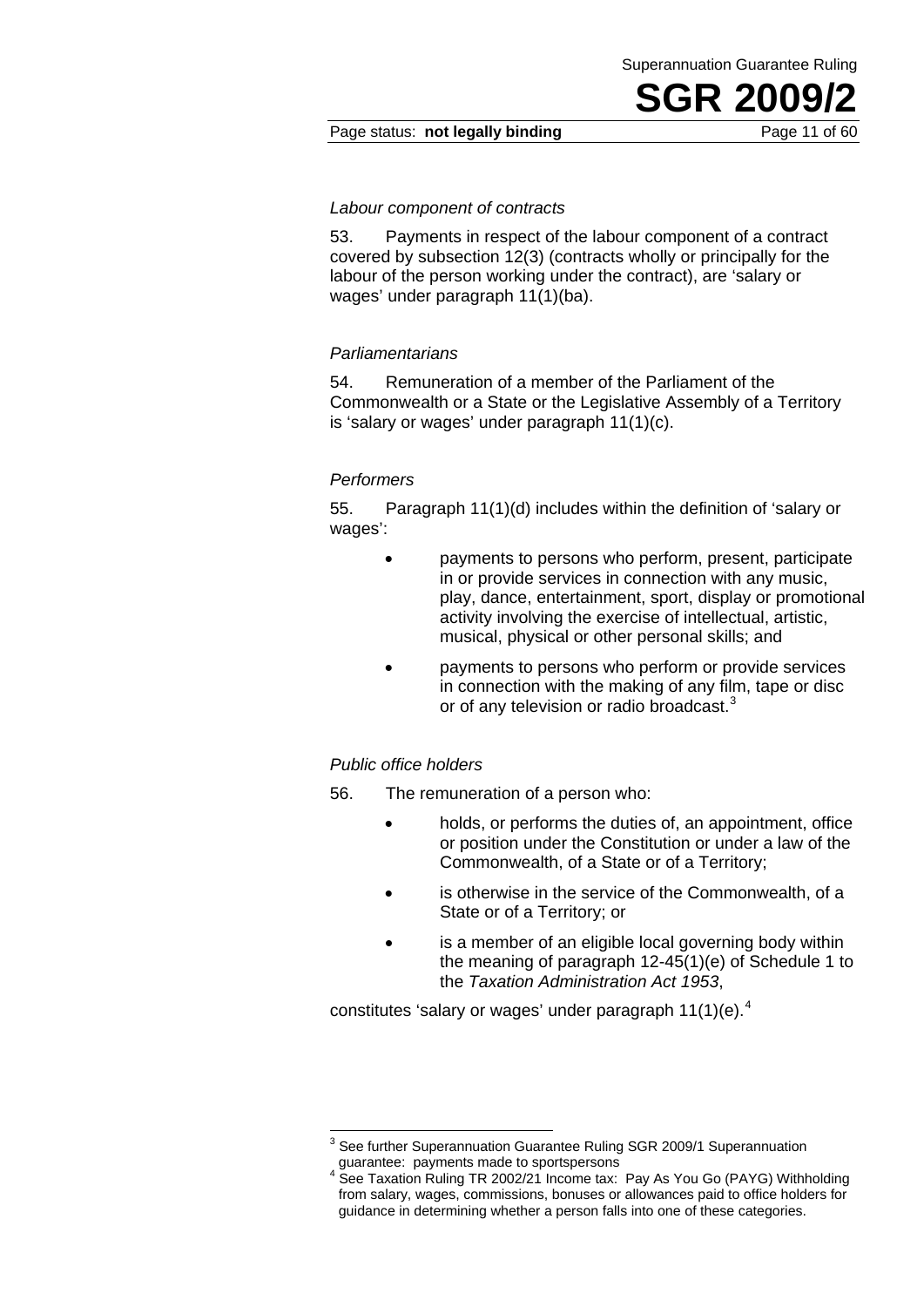#### Page status: **not legally binding** Page 11 of 60

#### *Labour component of contracts*

53. Payments in respect of the labour component of a contract covered by subsection 12(3) (contracts wholly or principally for the labour of the person working under the contract), are 'salary or wages' under paragraph 11(1)(ba).

#### *Parliamentarians*

54. Remuneration of a member of the Parliament of the Commonwealth or a State or the Legislative Assembly of a Territory is 'salary or wages' under paragraph 11(1)(c).

#### *Performers*

55. Paragraph 11(1)(d) includes within the definition of 'salary or wages':

- payments to persons who perform, present, participate in or provide services in connection with any music, play, dance, entertainment, sport, display or promotional activity involving the exercise of intellectual, artistic, musical, physical or other personal skills; and
- payments to persons who perform or provide services in connection with the making of any film, tape or disc or of any television or radio broadcast. $3$

#### *Public office holders*

56. The remuneration of a person who:

- holds, or performs the duties of, an appointment, office or position under the Constitution or under a law of the Commonwealth, of a State or of a Territory;
- is otherwise in the service of the Commonwealth, of a State or of a Territory; or
- is a member of an eligible local governing body within the meaning of paragraph 12-45(1)(e) of Schedule 1 to the *Taxation Administration Act 1953*,

constitutes 'salary or wages' under paragraph  $11(1)(e)^4$ .

 3 See further Superannuation Guarantee Ruling SGR 2009/1 Superannuation guarantee: payments made to sportspersons

<sup>&</sup>lt;sup>4</sup> See Taxation Ruling TR 2002/21 Income tax: Pay As You Go (PAYG) Withholding from salary, wages, commissions, bonuses or allowances paid to office holders for guidance in determining whether a person falls into one of these categories.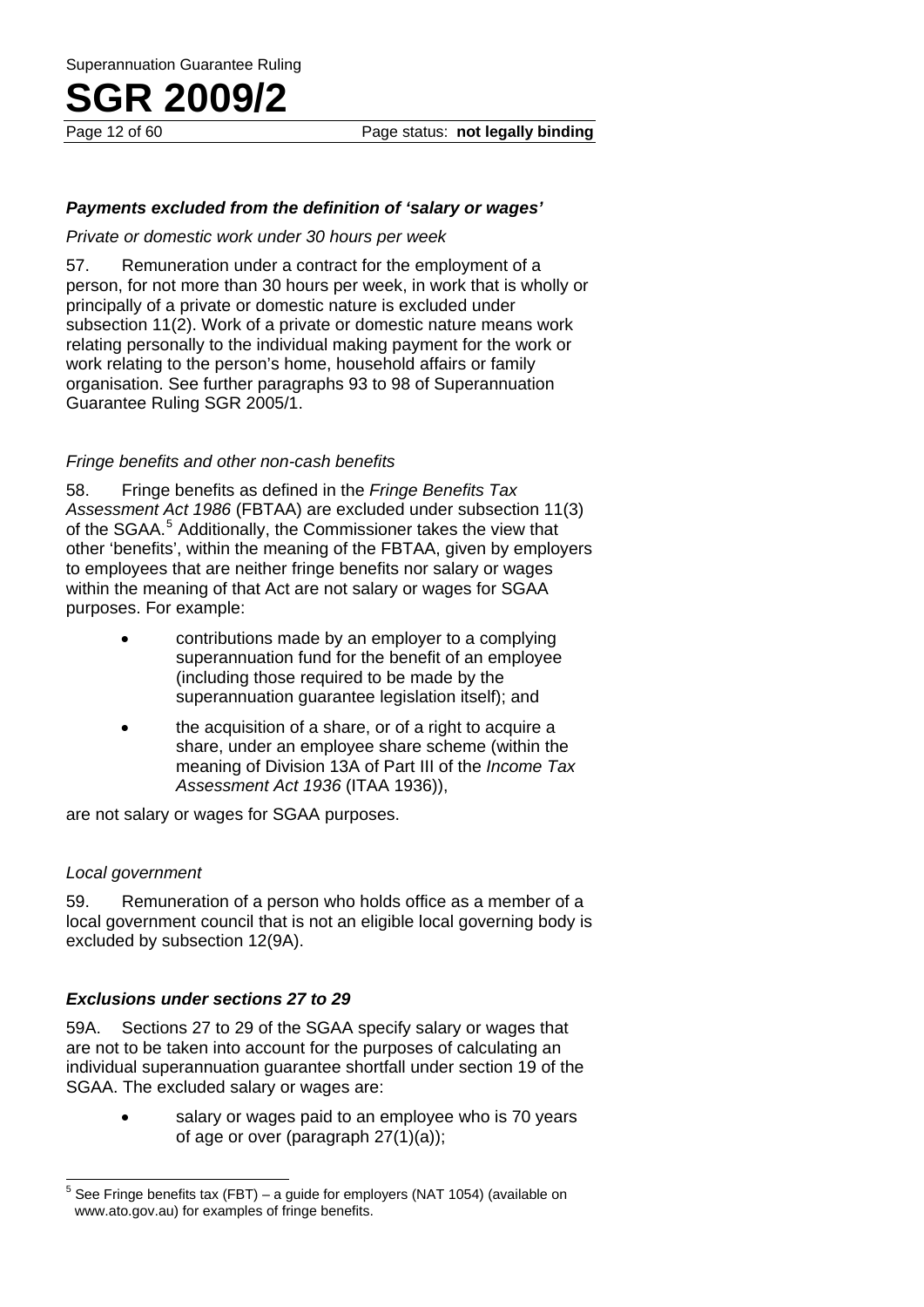#### *Payments excluded from the definition of 'salary or wages'*

#### *Private or domestic work under 30 hours per week*

57. Remuneration under a contract for the employment of a person, for not more than 30 hours per week, in work that is wholly or principally of a private or domestic nature is excluded under subsection 11(2). Work of a private or domestic nature means work relating personally to the individual making payment for the work or work relating to the person's home, household affairs or family organisation. See further paragraphs 93 to 98 of Superannuation Guarantee Ruling SGR 2005/1.

#### *Fringe benefits and other non-cash benefits*

58. Fringe benefits as defined in the *Fringe Benefits Tax Assessment Act 1986* (FBTAA) are excluded under subsection 11(3) of the SGAA.<sup>5</sup> Additionally, the Commissioner takes the view that other 'benefits', within the meaning of the FBTAA, given by employers to employees that are neither fringe benefits nor salary or wages within the meaning of that Act are not salary or wages for SGAA purposes. For example:

- contributions made by an employer to a complying superannuation fund for the benefit of an employee (including those required to be made by the superannuation guarantee legislation itself); and
- the acquisition of a share, or of a right to acquire a share, under an employee share scheme (within the meaning of Division 13A of Part III of the *Income Tax Assessment Act 1936* (ITAA 1936)),

are not salary or wages for SGAA purposes.

#### *Local government*

59. Remuneration of a person who holds office as a member of a local government council that is not an eligible local governing body is excluded by subsection 12(9A).

#### *Exclusions under sections 27 to 29*

59A. Sections 27 to 29 of the SGAA specify salary or wages that are not to be taken into account for the purposes of calculating an individual superannuation guarantee shortfall under section 19 of the SGAA. The excluded salary or wages are:

> salary or wages paid to an employee who is 70 years of age or over (paragraph 27(1)(a));

 5 See Fringe benefits tax (FBT) – a guide for employers (NAT 1054) (available on www.ato.gov.au) for examples of fringe benefits.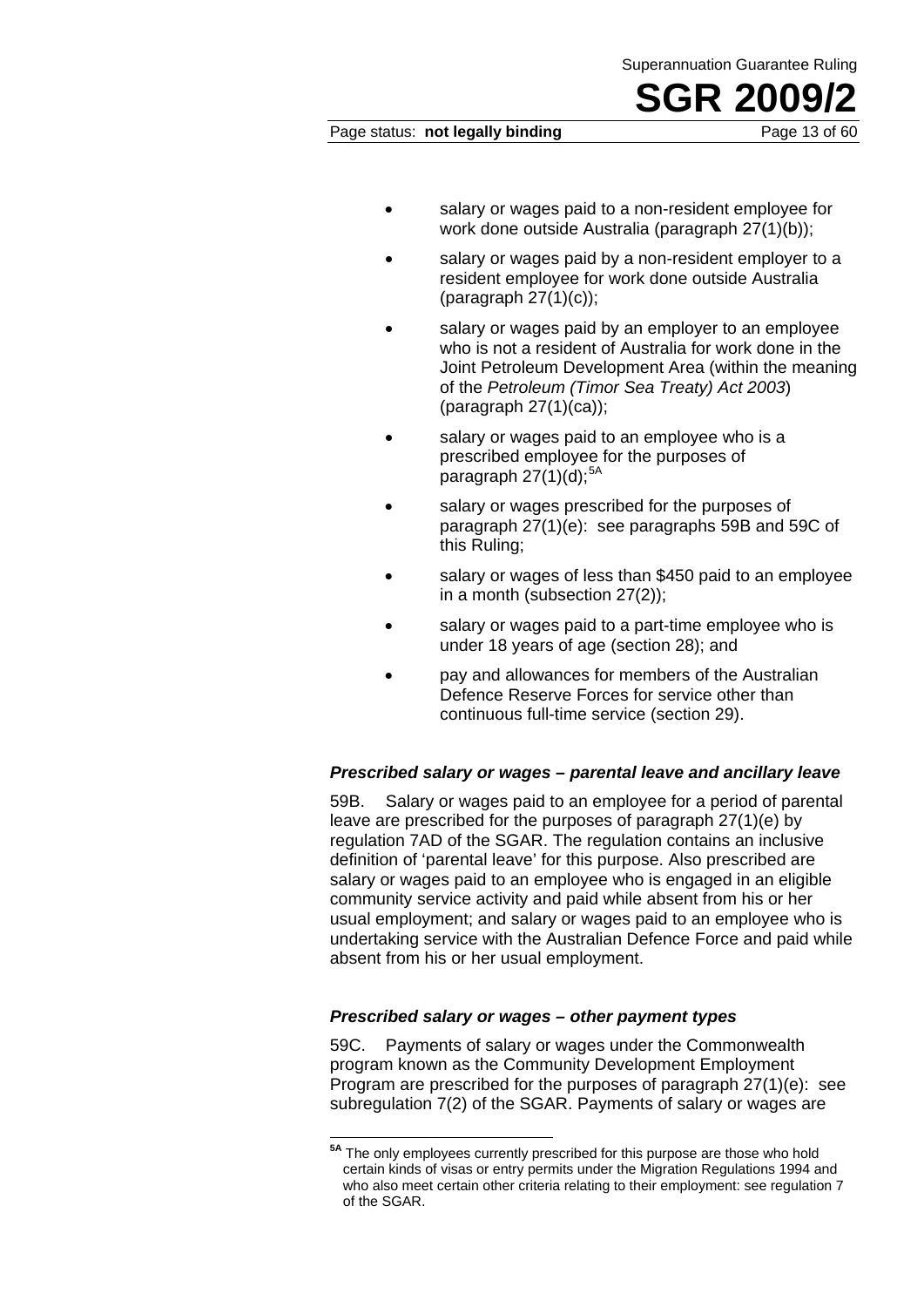#### Page status: **not legally binding** Page 13 of 60

- salary or wages paid to a non-resident employee for work done outside Australia (paragraph 27(1)(b));
- salary or wages paid by a non-resident employer to a resident employee for work done outside Australia (paragraph  $27(1)(c)$ );
- salary or wages paid by an employer to an employee who is not a resident of Australia for work done in the Joint Petroleum Development Area (within the meaning of the *Petroleum (Timor Sea Treaty) Act 2003*) (paragraph 27(1)(ca));
- salary or wages paid to an employee who is a prescribed employee for the purposes of paragraph  $27(1)(d)$ ;<sup>5A</sup>
- salary or wages prescribed for the purposes of paragraph 27(1)(e): see paragraphs 59B and 59C of this Ruling;
- salary or wages of less than \$450 paid to an employee in a month (subsection 27(2));
- salary or wages paid to a part-time employee who is under 18 years of age (section 28); and
- pay and allowances for members of the Australian Defence Reserve Forces for service other than continuous full-time service (section 29).

#### *Prescribed salary or wages – parental leave and ancillary leave*

59B. Salary or wages paid to an employee for a period of parental leave are prescribed for the purposes of paragraph 27(1)(e) by regulation 7AD of the SGAR. The regulation contains an inclusive definition of 'parental leave' for this purpose. Also prescribed are salary or wages paid to an employee who is engaged in an eligible community service activity and paid while absent from his or her usual employment; and salary or wages paid to an employee who is undertaking service with the Australian Defence Force and paid while absent from his or her usual employment.

#### *Prescribed salary or wages – other payment types*

 $\overline{a}$ 

59C. Payments of salary or wages under the Commonwealth program known as the Community Development Employment Program are prescribed for the purposes of paragraph 27(1)(e): see subregulation 7(2) of the SGAR. Payments of salary or wages are

**<sup>5</sup>A** The only employees currently prescribed for this purpose are those who hold certain kinds of visas or entry permits under the Migration Regulations 1994 and who also meet certain other criteria relating to their employment: see regulation 7 of the SGAR.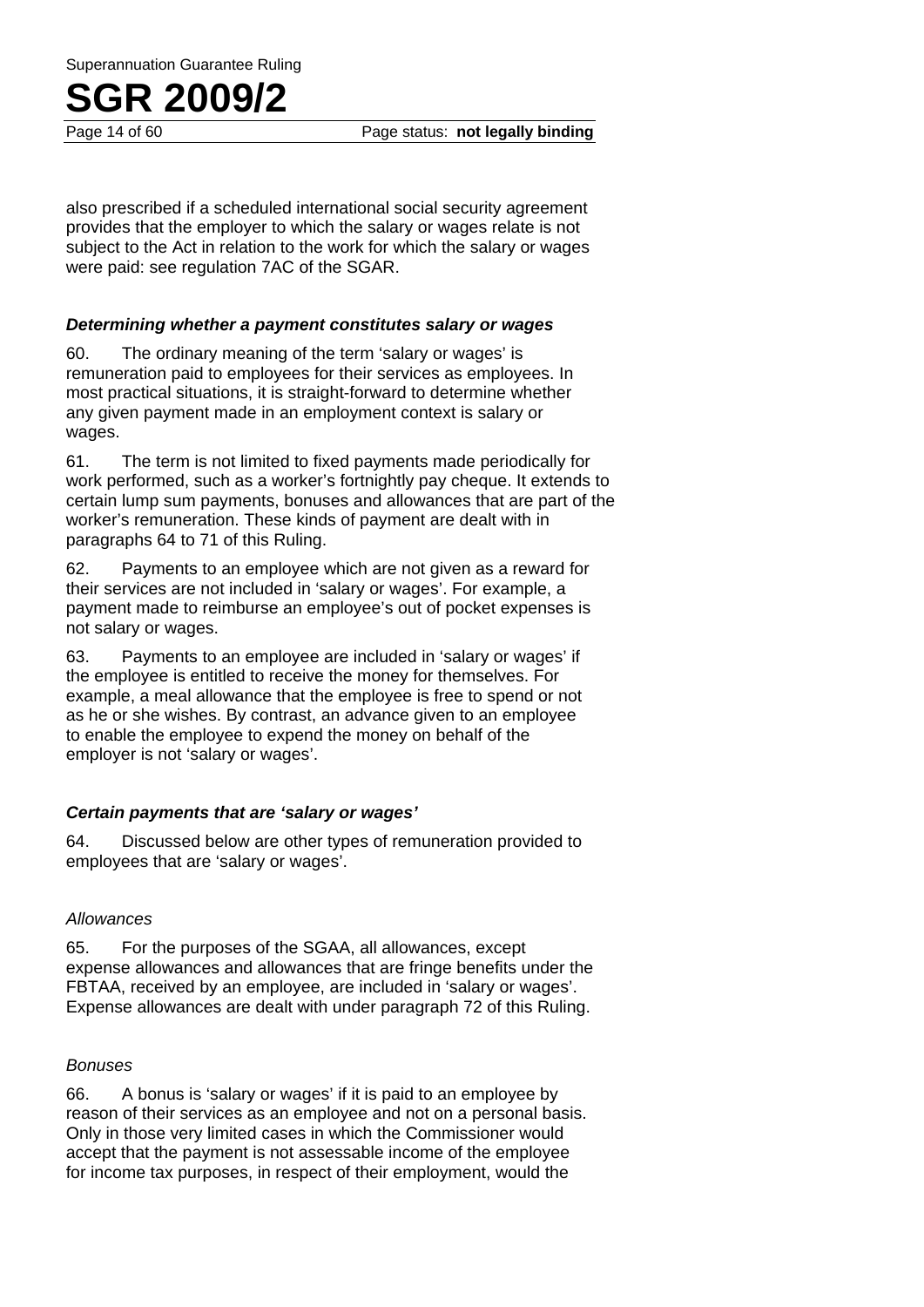Superannuation Guarantee Ruling

### **SGR 2009/2**

Page 14 of 60 Page status: **not legally binding**

also prescribed if a scheduled international social security agreement provides that the employer to which the salary or wages relate is not subject to the Act in relation to the work for which the salary or wages were paid: see regulation 7AC of the SGAR.

#### *Determining whether a payment constitutes salary or wages*

60. The ordinary meaning of the term 'salary or wages' is remuneration paid to employees for their services as employees. In most practical situations, it is straight-forward to determine whether any given payment made in an employment context is salary or wages.

61. The term is not limited to fixed payments made periodically for work performed, such as a worker's fortnightly pay cheque. It extends to certain lump sum payments, bonuses and allowances that are part of the worker's remuneration. These kinds of payment are dealt with in paragraphs 64 to 71 of this Ruling.

62. Payments to an employee which are not given as a reward for their services are not included in 'salary or wages'. For example, a payment made to reimburse an employee's out of pocket expenses is not salary or wages.

63. Payments to an employee are included in 'salary or wages' if the employee is entitled to receive the money for themselves. For example, a meal allowance that the employee is free to spend or not as he or she wishes. By contrast, an advance given to an employee to enable the employee to expend the money on behalf of the employer is not 'salary or wages'.

#### *Certain payments that are 'salary or wages'*

64. Discussed below are other types of remuneration provided to employees that are 'salary or wages'.

#### *Allowances*

65. For the purposes of the SGAA, all allowances, except expense allowances and allowances that are fringe benefits under the FBTAA, received by an employee, are included in 'salary or wages'. Expense allowances are dealt with under paragraph 72 of this Ruling.

#### *Bonuses*

66. A bonus is 'salary or wages' if it is paid to an employee by reason of their services as an employee and not on a personal basis. Only in those very limited cases in which the Commissioner would accept that the payment is not assessable income of the employee for income tax purposes, in respect of their employment, would the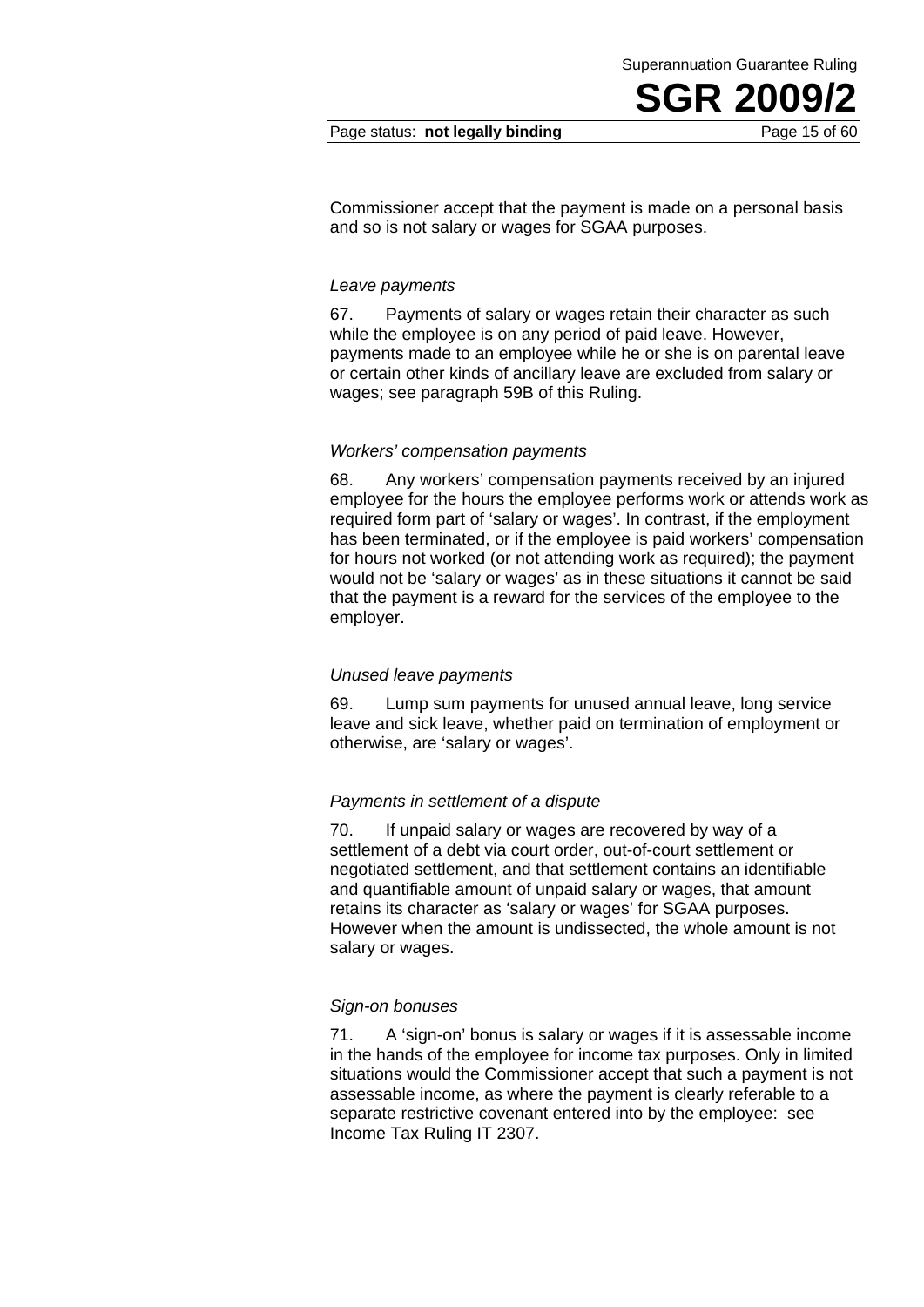Superannuation Guarantee Ruling

Commissioner accept that the payment is made on a personal basis and so is not salary or wages for SGAA purposes.

#### *Leave payments*

67. Payments of salary or wages retain their character as such while the employee is on any period of paid leave. However, payments made to an employee while he or she is on parental leave or certain other kinds of ancillary leave are excluded from salary or wages; see paragraph 59B of this Ruling.

#### *Workers' compensation payments*

68. Any workers' compensation payments received by an injured employee for the hours the employee performs work or attends work as required form part of 'salary or wages'. In contrast, if the employment has been terminated, or if the employee is paid workers' compensation for hours not worked (or not attending work as required); the payment would not be 'salary or wages' as in these situations it cannot be said that the payment is a reward for the services of the employee to the employer.

#### *Unused leave payments*

69. Lump sum payments for unused annual leave, long service leave and sick leave, whether paid on termination of employment or otherwise, are 'salary or wages'.

#### *Payments in settlement of a dispute*

70. If unpaid salary or wages are recovered by way of a settlement of a debt via court order, out-of-court settlement or negotiated settlement, and that settlement contains an identifiable and quantifiable amount of unpaid salary or wages, that amount retains its character as 'salary or wages' for SGAA purposes. However when the amount is undissected, the whole amount is not salary or wages.

#### *Sign-on bonuses*

71. A 'sign-on' bonus is salary or wages if it is assessable income in the hands of the employee for income tax purposes. Only in limited situations would the Commissioner accept that such a payment is not assessable income, as where the payment is clearly referable to a separate restrictive covenant entered into by the employee: see Income Tax Ruling IT 2307.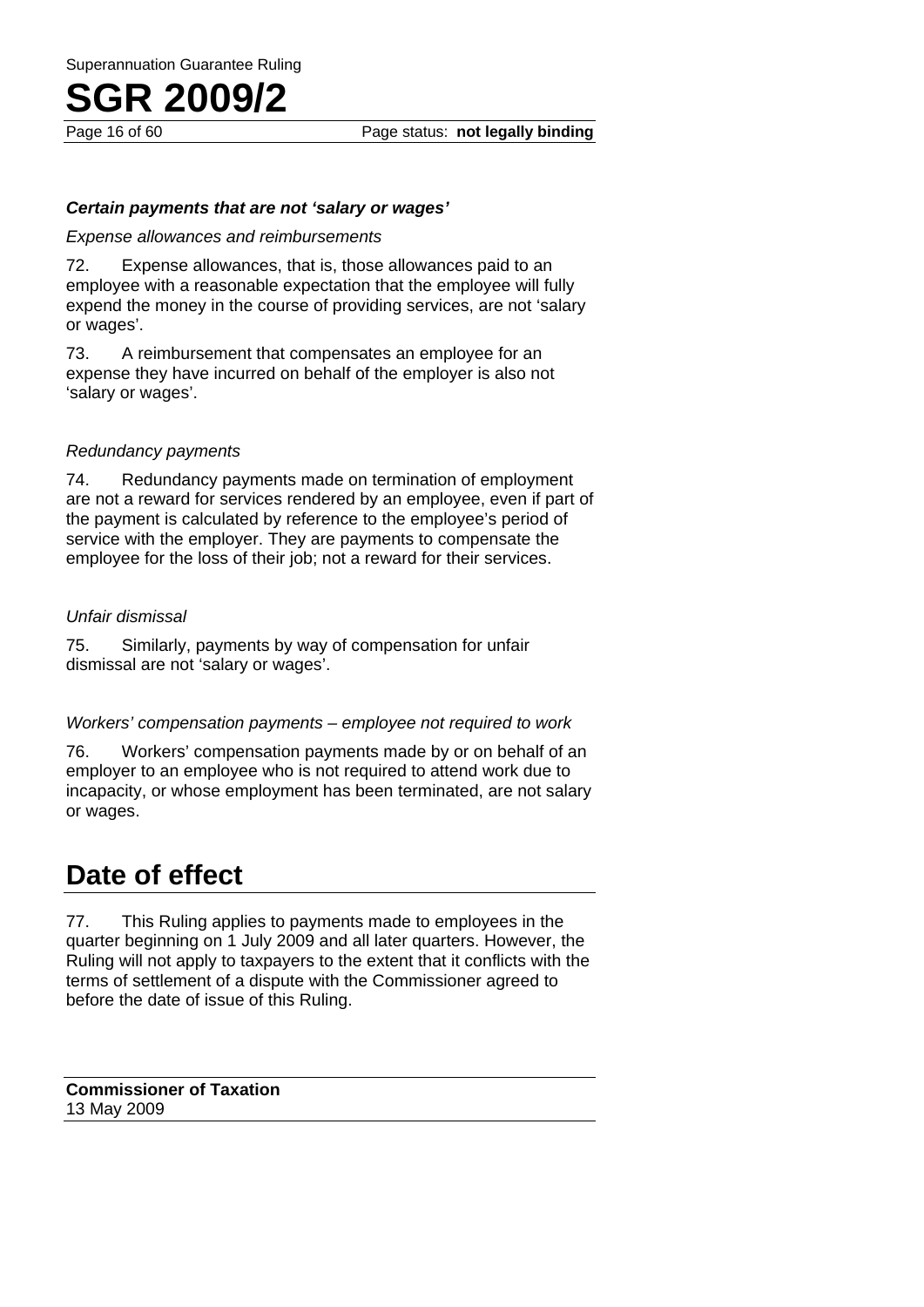Page 16 of 60 Page status: **not legally binding**

#### *Certain payments that are not 'salary or wages'*

#### *Expense allowances and reimbursements*

72. Expense allowances, that is, those allowances paid to an employee with a reasonable expectation that the employee will fully expend the money in the course of providing services, are not 'salary or wages'.

73. A reimbursement that compensates an employee for an expense they have incurred on behalf of the employer is also not 'salary or wages'.

#### *Redundancy payments*

74. Redundancy payments made on termination of employment are not a reward for services rendered by an employee, even if part of the payment is calculated by reference to the employee's period of service with the employer. They are payments to compensate the employee for the loss of their job; not a reward for their services.

#### *Unfair dismissal*

75. Similarly, payments by way of compensation for unfair dismissal are not 'salary or wages'.

#### *Workers' compensation payments – employee not required to work*

76. Workers' compensation payments made by or on behalf of an employer to an employee who is not required to attend work due to incapacity, or whose employment has been terminated, are not salary or wages.

### **Date of effect**

77. This Ruling applies to payments made to employees in the quarter beginning on 1 July 2009 and all later quarters. However, the Ruling will not apply to taxpayers to the extent that it conflicts with the terms of settlement of a dispute with the Commissioner agreed to before the date of issue of this Ruling.

**Commissioner of Taxation**  13 May 2009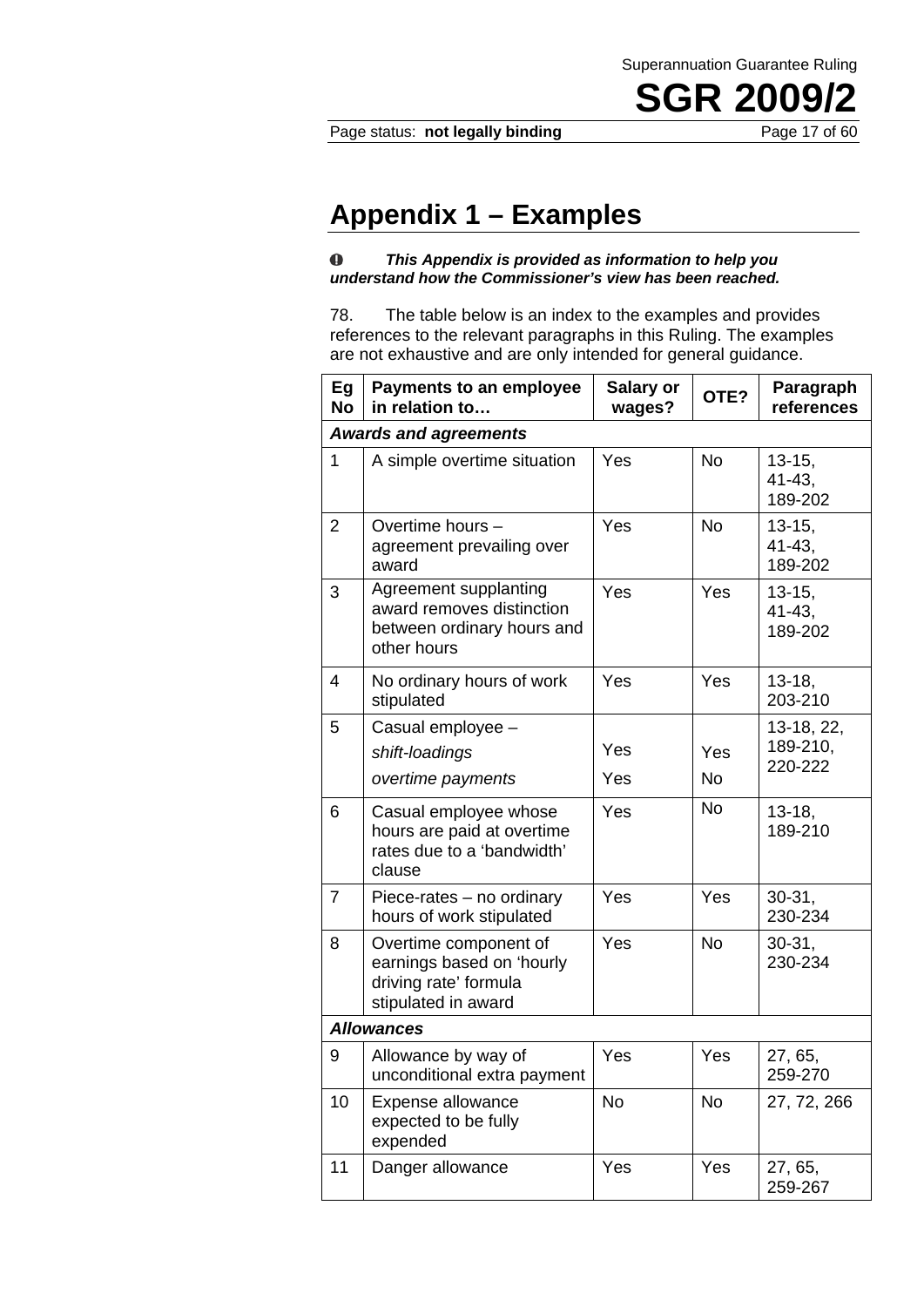#### Page status: **not legally binding** Page 17 of 60

### **Appendix 1 – Examples**

#### *This Appendix is provided as information to help you*   $\bf 0$ *understand how the Commissioner's view has been reached.*

78. The table below is an index to the examples and provides references to the relevant paragraphs in this Ruling. The examples are not exhaustive and are only intended for general guidance.

| Eg<br><b>No</b>              | <b>Payments to an employee</b><br>in relation to                                                   | <b>Salary or</b><br>wages? | OTE?             | Paragraph<br>references               |
|------------------------------|----------------------------------------------------------------------------------------------------|----------------------------|------------------|---------------------------------------|
| <b>Awards and agreements</b> |                                                                                                    |                            |                  |                                       |
| $\mathbf 1$                  | A simple overtime situation                                                                        | Yes                        | <b>No</b>        | $13 - 15,$<br>41-43,<br>189-202       |
| $\overline{2}$               | Overtime hours -<br>agreement prevailing over<br>award                                             | Yes                        | <b>No</b>        | $13 - 15,$<br>$41 - 43$ ,<br>189-202  |
| 3                            | Agreement supplanting<br>award removes distinction<br>between ordinary hours and<br>other hours    | Yes                        | Yes              | $13 - 15$ ,<br>$41 - 43$ ,<br>189-202 |
| 4                            | No ordinary hours of work<br>stipulated                                                            | Yes                        | Yes              | $13 - 18$ ,<br>203-210                |
| 5                            | Casual employee -<br>shift-loadings<br>overtime payments                                           | Yes<br>Yes                 | Yes<br><b>No</b> | 13-18, 22,<br>189-210,<br>220-222     |
| 6                            | Casual employee whose<br>hours are paid at overtime<br>rates due to a 'bandwidth'<br>clause        | Yes                        | No               | $13 - 18$ ,<br>189-210                |
| $\overline{7}$               | Piece-rates - no ordinary<br>hours of work stipulated                                              | Yes                        | Yes              | $30-31,$<br>230-234                   |
| 8                            | Overtime component of<br>earnings based on 'hourly<br>driving rate' formula<br>stipulated in award | Yes                        | No               | $30 - 31$ ,<br>230-234                |
| <b>Allowances</b>            |                                                                                                    |                            |                  |                                       |
| 9                            | Allowance by way of<br>unconditional extra payment                                                 | Yes                        | Yes              | 27, 65,<br>259-270                    |
| 10                           | Expense allowance<br>expected to be fully<br>expended                                              | No                         | No               | 27, 72, 266                           |
| 11                           | Danger allowance                                                                                   | Yes                        | Yes              | 27, 65,<br>259-267                    |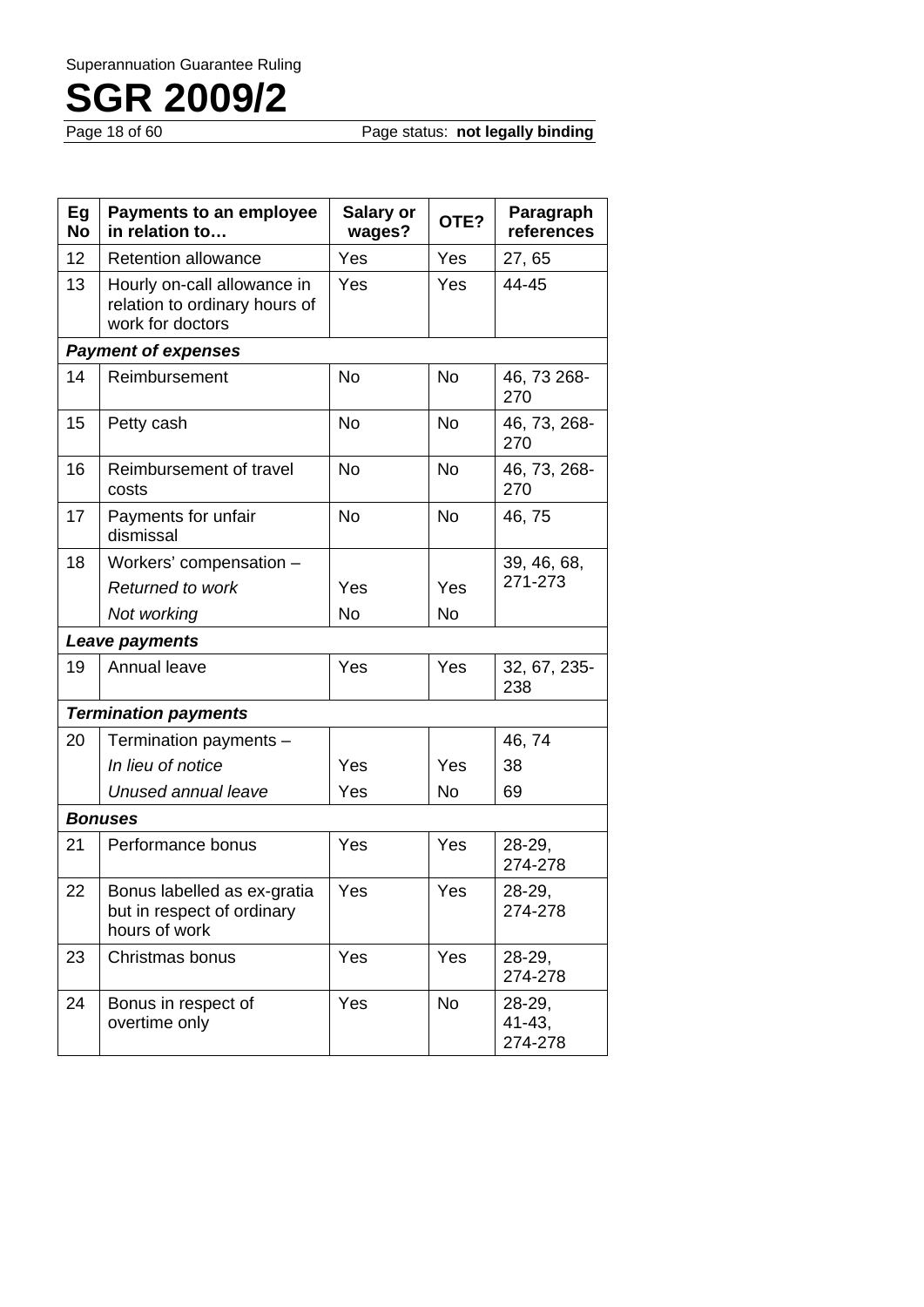Page status: **not legally binding** 

| Eg<br><b>No</b> | <b>Payments to an employee</b><br>in relation to                                 | <b>Salary or</b><br>wages? | OTE?      | Paragraph<br>references          |
|-----------------|----------------------------------------------------------------------------------|----------------------------|-----------|----------------------------------|
| 12              | <b>Retention allowance</b>                                                       | Yes                        | Yes       | 27,65                            |
| 13              | Hourly on-call allowance in<br>relation to ordinary hours of<br>work for doctors | Yes                        | Yes       | 44-45                            |
|                 | <b>Payment of expenses</b>                                                       |                            |           |                                  |
| 14              | Reimbursement                                                                    | No                         | <b>No</b> | 46, 73 268-<br>270               |
| 15              | Petty cash                                                                       | <b>No</b>                  | <b>No</b> | 46, 73, 268-<br>270              |
| 16              | Reimbursement of travel<br>costs                                                 | <b>No</b>                  | <b>No</b> | 46, 73, 268-<br>270              |
| 17              | Payments for unfair<br>dismissal                                                 | <b>No</b>                  | <b>No</b> | 46,75                            |
| 18              | Workers' compensation -                                                          |                            |           | 39, 46, 68,                      |
|                 | Returned to work                                                                 | Yes                        | Yes       | 271-273                          |
|                 | Not working                                                                      | <b>No</b>                  | <b>No</b> |                                  |
|                 | Leave payments                                                                   |                            |           |                                  |
| 19              | Annual leave                                                                     | Yes                        | Yes       | 32, 67, 235-<br>238              |
|                 | <b>Termination payments</b>                                                      |                            |           |                                  |
| 20              | Termination payments -                                                           |                            |           | 46, 74                           |
|                 | In lieu of notice                                                                | Yes                        | Yes       | 38                               |
|                 | Unused annual leave                                                              | Yes                        | No        | 69                               |
|                 | <b>Bonuses</b>                                                                   |                            |           |                                  |
| 21              | Performance bonus                                                                | Yes                        | Yes       | 28-29,<br>274-278                |
| 22              | Bonus labelled as ex-gratia<br>but in respect of ordinary<br>hours of work       | Yes                        | Yes       | 28-29,<br>274-278                |
| 23              | Christmas bonus                                                                  | Yes                        | Yes       | $28-29,$<br>274-278              |
| 24              | Bonus in respect of<br>overtime only                                             | Yes                        | <b>No</b> | 28-29,<br>$41 - 43$ .<br>274-278 |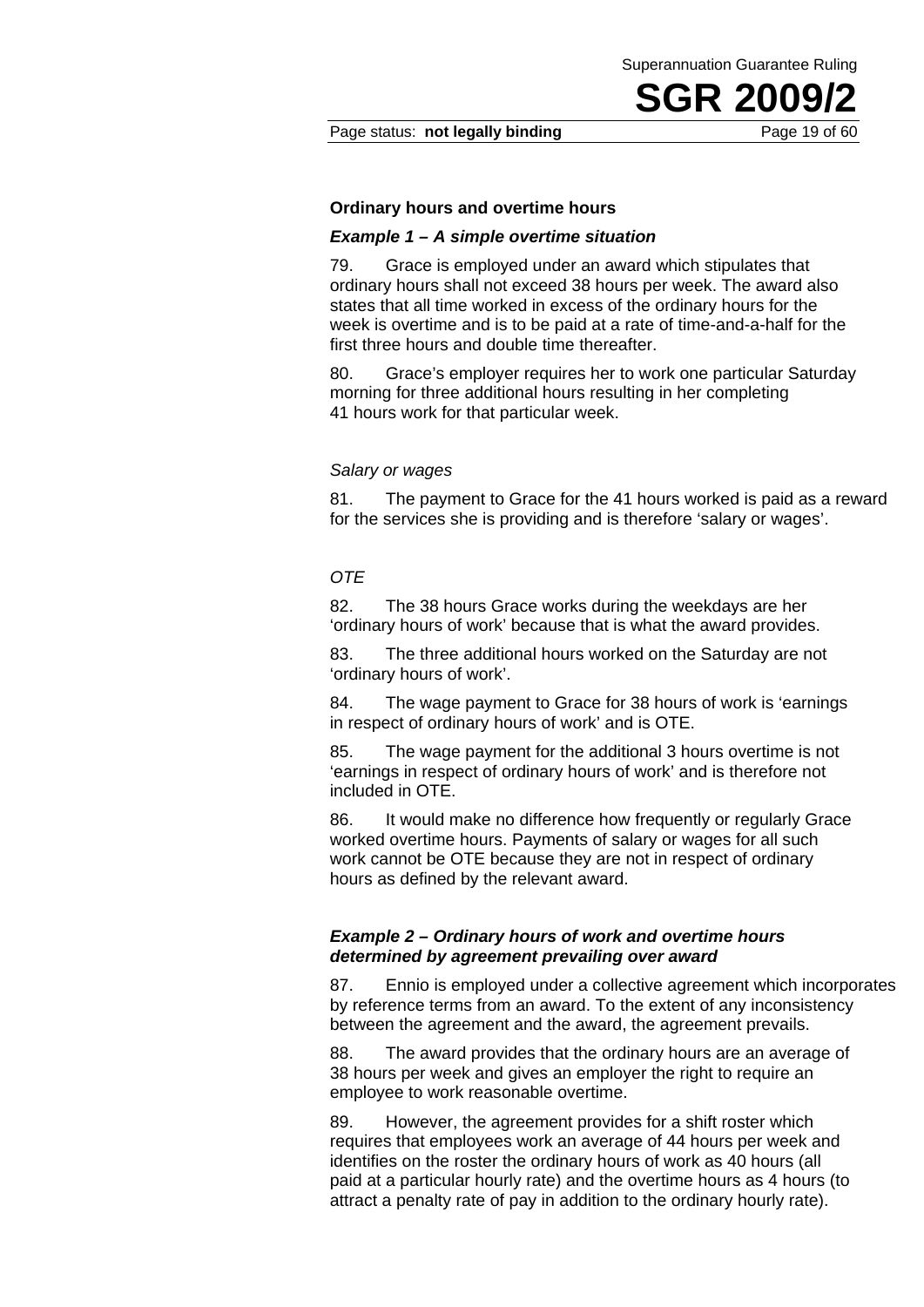Page status: **not legally binding** Page 19 of 60

#### **Ordinary hours and overtime hours**

#### *Example 1 – A simple overtime situation*

79. Grace is employed under an award which stipulates that ordinary hours shall not exceed 38 hours per week. The award also states that all time worked in excess of the ordinary hours for the week is overtime and is to be paid at a rate of time-and-a-half for the first three hours and double time thereafter.

80. Grace's employer requires her to work one particular Saturday morning for three additional hours resulting in her completing 41 hours work for that particular week.

#### *Salary or wages*

81. The payment to Grace for the 41 hours worked is paid as a reward for the services she is providing and is therefore 'salary or wages'.

#### *OTE*

82. The 38 hours Grace works during the weekdays are her 'ordinary hours of work' because that is what the award provides.

83. The three additional hours worked on the Saturday are not 'ordinary hours of work'.

84. The wage payment to Grace for 38 hours of work is 'earnings in respect of ordinary hours of work' and is OTE.

85. The wage payment for the additional 3 hours overtime is not 'earnings in respect of ordinary hours of work' and is therefore not included in OTE.

86. It would make no difference how frequently or regularly Grace worked overtime hours. Payments of salary or wages for all such work cannot be OTE because they are not in respect of ordinary hours as defined by the relevant award.

#### *Example 2 – Ordinary hours of work and overtime hours determined by agreement prevailing over award*

87. Ennio is employed under a collective agreement which incorporates by reference terms from an award. To the extent of any inconsistency between the agreement and the award, the agreement prevails.

88. The award provides that the ordinary hours are an average of 38 hours per week and gives an employer the right to require an employee to work reasonable overtime.

89. However, the agreement provides for a shift roster which requires that employees work an average of 44 hours per week and identifies on the roster the ordinary hours of work as 40 hours (all paid at a particular hourly rate) and the overtime hours as 4 hours (to attract a penalty rate of pay in addition to the ordinary hourly rate).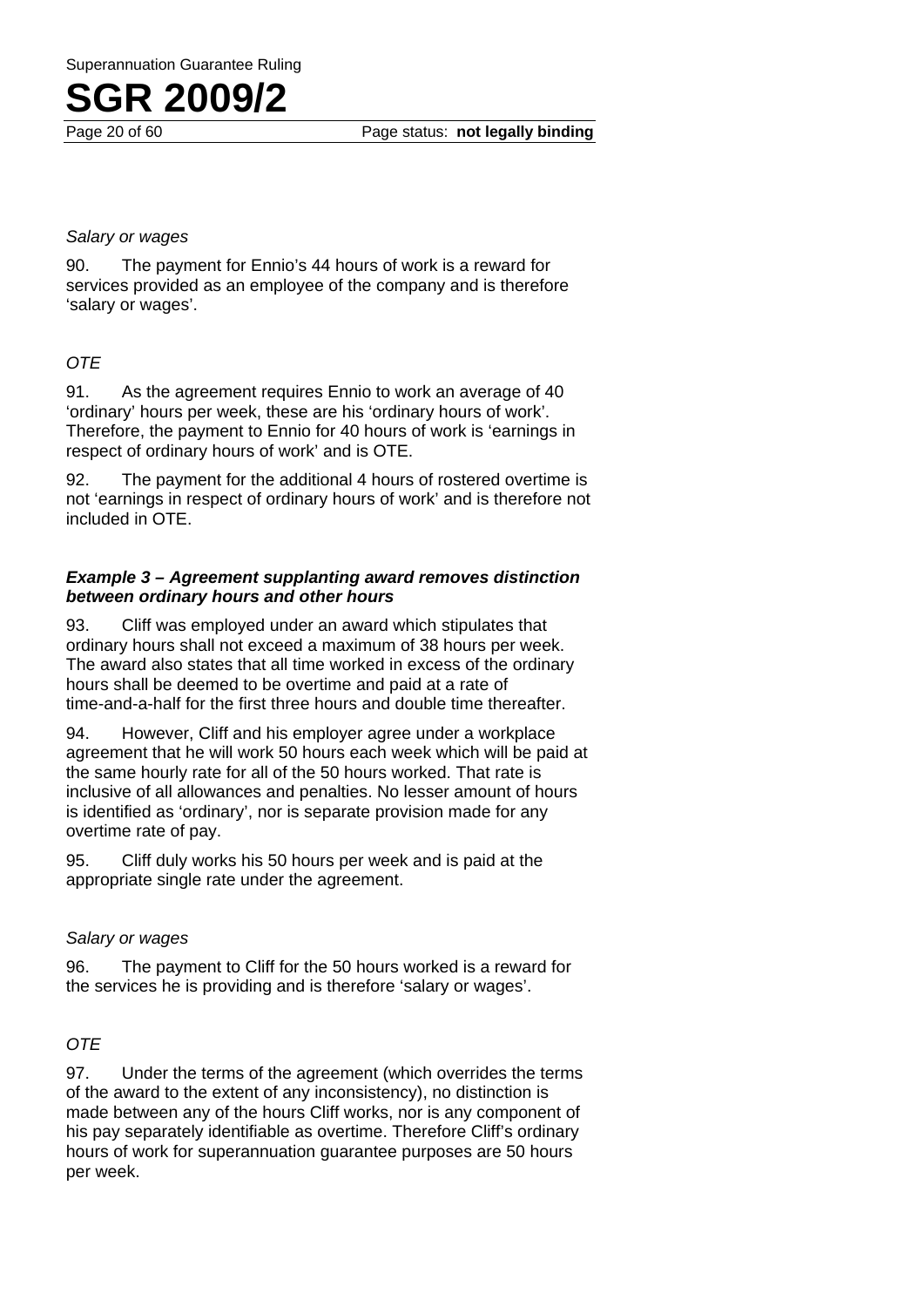

#### *Salary or wages*

90. The payment for Ennio's 44 hours of work is a reward for services provided as an employee of the company and is therefore 'salary or wages'.

#### *OTE*

91. As the agreement requires Ennio to work an average of 40 'ordinary' hours per week, these are his 'ordinary hours of work'. Therefore, the payment to Ennio for 40 hours of work is 'earnings in respect of ordinary hours of work' and is OTE.

92. The payment for the additional 4 hours of rostered overtime is not 'earnings in respect of ordinary hours of work' and is therefore not included in OTE.

#### *Example 3 – Agreement supplanting award removes distinction between ordinary hours and other hours*

93. Cliff was employed under an award which stipulates that ordinary hours shall not exceed a maximum of 38 hours per week. The award also states that all time worked in excess of the ordinary hours shall be deemed to be overtime and paid at a rate of time-and-a-half for the first three hours and double time thereafter.

94. However, Cliff and his employer agree under a workplace agreement that he will work 50 hours each week which will be paid at the same hourly rate for all of the 50 hours worked. That rate is inclusive of all allowances and penalties. No lesser amount of hours is identified as 'ordinary', nor is separate provision made for any overtime rate of pay.

95. Cliff duly works his 50 hours per week and is paid at the appropriate single rate under the agreement.

#### *Salary or wages*

96. The payment to Cliff for the 50 hours worked is a reward for the services he is providing and is therefore 'salary or wages'.

#### *OTE*

97. Under the terms of the agreement (which overrides the terms of the award to the extent of any inconsistency), no distinction is made between any of the hours Cliff works, nor is any component of his pay separately identifiable as overtime. Therefore Cliff's ordinary hours of work for superannuation guarantee purposes are 50 hours per week.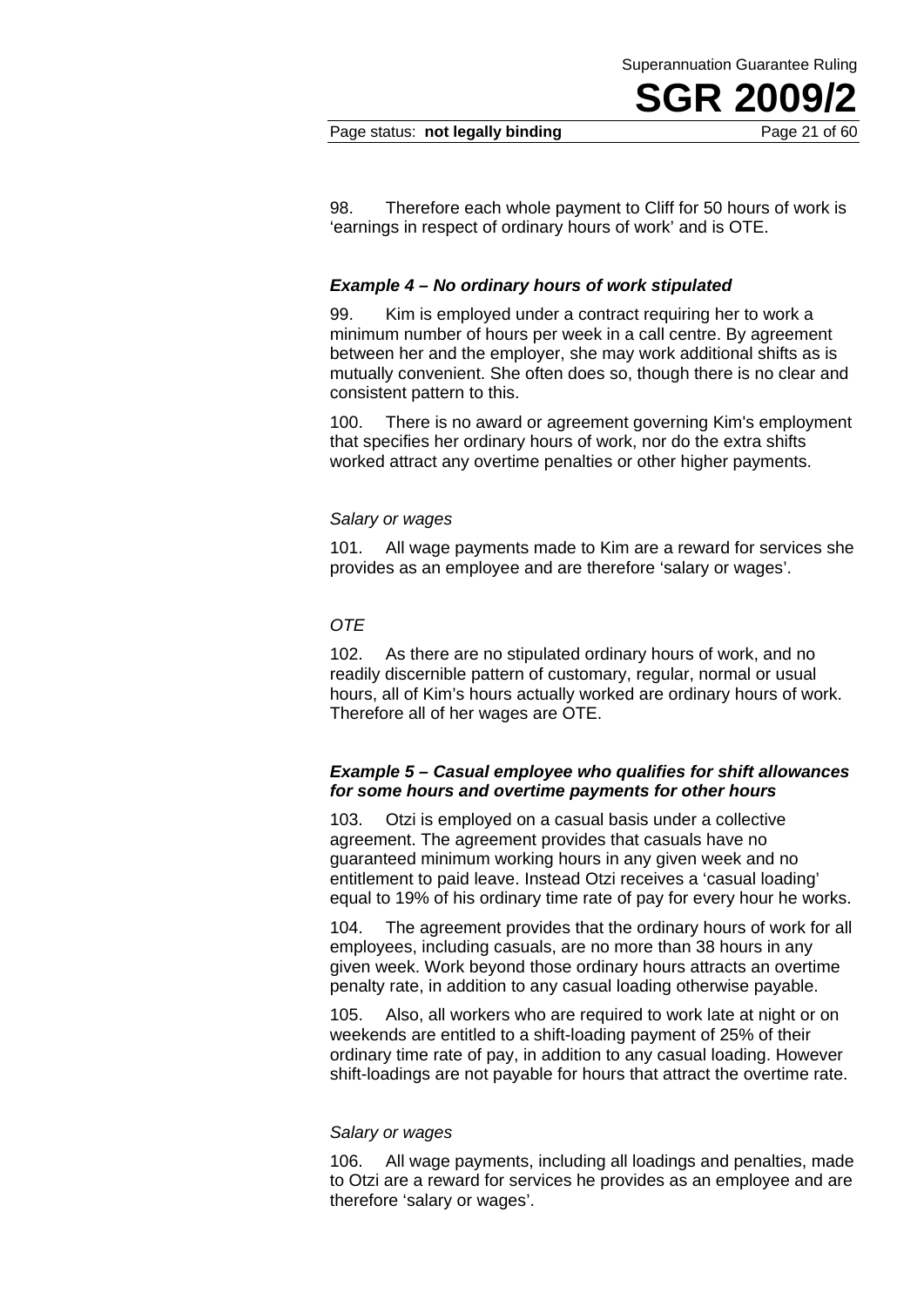#### Page status: **not legally binding** Page 21 of 60

98. Therefore each whole payment to Cliff for 50 hours of work is 'earnings in respect of ordinary hours of work' and is OTE.

#### *Example 4 – No ordinary hours of work stipulated*

99. Kim is employed under a contract requiring her to work a minimum number of hours per week in a call centre. By agreement between her and the employer, she may work additional shifts as is mutually convenient. She often does so, though there is no clear and consistent pattern to this.

100. There is no award or agreement governing Kim's employment that specifies her ordinary hours of work, nor do the extra shifts worked attract any overtime penalties or other higher payments.

#### *Salary or wages*

101. All wage payments made to Kim are a reward for services she provides as an employee and are therefore 'salary or wages'.

#### *OTE*

102. As there are no stipulated ordinary hours of work, and no readily discernible pattern of customary, regular, normal or usual hours, all of Kim's hours actually worked are ordinary hours of work. Therefore all of her wages are OTE.

#### *Example 5 – Casual employee who qualifies for shift allowances for some hours and overtime payments for other hours*

103. Otzi is employed on a casual basis under a collective agreement. The agreement provides that casuals have no guaranteed minimum working hours in any given week and no entitlement to paid leave. Instead Otzi receives a 'casual loading' equal to 19% of his ordinary time rate of pay for every hour he works.

104. The agreement provides that the ordinary hours of work for all employees, including casuals, are no more than 38 hours in any given week. Work beyond those ordinary hours attracts an overtime penalty rate, in addition to any casual loading otherwise payable.

105. Also, all workers who are required to work late at night or on weekends are entitled to a shift-loading payment of 25% of their ordinary time rate of pay, in addition to any casual loading. However shift-loadings are not payable for hours that attract the overtime rate.

#### *Salary or wages*

106. All wage payments, including all loadings and penalties, made to Otzi are a reward for services he provides as an employee and are therefore 'salary or wages'.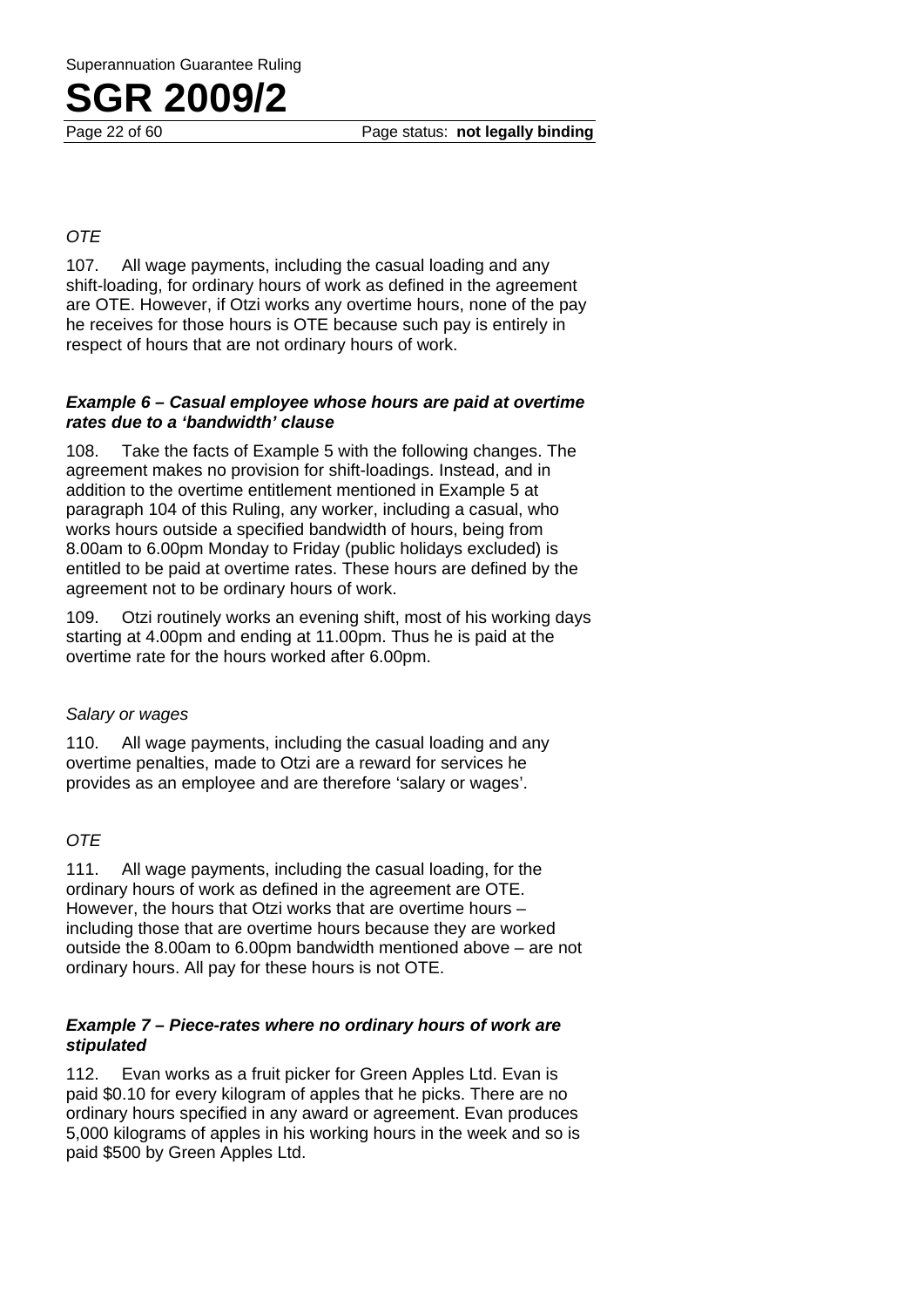Page 22 of 60 Page status: **not legally binding**

#### *OTE*

107. All wage payments, including the casual loading and any shift-loading, for ordinary hours of work as defined in the agreement are OTE. However, if Otzi works any overtime hours, none of the pay he receives for those hours is OTE because such pay is entirely in respect of hours that are not ordinary hours of work.

#### *Example 6 – Casual employee whose hours are paid at overtime rates due to a 'bandwidth' clause*

108. Take the facts of Example 5 with the following changes. The agreement makes no provision for shift-loadings. Instead, and in addition to the overtime entitlement mentioned in Example 5 at paragraph 104 of this Ruling, any worker, including a casual, who works hours outside a specified bandwidth of hours, being from 8.00am to 6.00pm Monday to Friday (public holidays excluded) is entitled to be paid at overtime rates. These hours are defined by the agreement not to be ordinary hours of work.

109. Otzi routinely works an evening shift, most of his working days starting at 4.00pm and ending at 11.00pm. Thus he is paid at the overtime rate for the hours worked after 6.00pm.

#### *Salary or wages*

110. All wage payments, including the casual loading and any overtime penalties, made to Otzi are a reward for services he provides as an employee and are therefore 'salary or wages'.

#### *OTE*

111. All wage payments, including the casual loading, for the ordinary hours of work as defined in the agreement are OTE. However, the hours that Otzi works that are overtime hours – including those that are overtime hours because they are worked outside the 8.00am to 6.00pm bandwidth mentioned above – are not ordinary hours. All pay for these hours is not OTE.

#### *Example 7 – Piece-rates where no ordinary hours of work are stipulated*

112. Evan works as a fruit picker for Green Apples Ltd. Evan is paid \$0.10 for every kilogram of apples that he picks. There are no ordinary hours specified in any award or agreement. Evan produces 5,000 kilograms of apples in his working hours in the week and so is paid \$500 by Green Apples Ltd.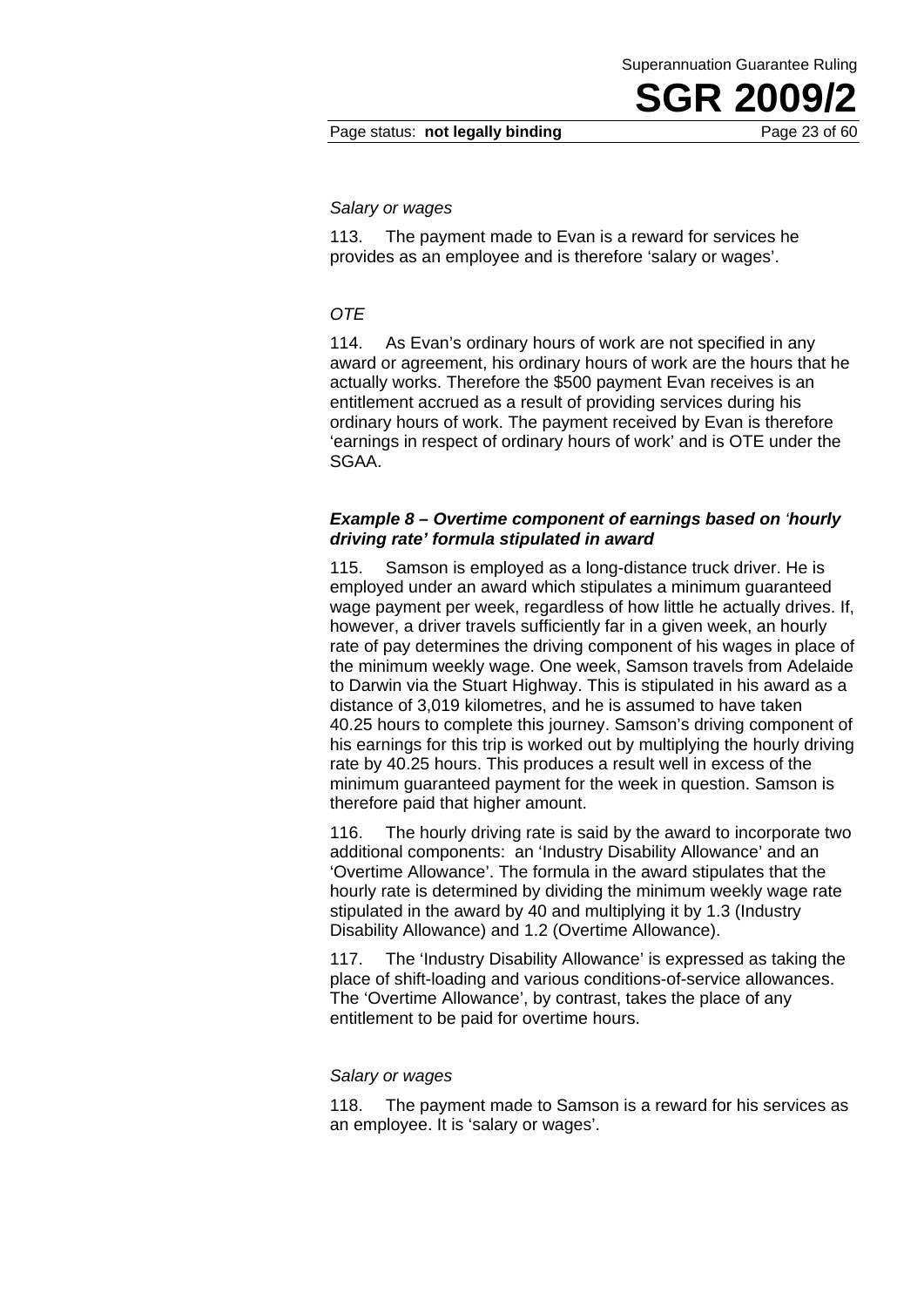#### *Salary or wages*

113. The payment made to Evan is a reward for services he provides as an employee and is therefore 'salary or wages'.

#### *OTE*

114. As Evan's ordinary hours of work are not specified in any award or agreement, his ordinary hours of work are the hours that he actually works. Therefore the \$500 payment Evan receives is an entitlement accrued as a result of providing services during his ordinary hours of work. The payment received by Evan is therefore 'earnings in respect of ordinary hours of work' and is OTE under the SGAA.

#### *Example 8 – Overtime component of earnings based on 'hourly driving rate' formula stipulated in award*

115. Samson is employed as a long-distance truck driver. He is employed under an award which stipulates a minimum guaranteed wage payment per week, regardless of how little he actually drives. If, however, a driver travels sufficiently far in a given week, an hourly rate of pay determines the driving component of his wages in place of the minimum weekly wage. One week, Samson travels from Adelaide to Darwin via the Stuart Highway. This is stipulated in his award as a distance of 3,019 kilometres, and he is assumed to have taken 40.25 hours to complete this journey. Samson's driving component of his earnings for this trip is worked out by multiplying the hourly driving rate by 40.25 hours. This produces a result well in excess of the minimum guaranteed payment for the week in question. Samson is therefore paid that higher amount.

116. The hourly driving rate is said by the award to incorporate two additional components: an 'Industry Disability Allowance' and an 'Overtime Allowance'. The formula in the award stipulates that the hourly rate is determined by dividing the minimum weekly wage rate stipulated in the award by 40 and multiplying it by 1.3 (Industry Disability Allowance) and 1.2 (Overtime Allowance).

117. The 'Industry Disability Allowance' is expressed as taking the place of shift-loading and various conditions-of-service allowances. The 'Overtime Allowance', by contrast, takes the place of any entitlement to be paid for overtime hours.

#### *Salary or wages*

118. The payment made to Samson is a reward for his services as an employee. It is 'salary or wages'.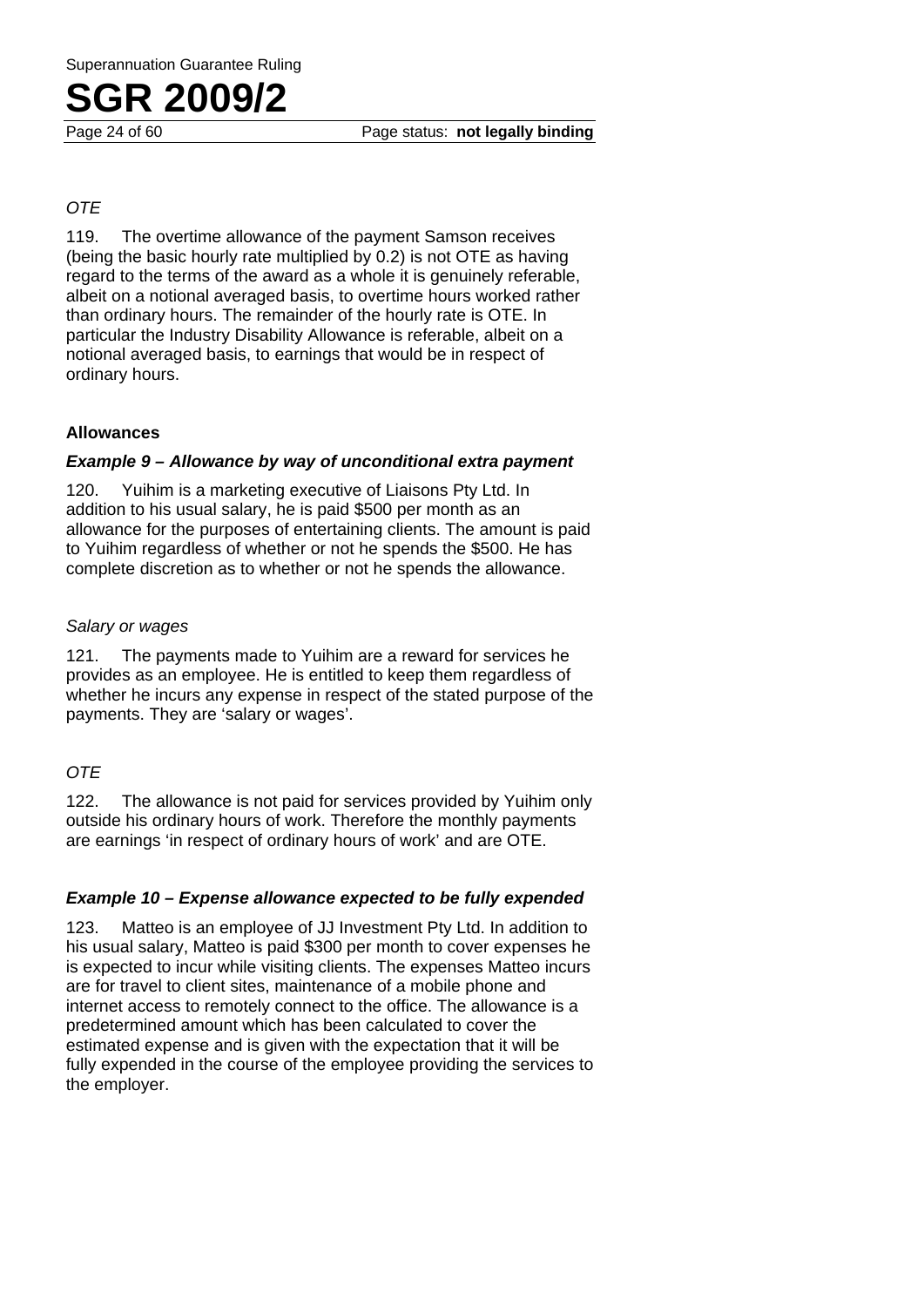#### *OTE*

119. The overtime allowance of the payment Samson receives (being the basic hourly rate multiplied by 0.2) is not OTE as having regard to the terms of the award as a whole it is genuinely referable, albeit on a notional averaged basis, to overtime hours worked rather than ordinary hours. The remainder of the hourly rate is OTE. In particular the Industry Disability Allowance is referable, albeit on a notional averaged basis, to earnings that would be in respect of ordinary hours.

#### **Allowances**

#### *Example 9 – Allowance by way of unconditional extra payment*

120. Yuihim is a marketing executive of Liaisons Pty Ltd. In addition to his usual salary, he is paid \$500 per month as an allowance for the purposes of entertaining clients. The amount is paid to Yuihim regardless of whether or not he spends the \$500. He has complete discretion as to whether or not he spends the allowance.

#### *Salary or wages*

121. The payments made to Yuihim are a reward for services he provides as an employee. He is entitled to keep them regardless of whether he incurs any expense in respect of the stated purpose of the payments. They are 'salary or wages'.

#### *OTE*

122. The allowance is not paid for services provided by Yuihim only outside his ordinary hours of work. Therefore the monthly payments are earnings 'in respect of ordinary hours of work' and are OTE.

#### *Example 10 – Expense allowance expected to be fully expended*

123. Matteo is an employee of JJ Investment Pty Ltd. In addition to his usual salary, Matteo is paid \$300 per month to cover expenses he is expected to incur while visiting clients. The expenses Matteo incurs are for travel to client sites, maintenance of a mobile phone and internet access to remotely connect to the office. The allowance is a predetermined amount which has been calculated to cover the estimated expense and is given with the expectation that it will be fully expended in the course of the employee providing the services to the employer.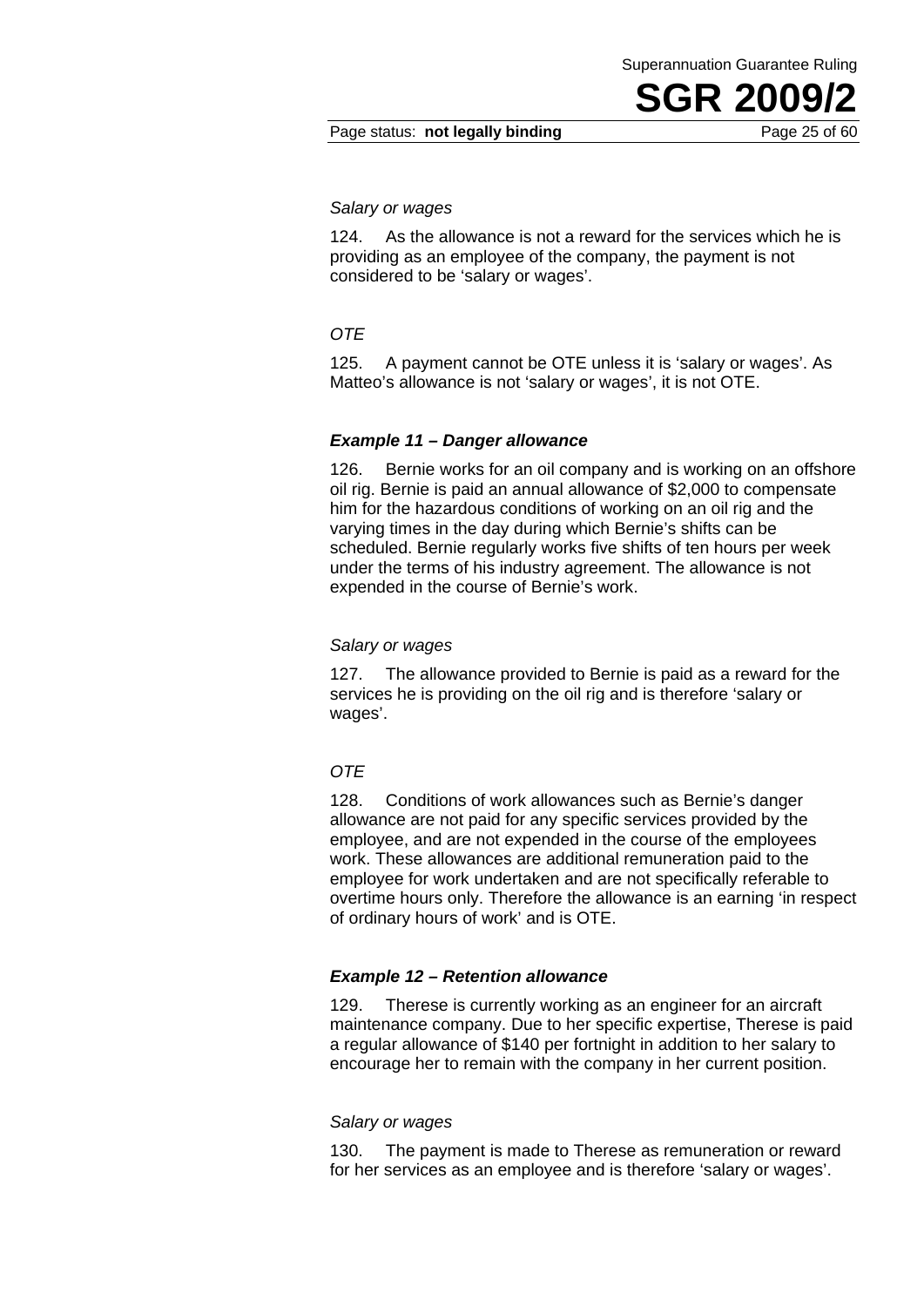#### *Salary or wages*

124. As the allowance is not a reward for the services which he is providing as an employee of the company, the payment is not considered to be 'salary or wages'.

#### *OTE*

125. A payment cannot be OTE unless it is 'salary or wages'. As Matteo's allowance is not 'salary or wages', it is not OTE.

#### *Example 11 – Danger allowance*

126. Bernie works for an oil company and is working on an offshore oil rig. Bernie is paid an annual allowance of \$2,000 to compensate him for the hazardous conditions of working on an oil rig and the varying times in the day during which Bernie's shifts can be scheduled. Bernie regularly works five shifts of ten hours per week under the terms of his industry agreement. The allowance is not expended in the course of Bernie's work.

#### *Salary or wages*

127. The allowance provided to Bernie is paid as a reward for the services he is providing on the oil rig and is therefore 'salary or wages'.

#### *OTE*

128. Conditions of work allowances such as Bernie's danger allowance are not paid for any specific services provided by the employee, and are not expended in the course of the employees work. These allowances are additional remuneration paid to the employee for work undertaken and are not specifically referable to overtime hours only. Therefore the allowance is an earning 'in respect of ordinary hours of work' and is OTE.

#### *Example 12 – Retention allowance*

129. Therese is currently working as an engineer for an aircraft maintenance company. Due to her specific expertise, Therese is paid a regular allowance of \$140 per fortnight in addition to her salary to encourage her to remain with the company in her current position.

#### *Salary or wages*

130. The payment is made to Therese as remuneration or reward for her services as an employee and is therefore 'salary or wages'.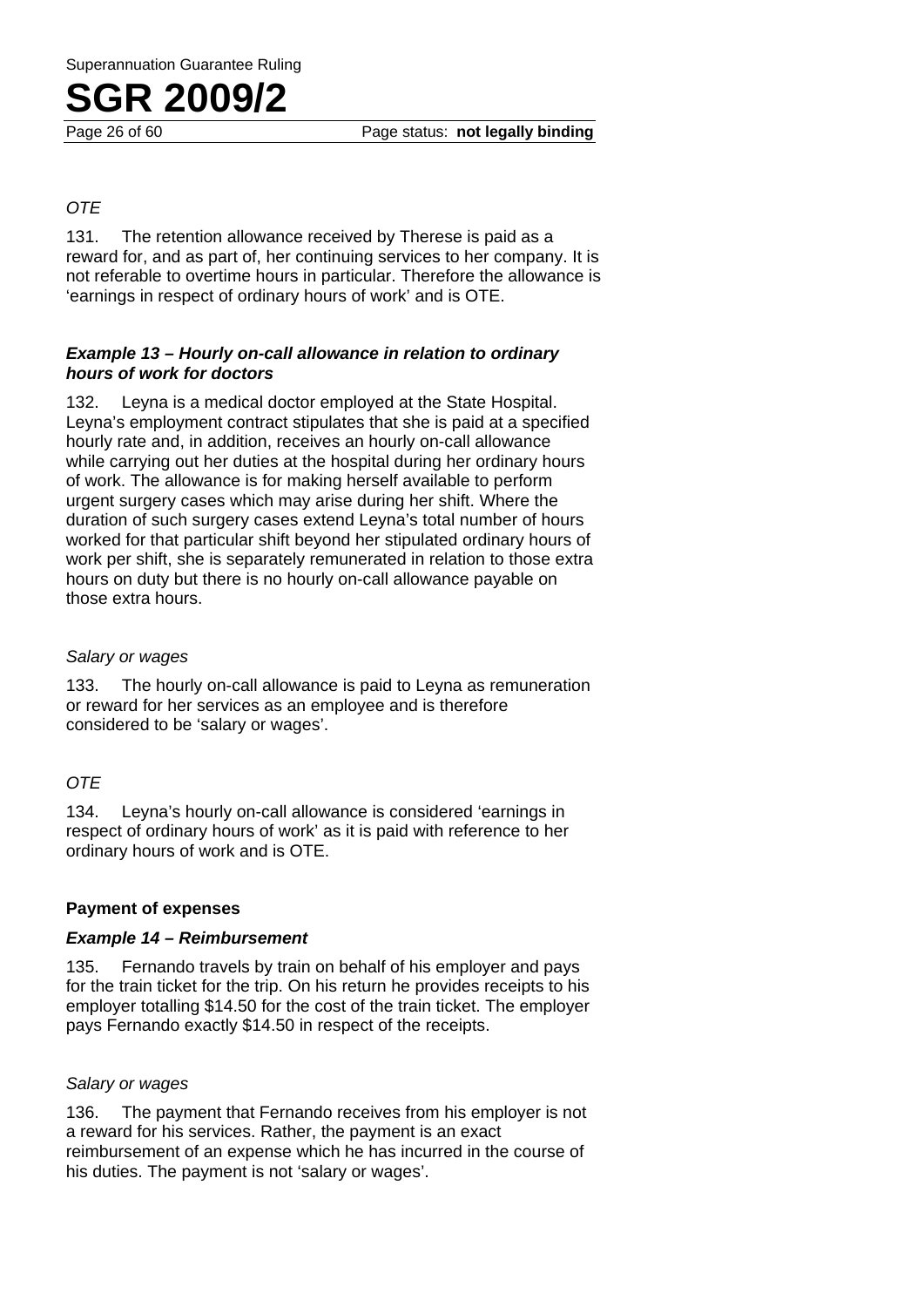Page 26 of 60 Page status: **not legally binding**

#### *OTE*

131. The retention allowance received by Therese is paid as a reward for, and as part of, her continuing services to her company. It is not referable to overtime hours in particular. Therefore the allowance is 'earnings in respect of ordinary hours of work' and is OTE.

#### *Example 13 – Hourly on-call allowance in relation to ordinary hours of work for doctors*

132. Leyna is a medical doctor employed at the State Hospital. Leyna's employment contract stipulates that she is paid at a specified hourly rate and, in addition, receives an hourly on-call allowance while carrying out her duties at the hospital during her ordinary hours of work. The allowance is for making herself available to perform urgent surgery cases which may arise during her shift. Where the duration of such surgery cases extend Leyna's total number of hours worked for that particular shift beyond her stipulated ordinary hours of work per shift, she is separately remunerated in relation to those extra hours on duty but there is no hourly on-call allowance payable on those extra hours.

#### *Salary or wages*

133. The hourly on-call allowance is paid to Leyna as remuneration or reward for her services as an employee and is therefore considered to be 'salary or wages'.

#### *OTE*

134. Leyna's hourly on-call allowance is considered 'earnings in respect of ordinary hours of work' as it is paid with reference to her ordinary hours of work and is OTE.

#### **Payment of expenses**

#### *Example 14 – Reimbursement*

135. Fernando travels by train on behalf of his employer and pays for the train ticket for the trip. On his return he provides receipts to his employer totalling \$14.50 for the cost of the train ticket. The employer pays Fernando exactly \$14.50 in respect of the receipts.

#### *Salary or wages*

136. The payment that Fernando receives from his employer is not a reward for his services. Rather, the payment is an exact reimbursement of an expense which he has incurred in the course of his duties. The payment is not 'salary or wages'.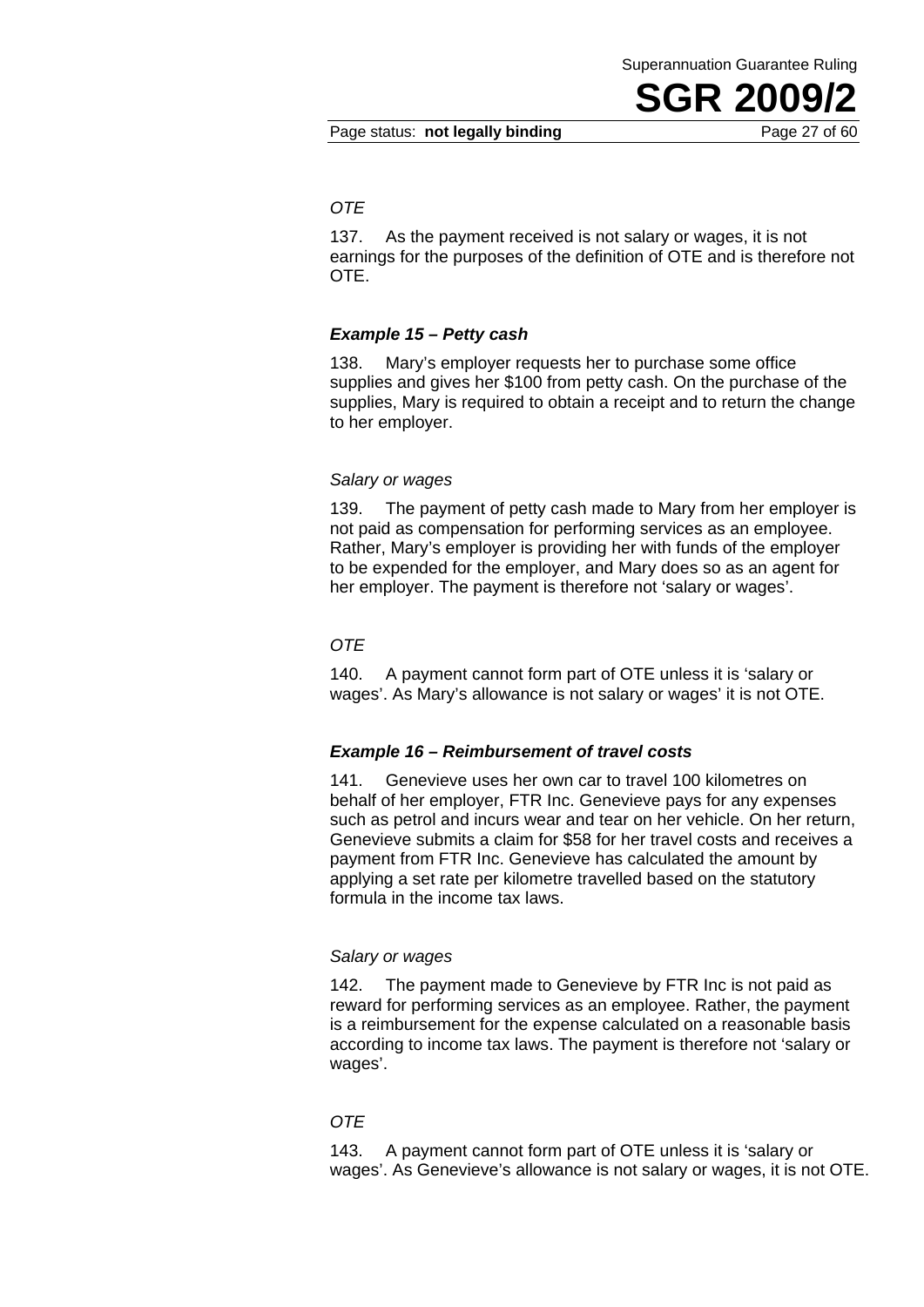#### Page status: **not legally binding** Page 27 of 60

#### *OTE*

137. As the payment received is not salary or wages, it is not earnings for the purposes of the definition of OTE and is therefore not OTE.

#### *Example 15 – Petty cash*

138. Mary's employer requests her to purchase some office supplies and gives her \$100 from petty cash. On the purchase of the supplies, Mary is required to obtain a receipt and to return the change to her employer.

#### *Salary or wages*

139. The payment of petty cash made to Mary from her employer is not paid as compensation for performing services as an employee. Rather, Mary's employer is providing her with funds of the employer to be expended for the employer, and Mary does so as an agent for her employer. The payment is therefore not 'salary or wages'.

#### *OTE*

140. A payment cannot form part of OTE unless it is 'salary or wages'. As Mary's allowance is not salary or wages' it is not OTE.

#### *Example 16 – Reimbursement of travel costs*

141. Genevieve uses her own car to travel 100 kilometres on behalf of her employer, FTR Inc. Genevieve pays for any expenses such as petrol and incurs wear and tear on her vehicle. On her return, Genevieve submits a claim for \$58 for her travel costs and receives a payment from FTR Inc. Genevieve has calculated the amount by applying a set rate per kilometre travelled based on the statutory formula in the income tax laws.

#### *Salary or wages*

142. The payment made to Genevieve by FTR Inc is not paid as reward for performing services as an employee. Rather, the payment is a reimbursement for the expense calculated on a reasonable basis according to income tax laws. The payment is therefore not 'salary or wages'.

#### *OTE*

143. A payment cannot form part of OTE unless it is 'salary or wages'. As Genevieve's allowance is not salary or wages, it is not OTE.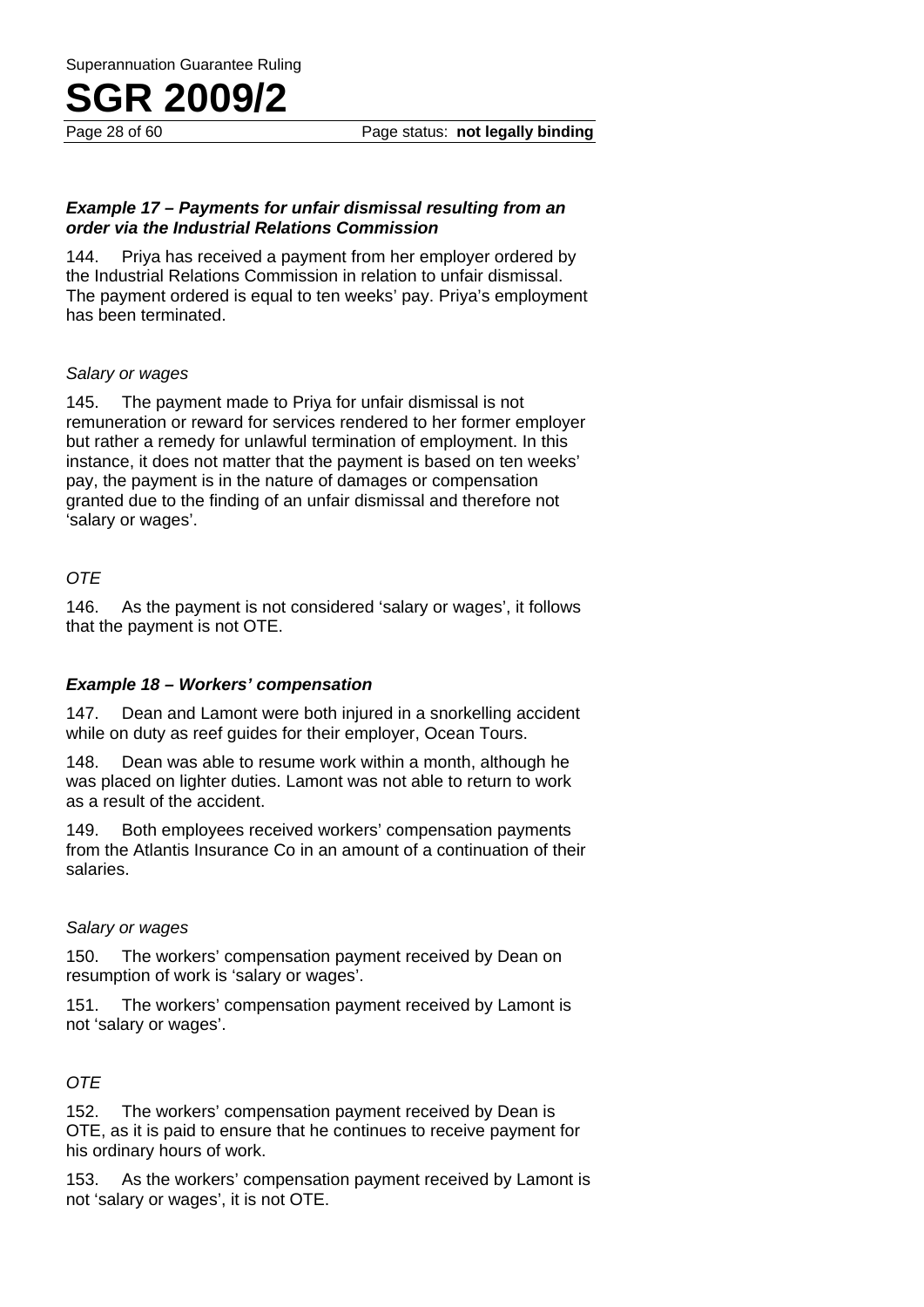Page 28 of 60 Page status: **not legally binding**

#### *Example 17 – Payments for unfair dismissal resulting from an order via the Industrial Relations Commission*

144. Priya has received a payment from her employer ordered by the Industrial Relations Commission in relation to unfair dismissal. The payment ordered is equal to ten weeks' pay. Priya's employment has been terminated.

#### *Salary or wages*

145. The payment made to Priya for unfair dismissal is not remuneration or reward for services rendered to her former employer but rather a remedy for unlawful termination of employment. In this instance, it does not matter that the payment is based on ten weeks' pay, the payment is in the nature of damages or compensation granted due to the finding of an unfair dismissal and therefore not 'salary or wages'.

#### *OTE*

146. As the payment is not considered 'salary or wages', it follows that the payment is not OTE.

#### *Example 18 – Workers' compensation*

147. Dean and Lamont were both injured in a snorkelling accident while on duty as reef guides for their employer, Ocean Tours.

148. Dean was able to resume work within a month, although he was placed on lighter duties. Lamont was not able to return to work as a result of the accident.

149. Both employees received workers' compensation payments from the Atlantis Insurance Co in an amount of a continuation of their salaries.

#### *Salary or wages*

150. The workers' compensation payment received by Dean on resumption of work is 'salary or wages'.

151. The workers' compensation payment received by Lamont is not 'salary or wages'.

#### *OTE*

152. The workers' compensation payment received by Dean is OTE, as it is paid to ensure that he continues to receive payment for his ordinary hours of work.

153. As the workers' compensation payment received by Lamont is not 'salary or wages', it is not OTE.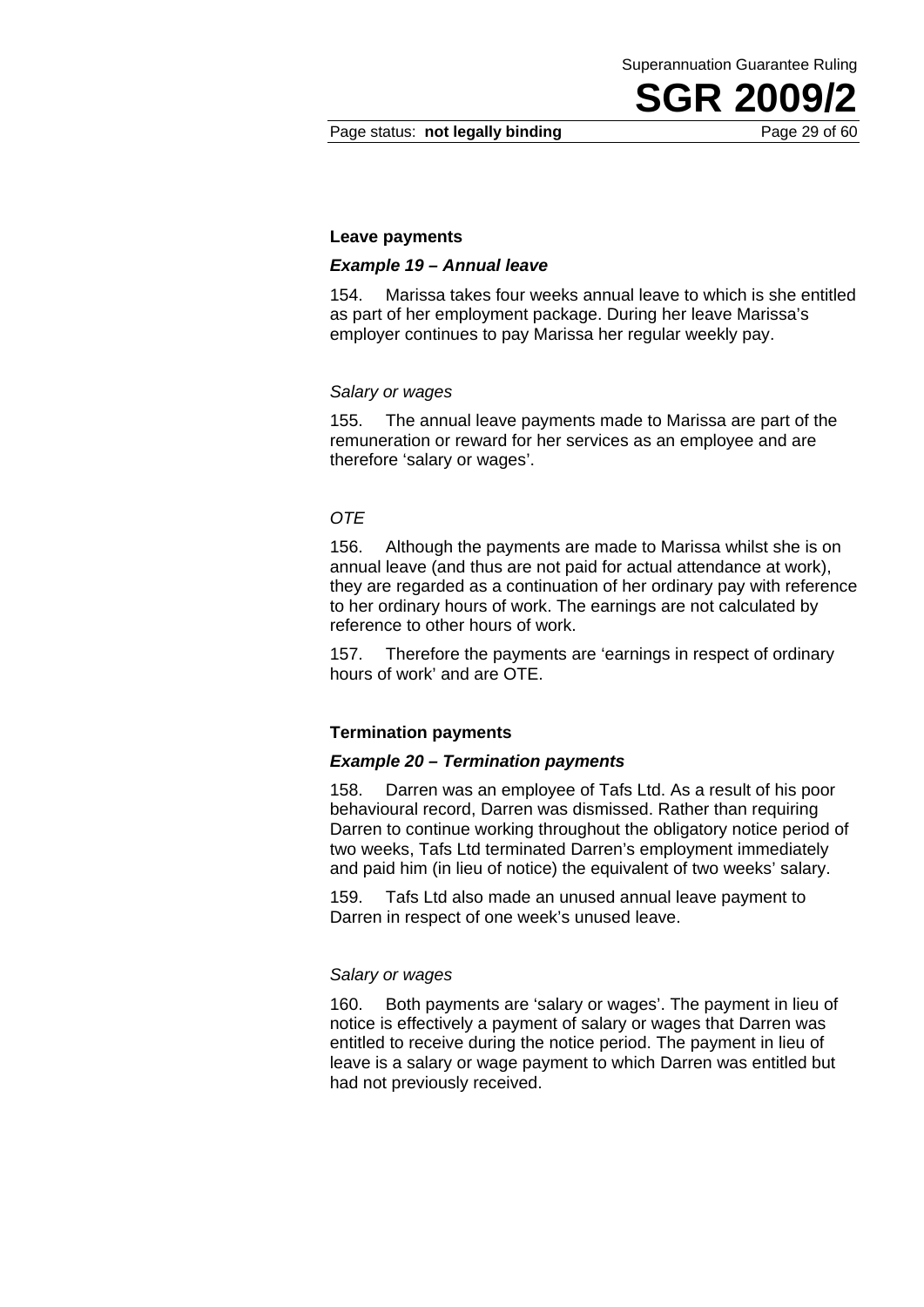#### Page status: **not legally binding** Page 29 of 60

#### **Leave payments**

#### *Example 19 – Annual leave*

154. Marissa takes four weeks annual leave to which is she entitled as part of her employment package. During her leave Marissa's employer continues to pay Marissa her regular weekly pay.

#### *Salary or wages*

155. The annual leave payments made to Marissa are part of the remuneration or reward for her services as an employee and are therefore 'salary or wages'.

#### *OTE*

156. Although the payments are made to Marissa whilst she is on annual leave (and thus are not paid for actual attendance at work), they are regarded as a continuation of her ordinary pay with reference to her ordinary hours of work. The earnings are not calculated by reference to other hours of work.

157. Therefore the payments are 'earnings in respect of ordinary hours of work' and are OTE.

#### **Termination payments**

#### *Example 20 – Termination payments*

158. Darren was an employee of Tafs Ltd. As a result of his poor behavioural record, Darren was dismissed. Rather than requiring Darren to continue working throughout the obligatory notice period of two weeks, Tafs Ltd terminated Darren's employment immediately and paid him (in lieu of notice) the equivalent of two weeks' salary.

159. Tafs Ltd also made an unused annual leave payment to Darren in respect of one week's unused leave.

#### *Salary or wages*

160. Both payments are 'salary or wages'. The payment in lieu of notice is effectively a payment of salary or wages that Darren was entitled to receive during the notice period. The payment in lieu of leave is a salary or wage payment to which Darren was entitled but had not previously received.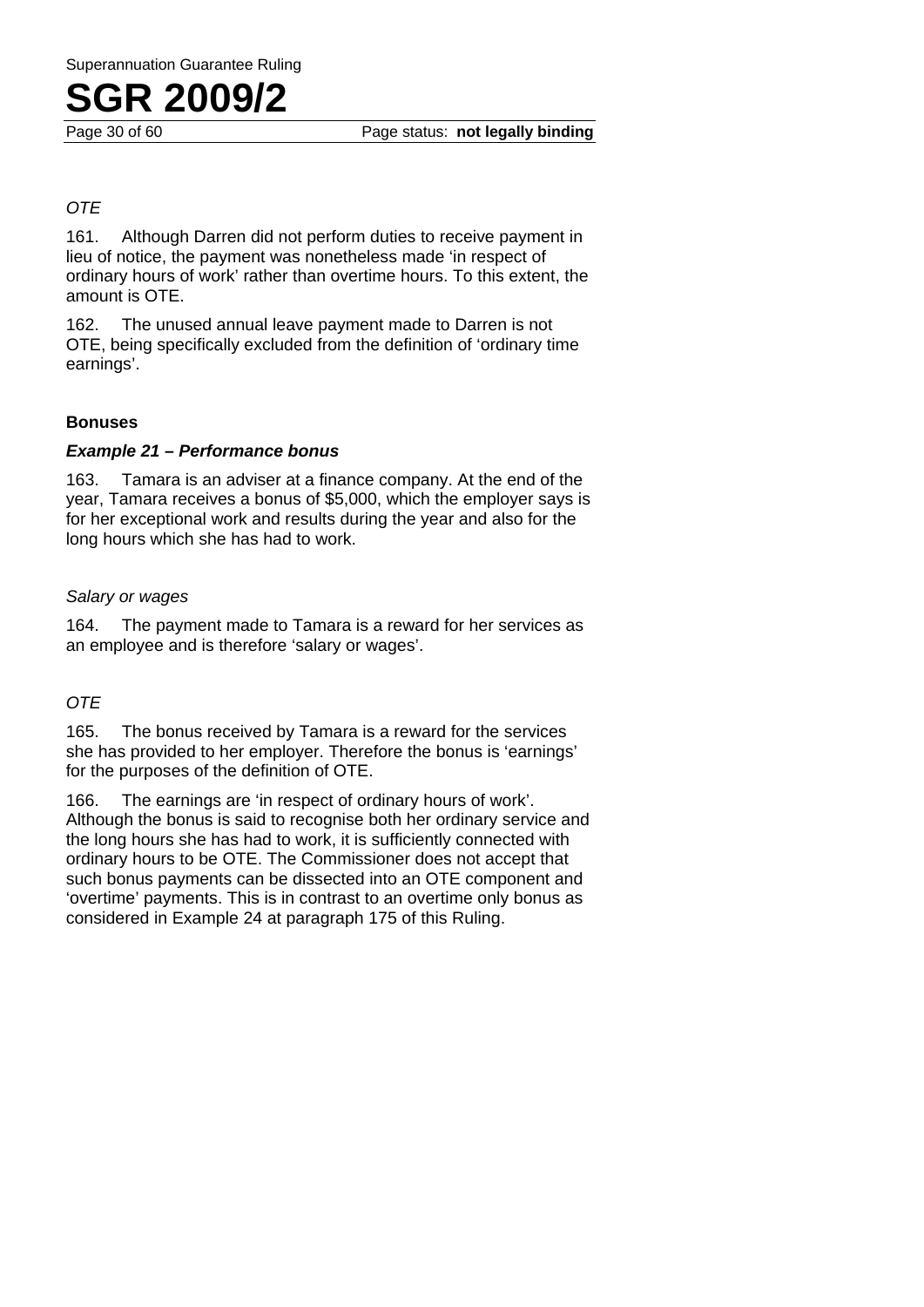#### *OTE*

161. Although Darren did not perform duties to receive payment in lieu of notice, the payment was nonetheless made 'in respect of ordinary hours of work' rather than overtime hours. To this extent, the amount is OTE.

162. The unused annual leave payment made to Darren is not OTE, being specifically excluded from the definition of 'ordinary time earnings'.

#### **Bonuses**

#### *Example 21 – Performance bonus*

163. Tamara is an adviser at a finance company. At the end of the year, Tamara receives a bonus of \$5,000, which the employer says is for her exceptional work and results during the year and also for the long hours which she has had to work.

#### *Salary or wages*

164. The payment made to Tamara is a reward for her services as an employee and is therefore 'salary or wages'.

#### *OTE*

165. The bonus received by Tamara is a reward for the services she has provided to her employer. Therefore the bonus is 'earnings' for the purposes of the definition of OTE.

166. The earnings are 'in respect of ordinary hours of work'. Although the bonus is said to recognise both her ordinary service and the long hours she has had to work, it is sufficiently connected with ordinary hours to be OTE. The Commissioner does not accept that such bonus payments can be dissected into an OTE component and 'overtime' payments. This is in contrast to an overtime only bonus as considered in Example 24 at paragraph 175 of this Ruling.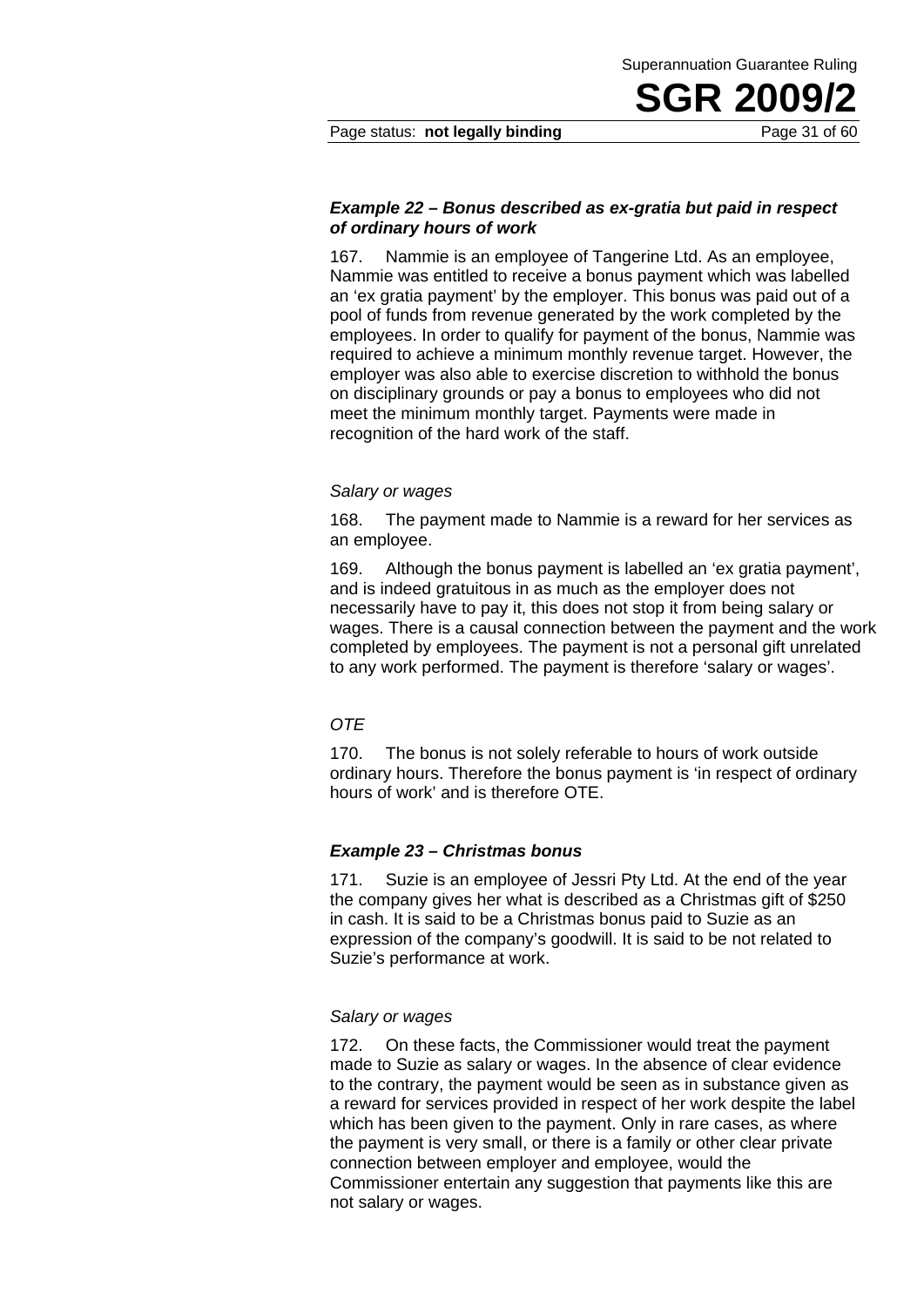#### Page status: **not legally binding** Page 31 of 60

#### *Example 22 – Bonus described as ex-gratia but paid in respect of ordinary hours of work*

167. Nammie is an employee of Tangerine Ltd. As an employee, Nammie was entitled to receive a bonus payment which was labelled an 'ex gratia payment' by the employer. This bonus was paid out of a pool of funds from revenue generated by the work completed by the employees. In order to qualify for payment of the bonus, Nammie was required to achieve a minimum monthly revenue target. However, the employer was also able to exercise discretion to withhold the bonus on disciplinary grounds or pay a bonus to employees who did not meet the minimum monthly target. Payments were made in recognition of the hard work of the staff.

#### *Salary or wages*

168. The payment made to Nammie is a reward for her services as an employee.

169. Although the bonus payment is labelled an 'ex gratia payment', and is indeed gratuitous in as much as the employer does not necessarily have to pay it, this does not stop it from being salary or wages. There is a causal connection between the payment and the work completed by employees. The payment is not a personal gift unrelated to any work performed. The payment is therefore 'salary or wages'.

#### *OTE*

170. The bonus is not solely referable to hours of work outside ordinary hours. Therefore the bonus payment is 'in respect of ordinary hours of work' and is therefore OTE.

#### *Example 23 – Christmas bonus*

171. Suzie is an employee of Jessri Pty Ltd. At the end of the year the company gives her what is described as a Christmas gift of \$250 in cash. It is said to be a Christmas bonus paid to Suzie as an expression of the company's goodwill. It is said to be not related to Suzie's performance at work.

#### *Salary or wages*

172. On these facts, the Commissioner would treat the payment made to Suzie as salary or wages. In the absence of clear evidence to the contrary, the payment would be seen as in substance given as a reward for services provided in respect of her work despite the label which has been given to the payment. Only in rare cases, as where the payment is very small, or there is a family or other clear private connection between employer and employee, would the Commissioner entertain any suggestion that payments like this are not salary or wages.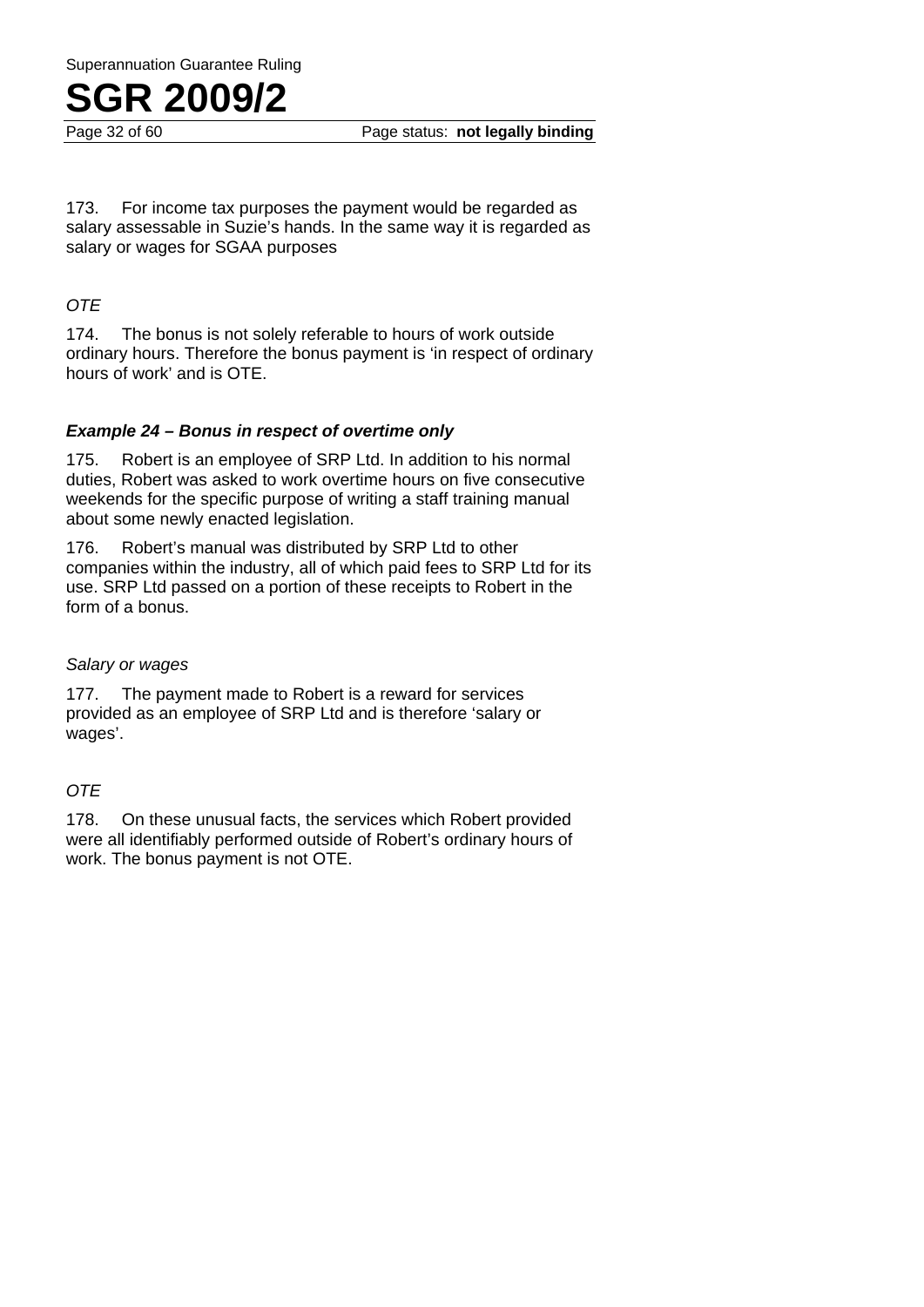

Page 32 of 60 Page status: **not legally binding**

173. For income tax purposes the payment would be regarded as salary assessable in Suzie's hands. In the same way it is regarded as salary or wages for SGAA purposes

#### *OTE*

174. The bonus is not solely referable to hours of work outside ordinary hours. Therefore the bonus payment is 'in respect of ordinary hours of work' and is OTE.

#### *Example 24 – Bonus in respect of overtime only*

175. Robert is an employee of SRP Ltd. In addition to his normal duties, Robert was asked to work overtime hours on five consecutive weekends for the specific purpose of writing a staff training manual about some newly enacted legislation.

176. Robert's manual was distributed by SRP Ltd to other companies within the industry, all of which paid fees to SRP Ltd for its use. SRP Ltd passed on a portion of these receipts to Robert in the form of a bonus.

#### *Salary or wages*

177. The payment made to Robert is a reward for services provided as an employee of SRP Ltd and is therefore 'salary or wages'.

#### *OTE*

178. On these unusual facts, the services which Robert provided were all identifiably performed outside of Robert's ordinary hours of work. The bonus payment is not OTE.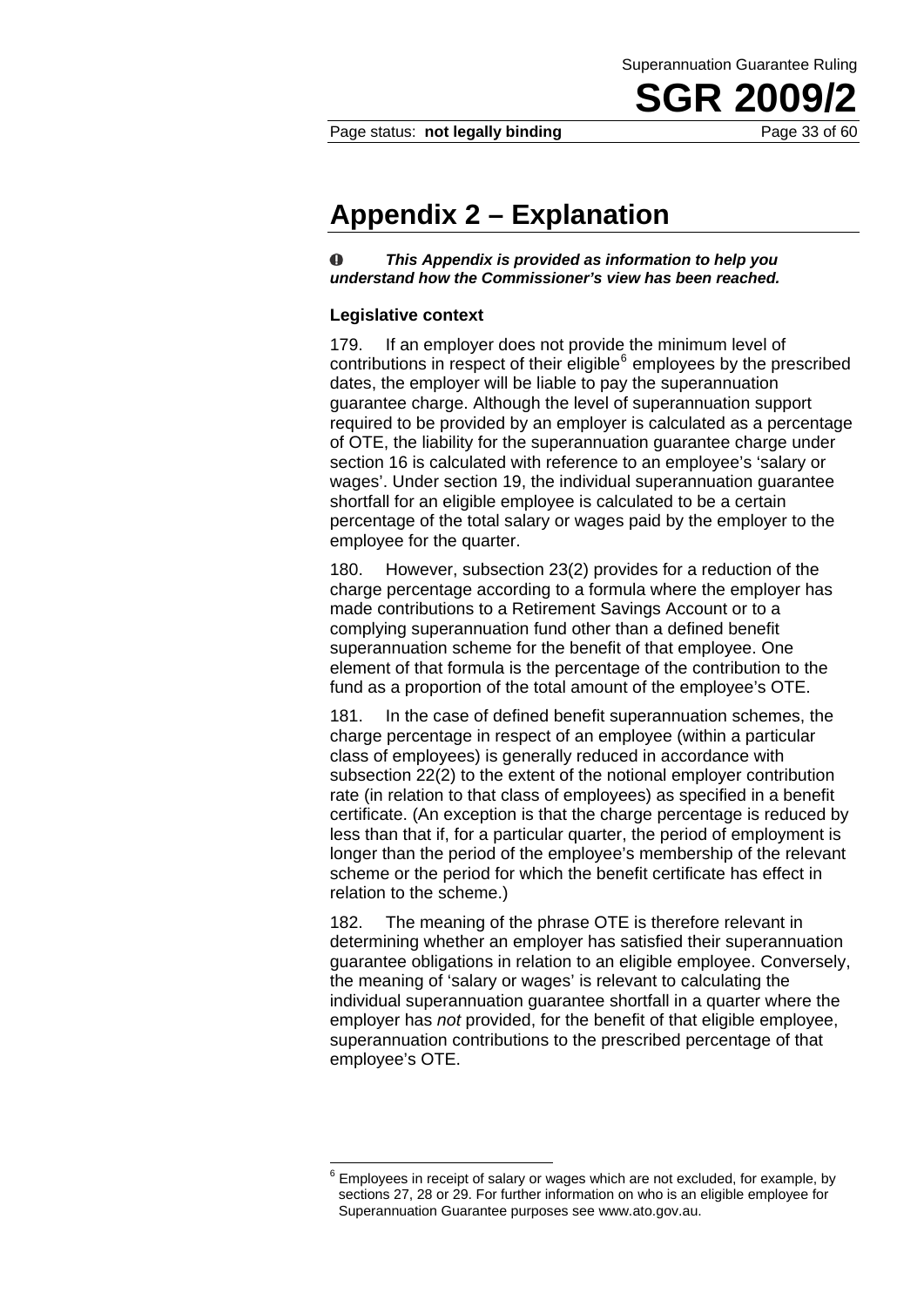Page status: **not legally binding** Page 33 of 60

### **Appendix 2 – Explanation**

 $\bullet$ *This Appendix is provided as information to help you understand how the Commissioner's view has been reached.* 

#### **Legislative context**

179. If an employer does not provide the minimum level of contributions in respect of their eligible $<sup>6</sup>$  employees by the prescribed</sup> dates, the employer will be liable to pay the superannuation guarantee charge. Although the level of superannuation support required to be provided by an employer is calculated as a percentage of OTE, the liability for the superannuation guarantee charge under section 16 is calculated with reference to an employee's 'salary or wages'. Under section 19, the individual superannuation guarantee shortfall for an eligible employee is calculated to be a certain percentage of the total salary or wages paid by the employer to the employee for the quarter.

180. However, subsection 23(2) provides for a reduction of the charge percentage according to a formula where the employer has made contributions to a Retirement Savings Account or to a complying superannuation fund other than a defined benefit superannuation scheme for the benefit of that employee. One element of that formula is the percentage of the contribution to the fund as a proportion of the total amount of the employee's OTE.

181. In the case of defined benefit superannuation schemes, the charge percentage in respect of an employee (within a particular class of employees) is generally reduced in accordance with subsection 22(2) to the extent of the notional employer contribution rate (in relation to that class of employees) as specified in a benefit certificate. (An exception is that the charge percentage is reduced by less than that if, for a particular quarter, the period of employment is longer than the period of the employee's membership of the relevant scheme or the period for which the benefit certificate has effect in relation to the scheme.)

182. The meaning of the phrase OTE is therefore relevant in determining whether an employer has satisfied their superannuation guarantee obligations in relation to an eligible employee. Conversely, the meaning of 'salary or wages' is relevant to calculating the individual superannuation guarantee shortfall in a quarter where the employer has *not* provided, for the benefit of that eligible employee, superannuation contributions to the prescribed percentage of that employee's OTE.

<sup>1</sup> 6 Employees in receipt of salary or wages which are not excluded, for example, by sections 27, 28 or 29. For further information on who is an eligible employee for Superannuation Guarantee purposes see www.ato.gov.au.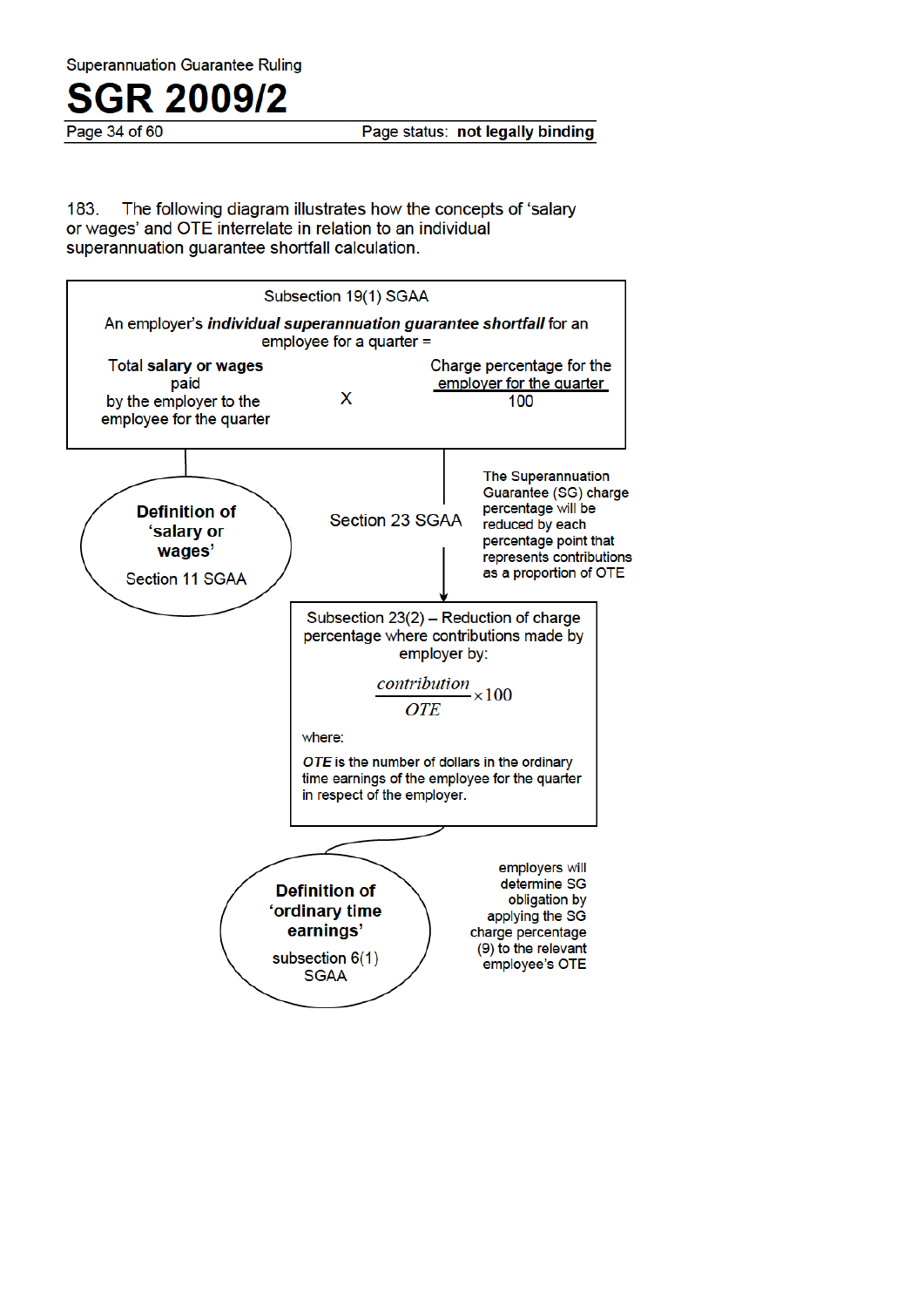Page 34 of 60

Page status: not legally binding

183. The following diagram illustrates how the concepts of 'salary or wages' and OTE interrelate in relation to an individual superannuation quarantee shortfall calculation.

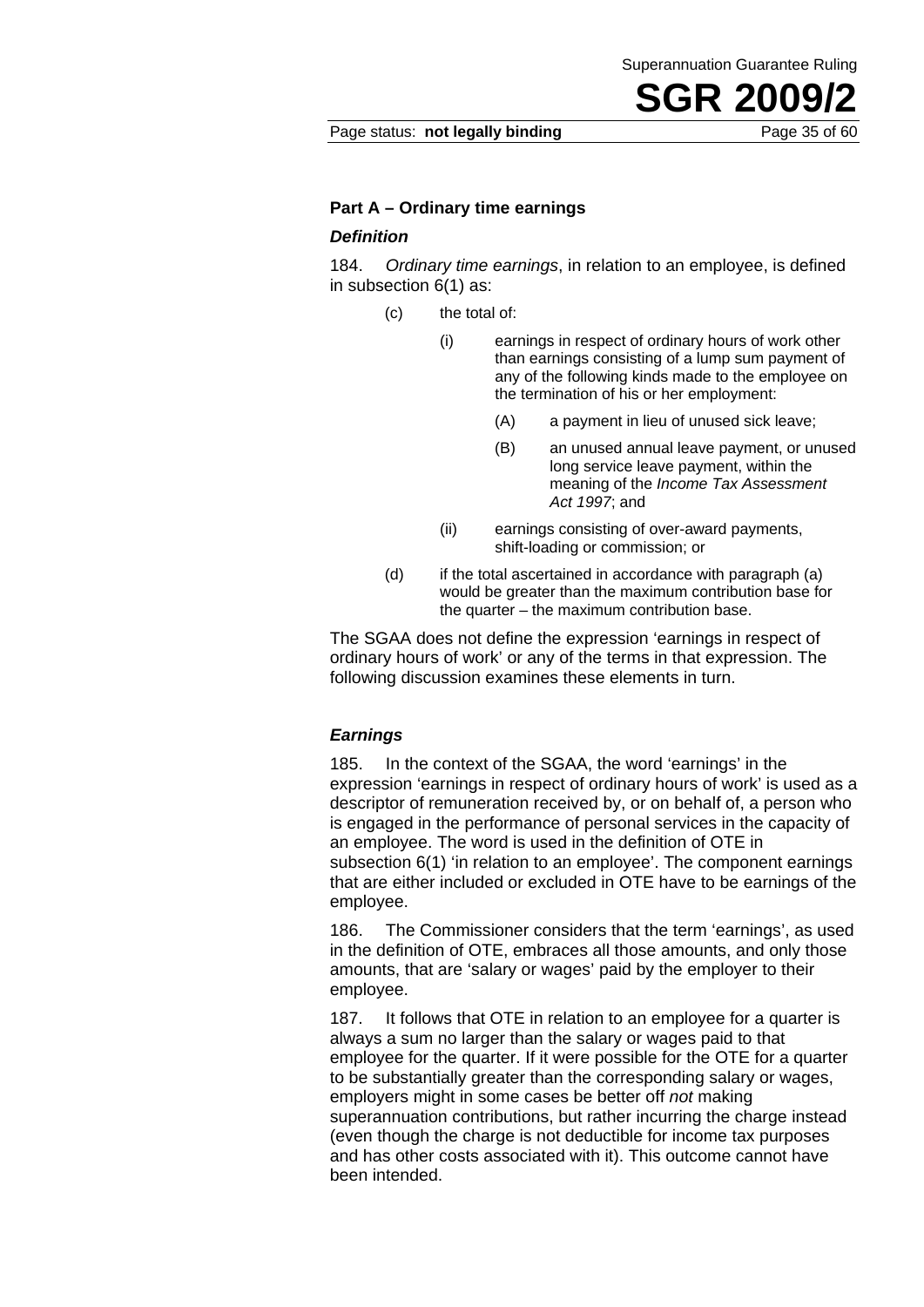Page status: **not legally binding** Page 35 of 60

#### **Part A – Ordinary time earnings**

#### *Definition*

184. *Ordinary time earnings*, in relation to an employee, is defined in subsection 6(1) as:

- (c) the total of:
	- (i) earnings in respect of ordinary hours of work other than earnings consisting of a lump sum payment of any of the following kinds made to the employee on the termination of his or her employment:
		- (A) a payment in lieu of unused sick leave;
		- (B) an unused annual leave payment, or unused long service leave payment, within the meaning of the *Income Tax Assessment Act 1997*; and
	- (ii) earnings consisting of over-award payments, shift-loading or commission; or
- (d) if the total ascertained in accordance with paragraph (a) would be greater than the maximum contribution base for the quarter – the maximum contribution base.

The SGAA does not define the expression 'earnings in respect of ordinary hours of work' or any of the terms in that expression. The following discussion examines these elements in turn.

#### *Earnings*

185. In the context of the SGAA, the word 'earnings' in the expression 'earnings in respect of ordinary hours of work' is used as a descriptor of remuneration received by, or on behalf of, a person who is engaged in the performance of personal services in the capacity of an employee. The word is used in the definition of OTE in subsection 6(1) 'in relation to an employee'. The component earnings that are either included or excluded in OTE have to be earnings of the employee.

186. The Commissioner considers that the term 'earnings', as used in the definition of OTE, embraces all those amounts, and only those amounts, that are 'salary or wages' paid by the employer to their employee.

187. It follows that OTE in relation to an employee for a quarter is always a sum no larger than the salary or wages paid to that employee for the quarter. If it were possible for the OTE for a quarter to be substantially greater than the corresponding salary or wages, employers might in some cases be better off *not* making superannuation contributions, but rather incurring the charge instead (even though the charge is not deductible for income tax purposes and has other costs associated with it). This outcome cannot have been intended.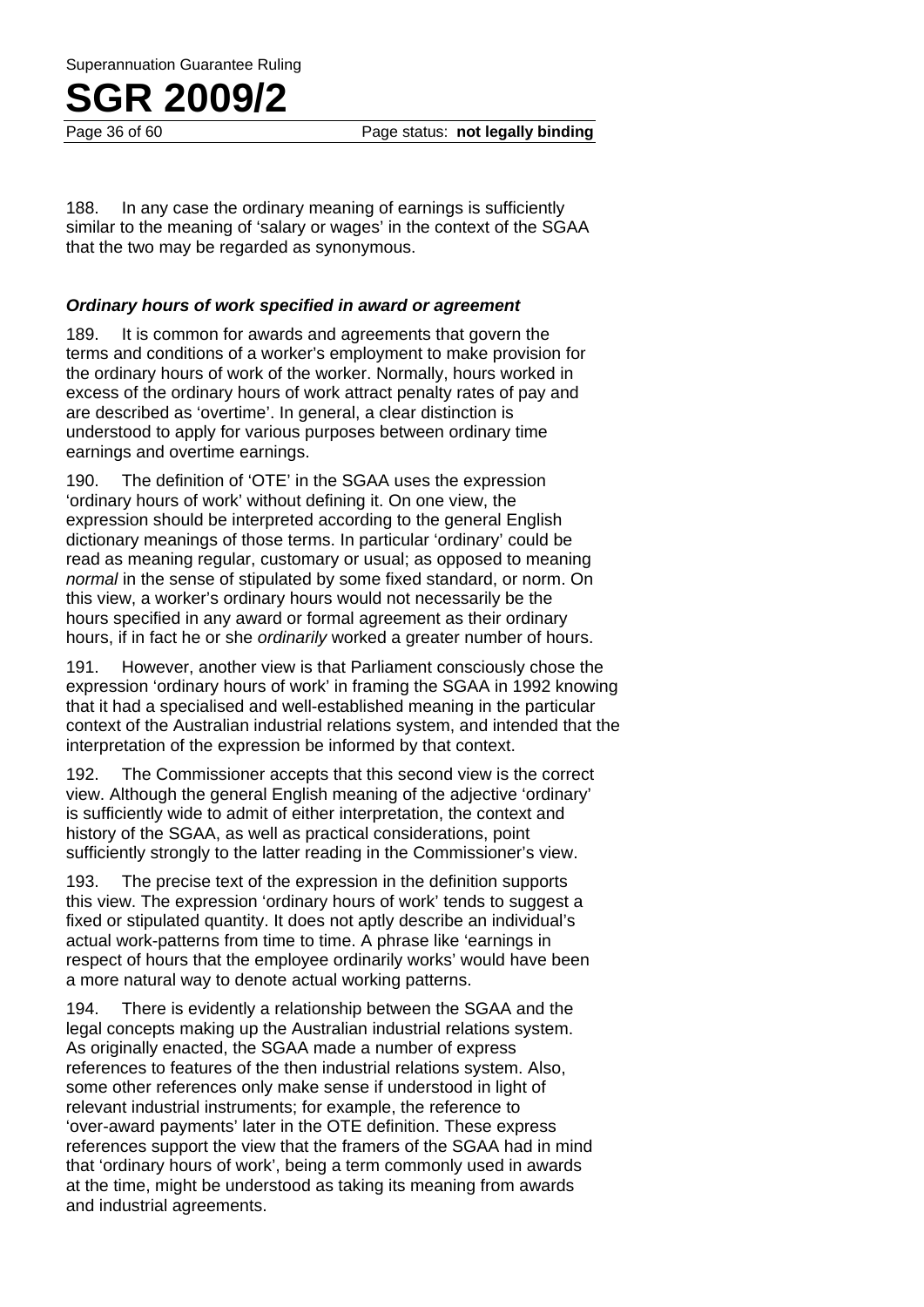Superannuation Guarantee Ruling

## **SGR 2009/2**

Page 36 of 60 Page status: **not legally binding**

188. In any case the ordinary meaning of earnings is sufficiently similar to the meaning of 'salary or wages' in the context of the SGAA that the two may be regarded as synonymous.

#### *Ordinary hours of work specified in award or agreement*

189. It is common for awards and agreements that govern the terms and conditions of a worker's employment to make provision for the ordinary hours of work of the worker. Normally, hours worked in excess of the ordinary hours of work attract penalty rates of pay and are described as 'overtime'. In general, a clear distinction is understood to apply for various purposes between ordinary time earnings and overtime earnings.

190. The definition of 'OTE' in the SGAA uses the expression 'ordinary hours of work' without defining it. On one view, the expression should be interpreted according to the general English dictionary meanings of those terms. In particular 'ordinary' could be read as meaning regular, customary or usual; as opposed to meaning *normal* in the sense of stipulated by some fixed standard, or norm. On this view, a worker's ordinary hours would not necessarily be the hours specified in any award or formal agreement as their ordinary hours, if in fact he or she *ordinarily* worked a greater number of hours.

191. However, another view is that Parliament consciously chose the expression 'ordinary hours of work' in framing the SGAA in 1992 knowing that it had a specialised and well-established meaning in the particular context of the Australian industrial relations system, and intended that the interpretation of the expression be informed by that context.

192. The Commissioner accepts that this second view is the correct view. Although the general English meaning of the adjective 'ordinary' is sufficiently wide to admit of either interpretation, the context and history of the SGAA, as well as practical considerations, point sufficiently strongly to the latter reading in the Commissioner's view.

193. The precise text of the expression in the definition supports this view. The expression 'ordinary hours of work' tends to suggest a fixed or stipulated quantity. It does not aptly describe an individual's actual work-patterns from time to time. A phrase like 'earnings in respect of hours that the employee ordinarily works' would have been a more natural way to denote actual working patterns.

194. There is evidently a relationship between the SGAA and the legal concepts making up the Australian industrial relations system. As originally enacted, the SGAA made a number of express references to features of the then industrial relations system. Also, some other references only make sense if understood in light of relevant industrial instruments; for example, the reference to 'over-award payments' later in the OTE definition. These express references support the view that the framers of the SGAA had in mind that 'ordinary hours of work', being a term commonly used in awards at the time, might be understood as taking its meaning from awards and industrial agreements.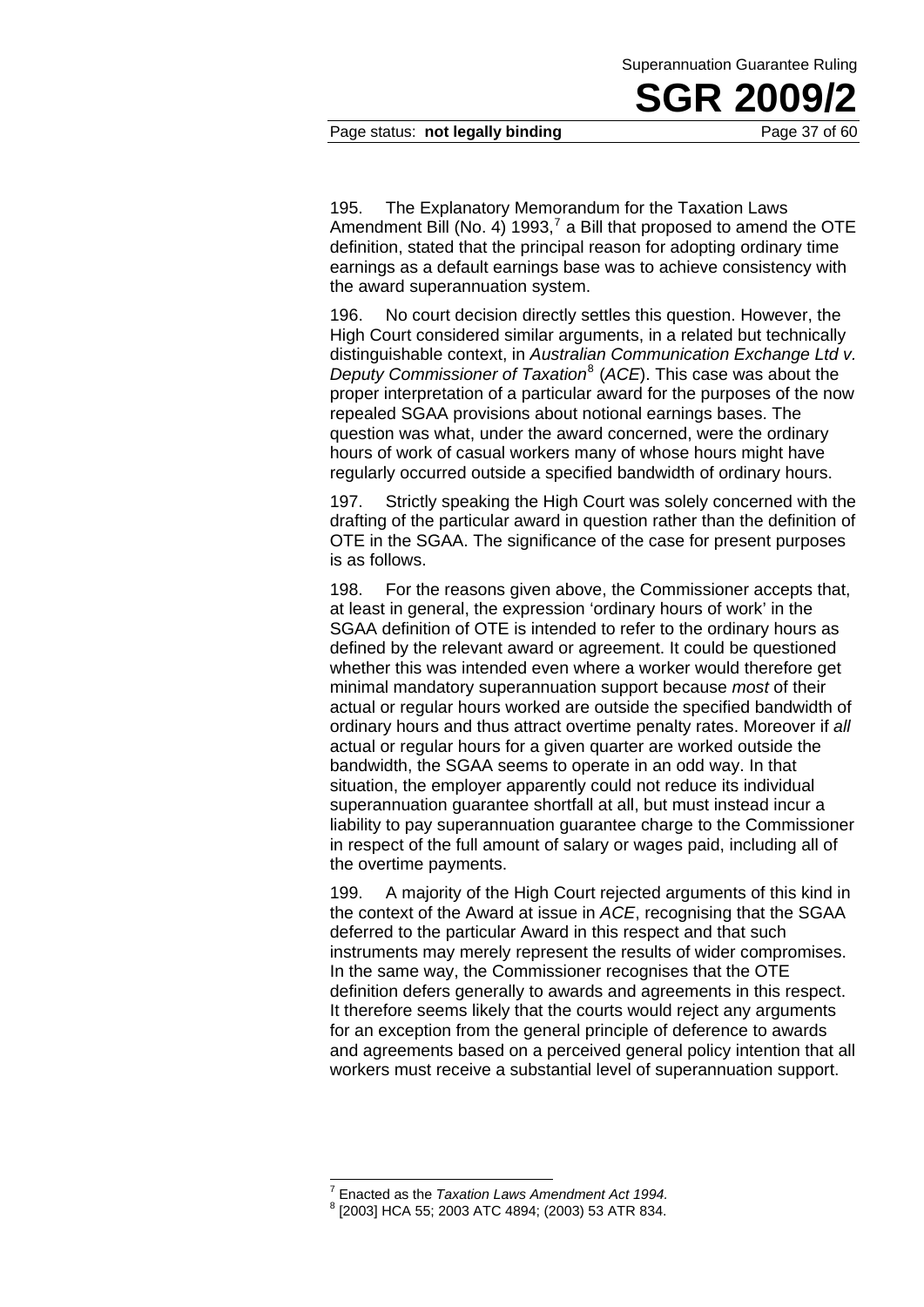#### Page status: **not legally binding** Page 37 of 60

195. The Explanatory Memorandum for the Taxation Laws Amendment Bill (No. 4) 1993,<sup>7</sup> a Bill that proposed to amend the OTE definition, stated that the principal reason for adopting ordinary time earnings as a default earnings base was to achieve consistency with the award superannuation system.

196. No court decision directly settles this question. However, the High Court considered similar arguments, in a related but technically distinguishable context, in *Australian Communication Exchange Ltd v. Deputy Commissioner of Taxation*<sup>8</sup> (*ACE*). This case was about the proper interpretation of a particular award for the purposes of the now repealed SGAA provisions about notional earnings bases. The question was what, under the award concerned, were the ordinary hours of work of casual workers many of whose hours might have regularly occurred outside a specified bandwidth of ordinary hours.

197. Strictly speaking the High Court was solely concerned with the drafting of the particular award in question rather than the definition of OTE in the SGAA. The significance of the case for present purposes is as follows.

198. For the reasons given above, the Commissioner accepts that, at least in general, the expression 'ordinary hours of work' in the SGAA definition of OTE is intended to refer to the ordinary hours as defined by the relevant award or agreement. It could be questioned whether this was intended even where a worker would therefore get minimal mandatory superannuation support because *most* of their actual or regular hours worked are outside the specified bandwidth of ordinary hours and thus attract overtime penalty rates. Moreover if *all* actual or regular hours for a given quarter are worked outside the bandwidth, the SGAA seems to operate in an odd way. In that situation, the employer apparently could not reduce its individual superannuation guarantee shortfall at all, but must instead incur a liability to pay superannuation guarantee charge to the Commissioner in respect of the full amount of salary or wages paid, including all of the overtime payments.

199. A majority of the High Court rejected arguments of this kind in the context of the Award at issue in *ACE*, recognising that the SGAA deferred to the particular Award in this respect and that such instruments may merely represent the results of wider compromises. In the same way, the Commissioner recognises that the OTE definition defers generally to awards and agreements in this respect. It therefore seems likely that the courts would reject any arguments for an exception from the general principle of deference to awards and agreements based on a perceived general policy intention that all workers must receive a substantial level of superannuation support.

-

<sup>&</sup>lt;sup>7</sup> Enacted as the *Taxation Laws Amendment Act 1994.*<br><sup>8</sup> [2003] HCA 55: 2003 ATC 4804: (2003) 53 ATB 824.

 <sup>[2003]</sup> HCA 55; 2003 ATC 4894; (2003) 53 ATR 834.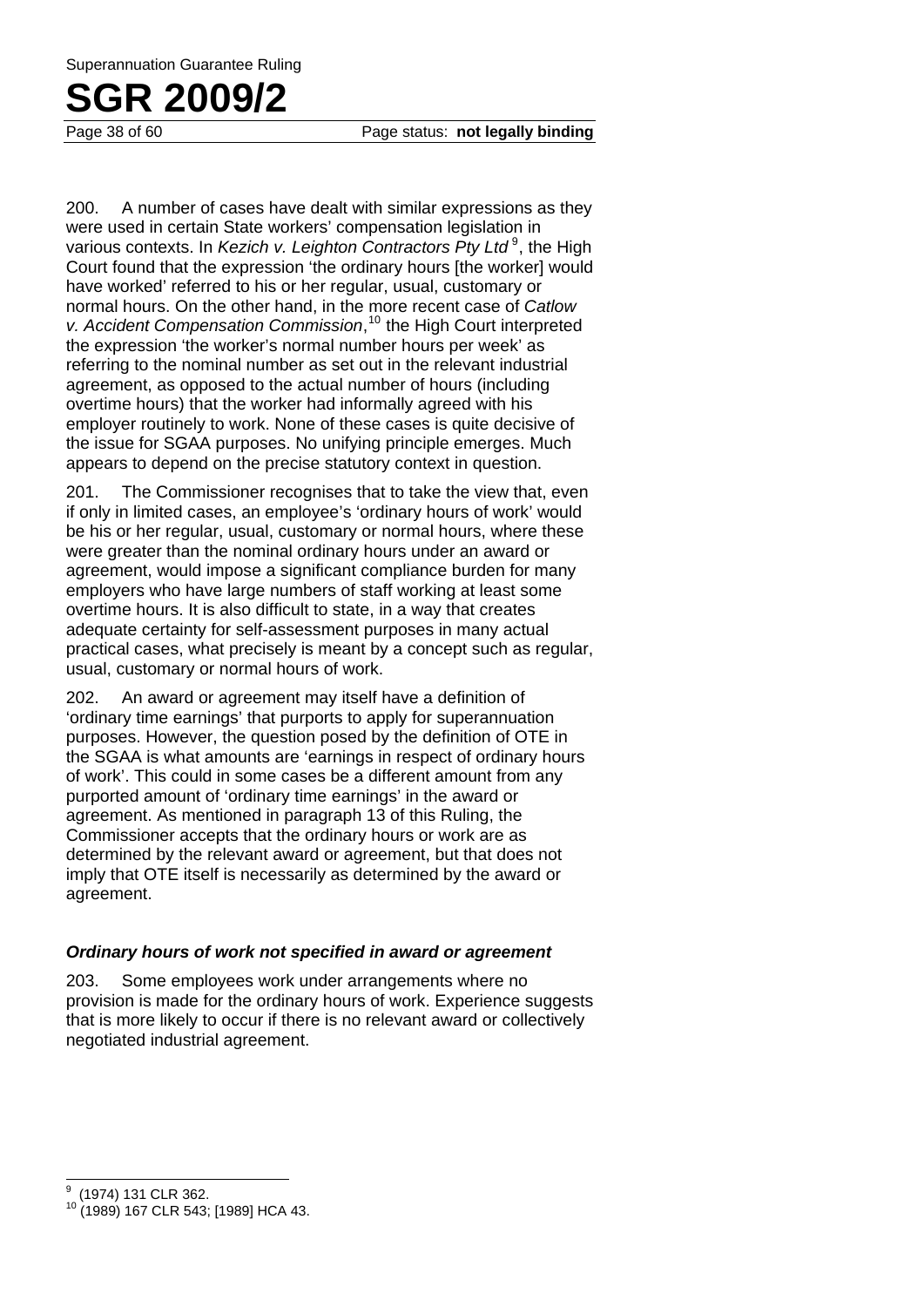Page 38 of 60 Page status: **not legally binding**

200. A number of cases have dealt with similar expressions as they were used in certain State workers' compensation legislation in various contexts. In *Kezich v. Leighton Contractors Pty Ltd*<sup>9</sup>, the High Court found that the expression 'the ordinary hours [the worker] would have worked' referred to his or her regular, usual, customary or normal hours. On the other hand, in the more recent case of *Catlow v. Accident Compensation Commission*, 10 the High Court interpreted the expression 'the worker's normal number hours per week' as referring to the nominal number as set out in the relevant industrial agreement, as opposed to the actual number of hours (including overtime hours) that the worker had informally agreed with his employer routinely to work. None of these cases is quite decisive of the issue for SGAA purposes. No unifying principle emerges. Much appears to depend on the precise statutory context in question.

201. The Commissioner recognises that to take the view that, even if only in limited cases, an employee's 'ordinary hours of work' would be his or her regular, usual, customary or normal hours, where these were greater than the nominal ordinary hours under an award or agreement, would impose a significant compliance burden for many employers who have large numbers of staff working at least some overtime hours. It is also difficult to state, in a way that creates adequate certainty for self-assessment purposes in many actual practical cases, what precisely is meant by a concept such as regular, usual, customary or normal hours of work.

202. An award or agreement may itself have a definition of 'ordinary time earnings' that purports to apply for superannuation purposes. However, the question posed by the definition of OTE in the SGAA is what amounts are 'earnings in respect of ordinary hours of work'. This could in some cases be a different amount from any purported amount of 'ordinary time earnings' in the award or agreement. As mentioned in paragraph 13 of this Ruling, the Commissioner accepts that the ordinary hours or work are as determined by the relevant award or agreement, but that does not imply that OTE itself is necessarily as determined by the award or agreement.

#### *Ordinary hours of work not specified in award or agreement*

203. Some employees work under arrangements where no provision is made for the ordinary hours of work. Experience suggests that is more likely to occur if there is no relevant award or collectively negotiated industrial agreement.

 $\overline{a}$ 

<sup>9</sup> (1974) 131 CLR 362.

<sup>&</sup>lt;sup>10</sup> (1989) 167 CLR 543; [1989] HCA 43.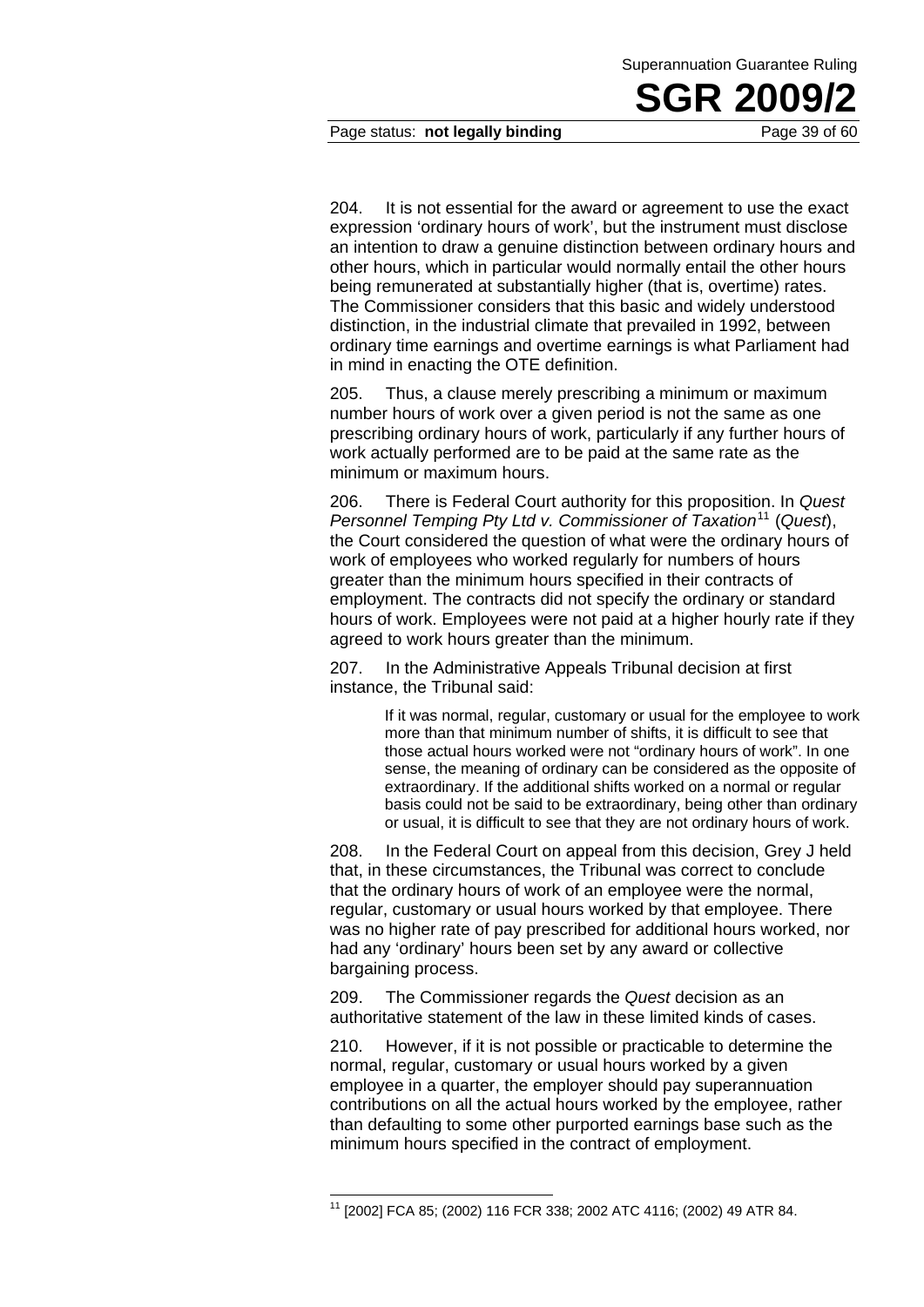Page status: **not legally binding** Page 39 of 60

204. It is not essential for the award or agreement to use the exact expression 'ordinary hours of work', but the instrument must disclose an intention to draw a genuine distinction between ordinary hours and other hours, which in particular would normally entail the other hours being remunerated at substantially higher (that is, overtime) rates. The Commissioner considers that this basic and widely understood distinction, in the industrial climate that prevailed in 1992, between ordinary time earnings and overtime earnings is what Parliament had in mind in enacting the OTE definition.

205. Thus, a clause merely prescribing a minimum or maximum number hours of work over a given period is not the same as one prescribing ordinary hours of work, particularly if any further hours of work actually performed are to be paid at the same rate as the minimum or maximum hours.

206. There is Federal Court authority for this proposition. In *Quest Personnel Temping Pty Ltd v. Commissioner of Taxation*<sup>11</sup> (*Quest*), the Court considered the question of what were the ordinary hours of work of employees who worked regularly for numbers of hours greater than the minimum hours specified in their contracts of employment. The contracts did not specify the ordinary or standard hours of work. Employees were not paid at a higher hourly rate if they agreed to work hours greater than the minimum.

207. In the Administrative Appeals Tribunal decision at first instance, the Tribunal said:

> If it was normal, regular, customary or usual for the employee to work more than that minimum number of shifts, it is difficult to see that those actual hours worked were not "ordinary hours of work". In one sense, the meaning of ordinary can be considered as the opposite of extraordinary. If the additional shifts worked on a normal or regular basis could not be said to be extraordinary, being other than ordinary or usual, it is difficult to see that they are not ordinary hours of work.

208. In the Federal Court on appeal from this decision, Grey J held that, in these circumstances, the Tribunal was correct to conclude that the ordinary hours of work of an employee were the normal, regular, customary or usual hours worked by that employee. There was no higher rate of pay prescribed for additional hours worked, nor had any 'ordinary' hours been set by any award or collective bargaining process.

209. The Commissioner regards the *Quest* decision as an authoritative statement of the law in these limited kinds of cases.

210. However, if it is not possible or practicable to determine the normal, regular, customary or usual hours worked by a given employee in a quarter, the employer should pay superannuation contributions on all the actual hours worked by the employee, rather than defaulting to some other purported earnings base such as the minimum hours specified in the contract of employment.

1

<sup>11 [2002]</sup> FCA 85; (2002) 116 FCR 338; 2002 ATC 4116; (2002) 49 ATR 84.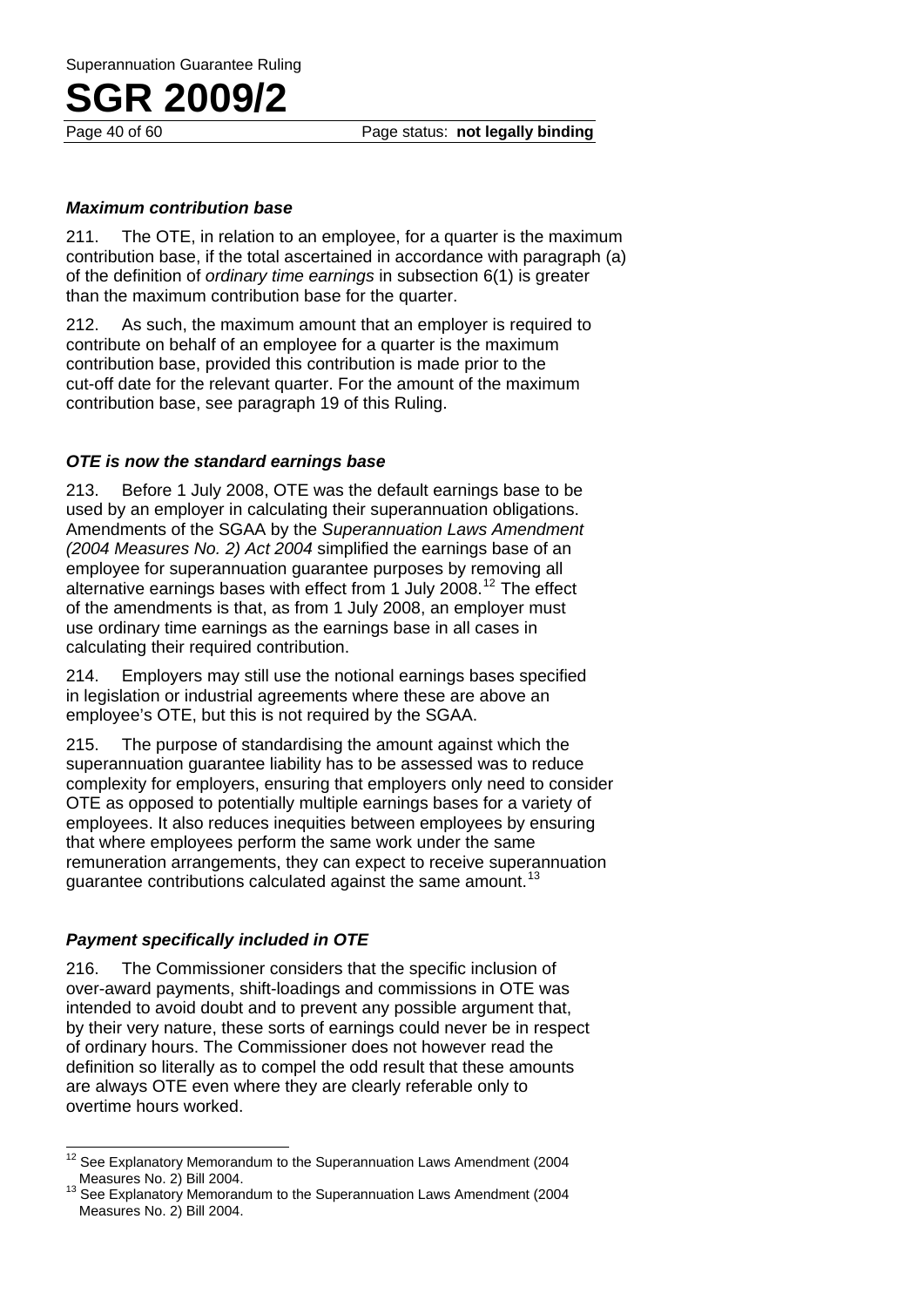Page 40 of 60 Page status: **not legally binding**

#### *Maximum contribution base*

211. The OTE, in relation to an employee, for a quarter is the maximum contribution base, if the total ascertained in accordance with paragraph (a) of the definition of *ordinary time earnings* in subsection 6(1) is greater than the maximum contribution base for the quarter.

212. As such, the maximum amount that an employer is required to contribute on behalf of an employee for a quarter is the maximum contribution base, provided this contribution is made prior to the cut-off date for the relevant quarter. For the amount of the maximum contribution base, see paragraph 19 of this Ruling.

#### *OTE is now the standard earnings base*

213. Before 1 July 2008, OTE was the default earnings base to be used by an employer in calculating their superannuation obligations. Amendments of the SGAA by the *Superannuation Laws Amendment (2004 Measures No. 2) Act 2004* simplified the earnings base of an employee for superannuation guarantee purposes by removing all alternative earnings bases with effect from 1 July 2008.12 The effect of the amendments is that, as from 1 July 2008, an employer must use ordinary time earnings as the earnings base in all cases in calculating their required contribution.

214. Employers may still use the notional earnings bases specified in legislation or industrial agreements where these are above an employee's OTE, but this is not required by the SGAA.

215. The purpose of standardising the amount against which the superannuation guarantee liability has to be assessed was to reduce complexity for employers, ensuring that employers only need to consider OTE as opposed to potentially multiple earnings bases for a variety of employees. It also reduces inequities between employees by ensuring that where employees perform the same work under the same remuneration arrangements, they can expect to receive superannuation guarantee contributions calculated against the same amount.<sup>13</sup>

#### *Payment specifically included in OTE*

216. The Commissioner considers that the specific inclusion of over-award payments, shift-loadings and commissions in OTE was intended to avoid doubt and to prevent any possible argument that, by their very nature, these sorts of earnings could never be in respect of ordinary hours. The Commissioner does not however read the definition so literally as to compel the odd result that these amounts are always OTE even where they are clearly referable only to overtime hours worked.

 $12$ See Explanatory Memorandum to the Superannuation Laws Amendment (2004<br>Measures No. 2) Bill 2004.

See Explanatory Memorandum to the Superannuation Laws Amendment (2004 Measures No. 2) Bill 2004.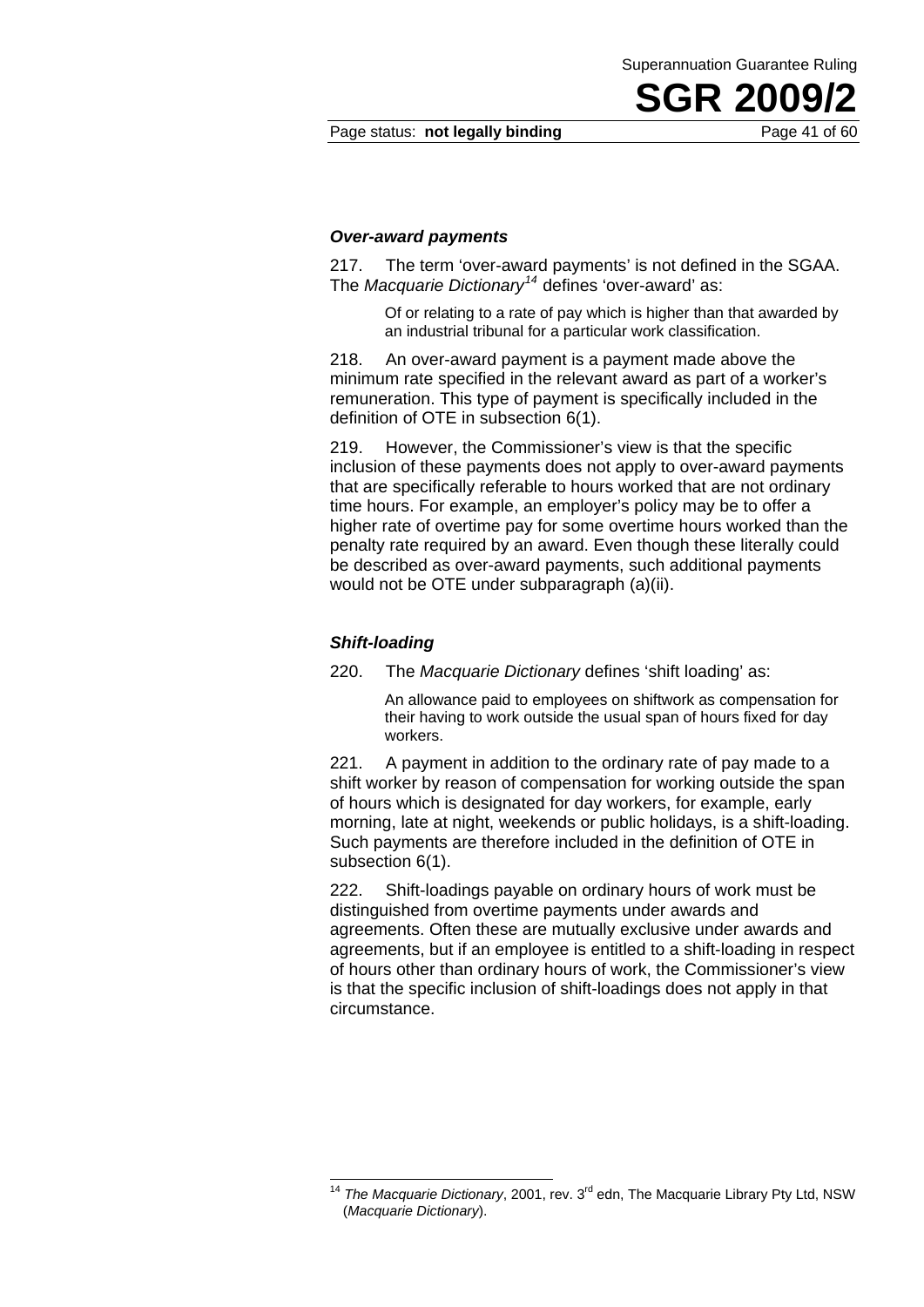Page status: **not legally binding** Page 41 of 60

**SGR 2009** 

Superannuation Guarantee Ruling

#### *Over-award payments*

217. The term 'over-award payments' is not defined in the SGAA. The *Macquarie Dictionary<sup>14</sup>* defines 'over-award' as:

Of or relating to a rate of pay which is higher than that awarded by an industrial tribunal for a particular work classification.

218. An over-award payment is a payment made above the minimum rate specified in the relevant award as part of a worker's remuneration. This type of payment is specifically included in the definition of OTE in subsection 6(1).

219. However, the Commissioner's view is that the specific inclusion of these payments does not apply to over-award payments that are specifically referable to hours worked that are not ordinary time hours. For example, an employer's policy may be to offer a higher rate of overtime pay for some overtime hours worked than the penalty rate required by an award. Even though these literally could be described as over-award payments, such additional payments would not be OTE under subparagraph (a)(ii).

#### *Shift-loading*

1

220. The *Macquarie Dictionary* defines 'shift loading' as:

An allowance paid to employees on shiftwork as compensation for their having to work outside the usual span of hours fixed for day workers.

221. A payment in addition to the ordinary rate of pay made to a shift worker by reason of compensation for working outside the span of hours which is designated for day workers, for example, early morning, late at night, weekends or public holidays, is a shift-loading. Such payments are therefore included in the definition of OTE in subsection 6(1).

222. Shift-loadings payable on ordinary hours of work must be distinguished from overtime payments under awards and agreements. Often these are mutually exclusive under awards and agreements, but if an employee is entitled to a shift-loading in respect of hours other than ordinary hours of work, the Commissioner's view is that the specific inclusion of shift-loadings does not apply in that circumstance.

<sup>&</sup>lt;sup>14</sup> The Macquarie Dictionary, 2001, rev. 3<sup>rd</sup> edn, The Macquarie Library Pty Ltd, NSW (*Macquarie Dictionary*).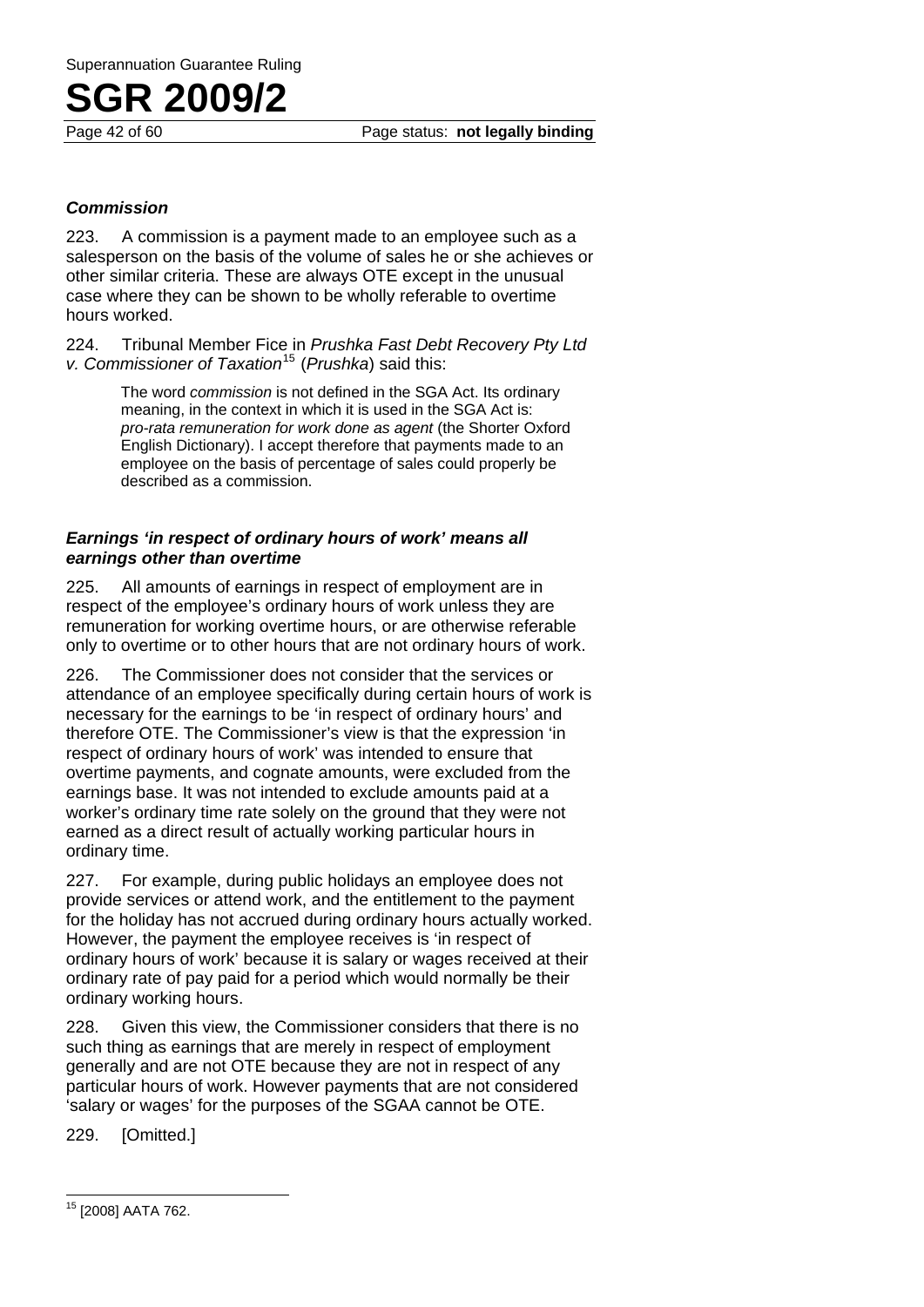Page 42 of 60 Page status: **not legally binding**

#### *Commission*

223. A commission is a payment made to an employee such as a salesperson on the basis of the volume of sales he or she achieves or other similar criteria. These are always OTE except in the unusual case where they can be shown to be wholly referable to overtime hours worked.

224. Tribunal Member Fice in *Prushka Fast Debt Recovery Pty Ltd v. Commissioner of Taxation*15 (*Prushka*) said this:

> The word *commission* is not defined in the SGA Act. Its ordinary meaning, in the context in which it is used in the SGA Act is: *pro-rata remuneration for work done as agent* (the Shorter Oxford English Dictionary). I accept therefore that payments made to an employee on the basis of percentage of sales could properly be described as a commission.

#### *Earnings 'in respect of ordinary hours of work' means all earnings other than overtime*

225. All amounts of earnings in respect of employment are in respect of the employee's ordinary hours of work unless they are remuneration for working overtime hours, or are otherwise referable only to overtime or to other hours that are not ordinary hours of work.

226. The Commissioner does not consider that the services or attendance of an employee specifically during certain hours of work is necessary for the earnings to be 'in respect of ordinary hours' and therefore OTE. The Commissioner's view is that the expression 'in respect of ordinary hours of work' was intended to ensure that overtime payments, and cognate amounts, were excluded from the earnings base. It was not intended to exclude amounts paid at a worker's ordinary time rate solely on the ground that they were not earned as a direct result of actually working particular hours in ordinary time.

227. For example, during public holidays an employee does not provide services or attend work, and the entitlement to the payment for the holiday has not accrued during ordinary hours actually worked. However, the payment the employee receives is 'in respect of ordinary hours of work' because it is salary or wages received at their ordinary rate of pay paid for a period which would normally be their ordinary working hours.

228. Given this view, the Commissioner considers that there is no such thing as earnings that are merely in respect of employment generally and are not OTE because they are not in respect of any particular hours of work. However payments that are not considered 'salary or wages' for the purposes of the SGAA cannot be OTE.

229. [Omitted.]

<sup>&</sup>lt;sup>15</sup> [2008] AATA 762.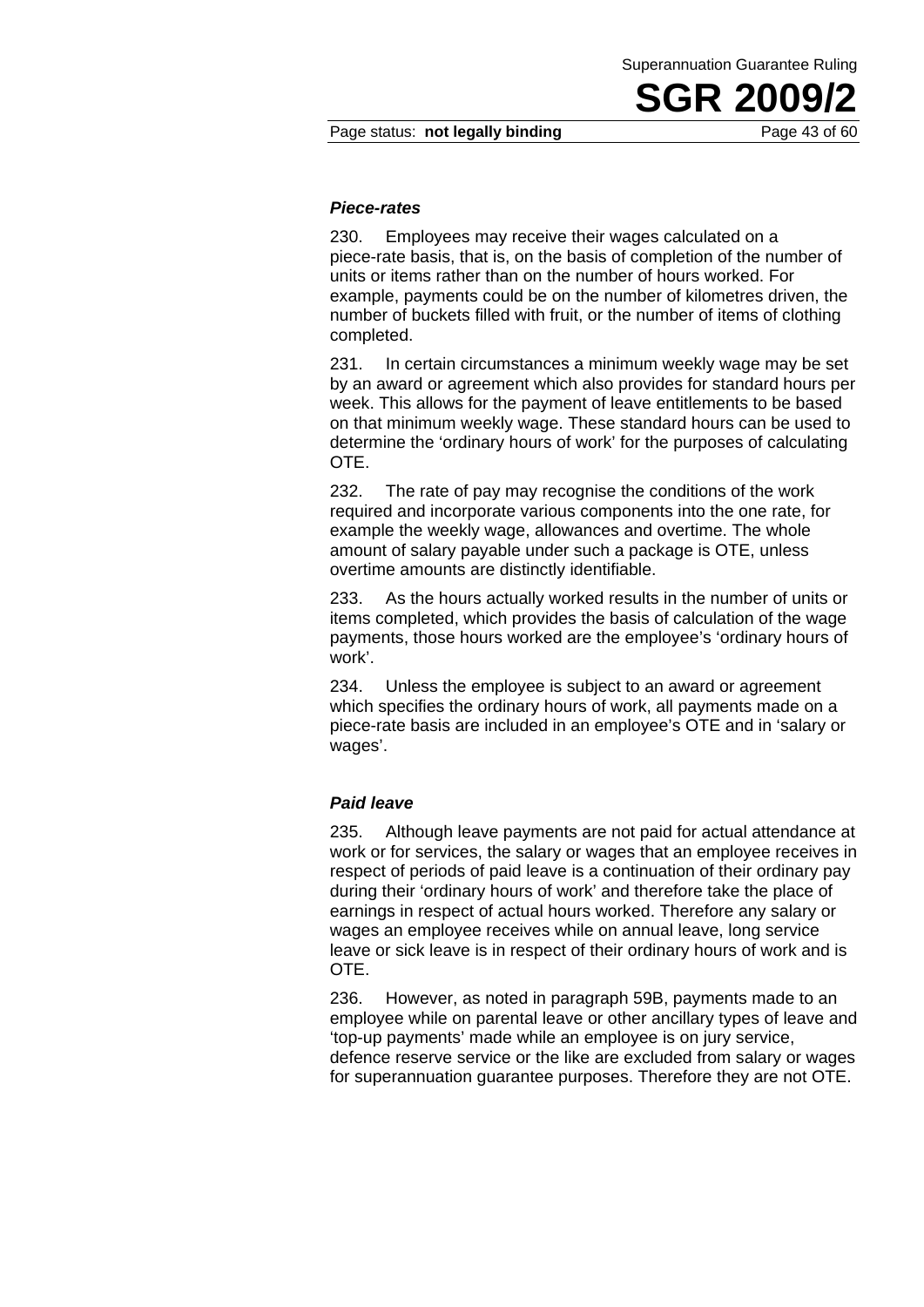#### *Piece-rates*

230. Employees may receive their wages calculated on a piece-rate basis, that is, on the basis of completion of the number of units or items rather than on the number of hours worked. For example, payments could be on the number of kilometres driven, the number of buckets filled with fruit, or the number of items of clothing completed.

231. In certain circumstances a minimum weekly wage may be set by an award or agreement which also provides for standard hours per week. This allows for the payment of leave entitlements to be based on that minimum weekly wage. These standard hours can be used to determine the 'ordinary hours of work' for the purposes of calculating OTE.

232. The rate of pay may recognise the conditions of the work required and incorporate various components into the one rate, for example the weekly wage, allowances and overtime. The whole amount of salary payable under such a package is OTE, unless overtime amounts are distinctly identifiable.

233. As the hours actually worked results in the number of units or items completed, which provides the basis of calculation of the wage payments, those hours worked are the employee's 'ordinary hours of work'.

234. Unless the employee is subject to an award or agreement which specifies the ordinary hours of work, all payments made on a piece-rate basis are included in an employee's OTE and in 'salary or wages'.

#### *Paid leave*

235. Although leave payments are not paid for actual attendance at work or for services, the salary or wages that an employee receives in respect of periods of paid leave is a continuation of their ordinary pay during their 'ordinary hours of work' and therefore take the place of earnings in respect of actual hours worked. Therefore any salary or wages an employee receives while on annual leave, long service leave or sick leave is in respect of their ordinary hours of work and is OTE.

236. However, as noted in paragraph 59B, payments made to an employee while on parental leave or other ancillary types of leave and 'top-up payments' made while an employee is on jury service, defence reserve service or the like are excluded from salary or wages for superannuation guarantee purposes. Therefore they are not OTE.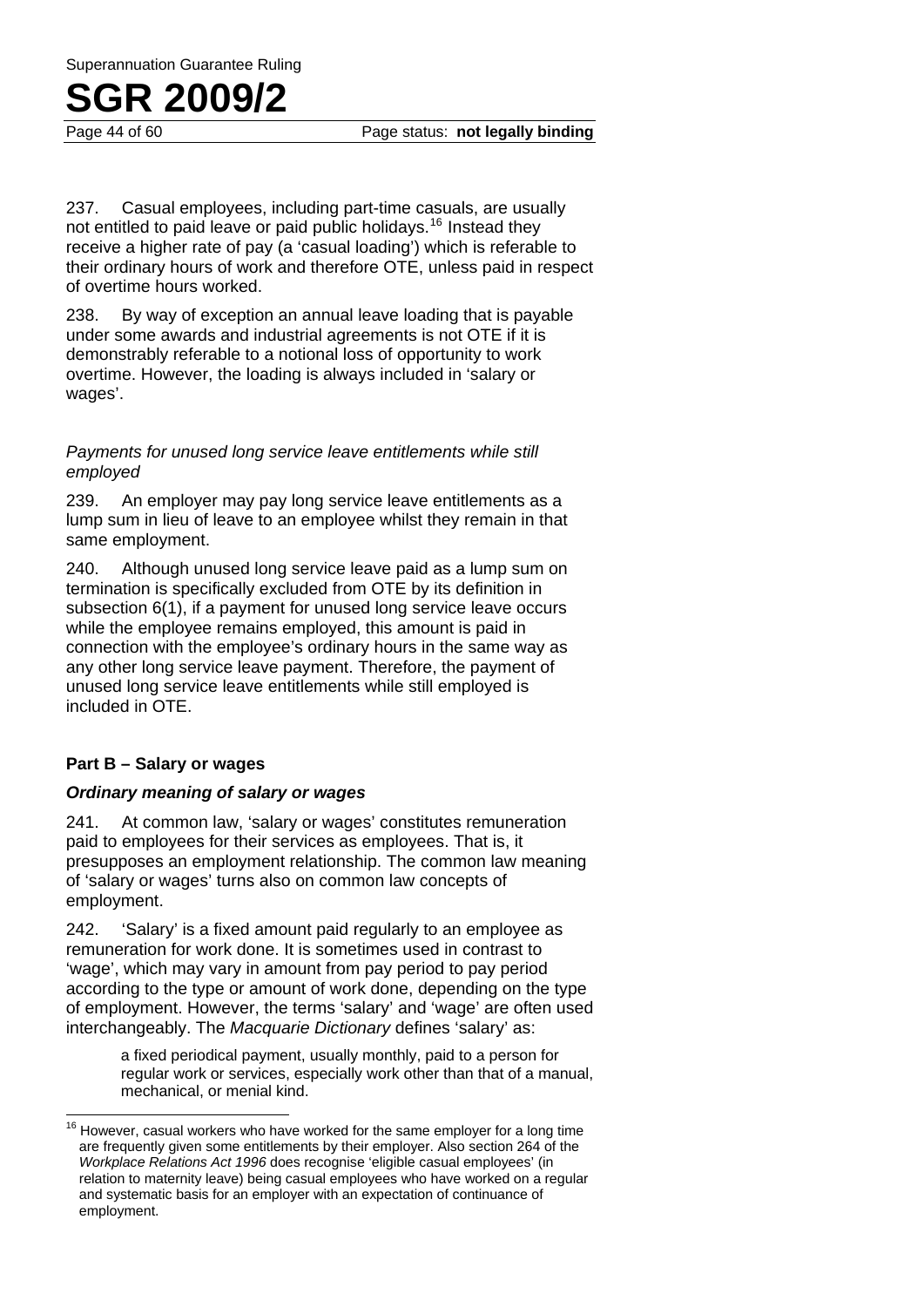Page 44 of 60 Page status: **not legally binding**

237. Casual employees, including part-time casuals, are usually not entitled to paid leave or paid public holidays.<sup>16</sup> Instead they receive a higher rate of pay (a 'casual loading') which is referable to their ordinary hours of work and therefore OTE, unless paid in respect of overtime hours worked.

238. By way of exception an annual leave loading that is payable under some awards and industrial agreements is not OTE if it is demonstrably referable to a notional loss of opportunity to work overtime. However, the loading is always included in 'salary or wages'.

#### *Payments for unused long service leave entitlements while still employed*

239. An employer may pay long service leave entitlements as a lump sum in lieu of leave to an employee whilst they remain in that same employment.

240. Although unused long service leave paid as a lump sum on termination is specifically excluded from OTE by its definition in subsection 6(1), if a payment for unused long service leave occurs while the employee remains employed, this amount is paid in connection with the employee's ordinary hours in the same way as any other long service leave payment. Therefore, the payment of unused long service leave entitlements while still employed is included in OTE.

#### **Part B – Salary or wages**

#### *Ordinary meaning of salary or wages*

241. At common law, 'salary or wages' constitutes remuneration paid to employees for their services as employees. That is, it presupposes an employment relationship. The common law meaning of 'salary or wages' turns also on common law concepts of employment.

242. 'Salary' is a fixed amount paid regularly to an employee as remuneration for work done. It is sometimes used in contrast to 'wage', which may vary in amount from pay period to pay period according to the type or amount of work done, depending on the type of employment. However, the terms 'salary' and 'wage' are often used interchangeably. The *Macquarie Dictionary* defines 'salary' as:

> a fixed periodical payment, usually monthly, paid to a person for regular work or services, especially work other than that of a manual, mechanical, or menial kind.

 $16$ However, casual workers who have worked for the same employer for a long time are frequently given some entitlements by their employer. Also section 264 of the *Workplace Relations Act 1996* does recognise 'eligible casual employees' (in relation to maternity leave) being casual employees who have worked on a regular and systematic basis for an employer with an expectation of continuance of employment.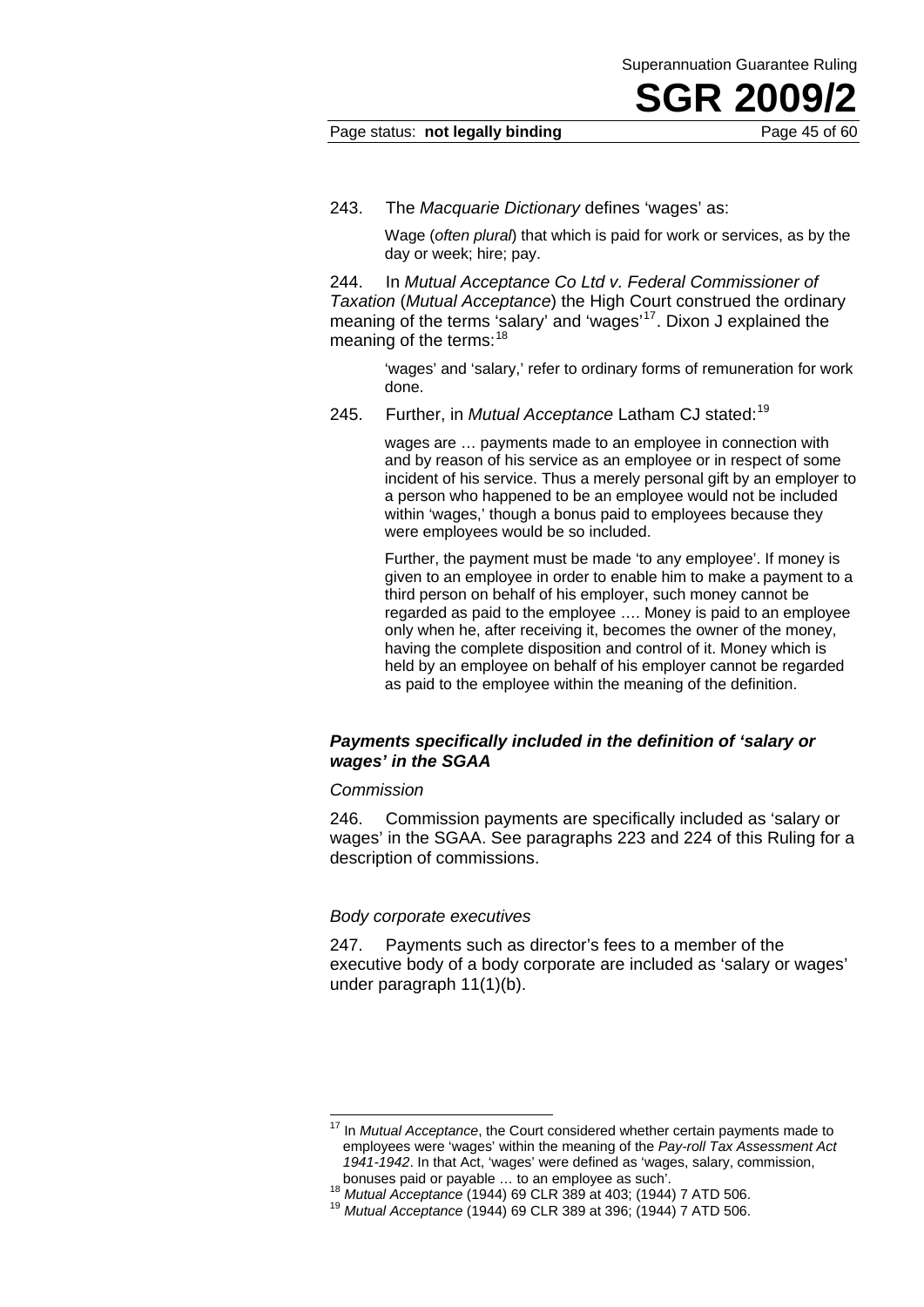#### Page status: **not legally binding** Page 45 of 60

243. The *Macquarie Dictionary* defines 'wages' as:

Wage (*often plural*) that which is paid for work or services, as by the day or week; hire; pay.

244. In *Mutual Acceptance Co Ltd v. Federal Commissioner of Taxation* (*Mutual Acceptance*) the High Court construed the ordinary meaning of the terms 'salary' and 'wages'<sup>17</sup>. Dixon J explained the meaning of the terms:<sup>18</sup>

> 'wages' and 'salary,' refer to ordinary forms of remuneration for work done.

245. Further, in *Mutual Acceptance* Latham CJ stated:<sup>19</sup>

wages are … payments made to an employee in connection with and by reason of his service as an employee or in respect of some incident of his service. Thus a merely personal gift by an employer to a person who happened to be an employee would not be included within 'wages,' though a bonus paid to employees because they were employees would be so included.

Further, the payment must be made 'to any employee'. If money is given to an employee in order to enable him to make a payment to a third person on behalf of his employer, such money cannot be regarded as paid to the employee …. Money is paid to an employee only when he, after receiving it, becomes the owner of the money, having the complete disposition and control of it. Money which is held by an employee on behalf of his employer cannot be regarded as paid to the employee within the meaning of the definition.

#### *Payments specifically included in the definition of 'salary or wages' in the SGAA*

#### *Commission*

 $\overline{a}$ 

246. Commission payments are specifically included as 'salary or wages' in the SGAA. See paragraphs 223 and 224 of this Ruling for a description of commissions.

#### *Body corporate executives*

247. Payments such as director's fees to a member of the executive body of a body corporate are included as 'salary or wages' under paragraph 11(1)(b).

<sup>&</sup>lt;sup>17</sup> In *Mutual Acceptance*, the Court considered whether certain payments made to employees were 'wages' within the meaning of the *Pay-roll Tax Assessment Act*  1941-1942. In that Act, 'wages' were defined as 'wages, salary, commission, bonuses paid or payable ... to an employee as such'.

<sup>&</sup>lt;sup>18</sup> *Mutual Acceptance* (1944) 69 CLR 389 at 403; (1944) 7 ATD 506.<br><sup>19</sup> *Mutual Acceptance* (1944) 69 CLR 389 at 396; (1944) 7 ATD 506.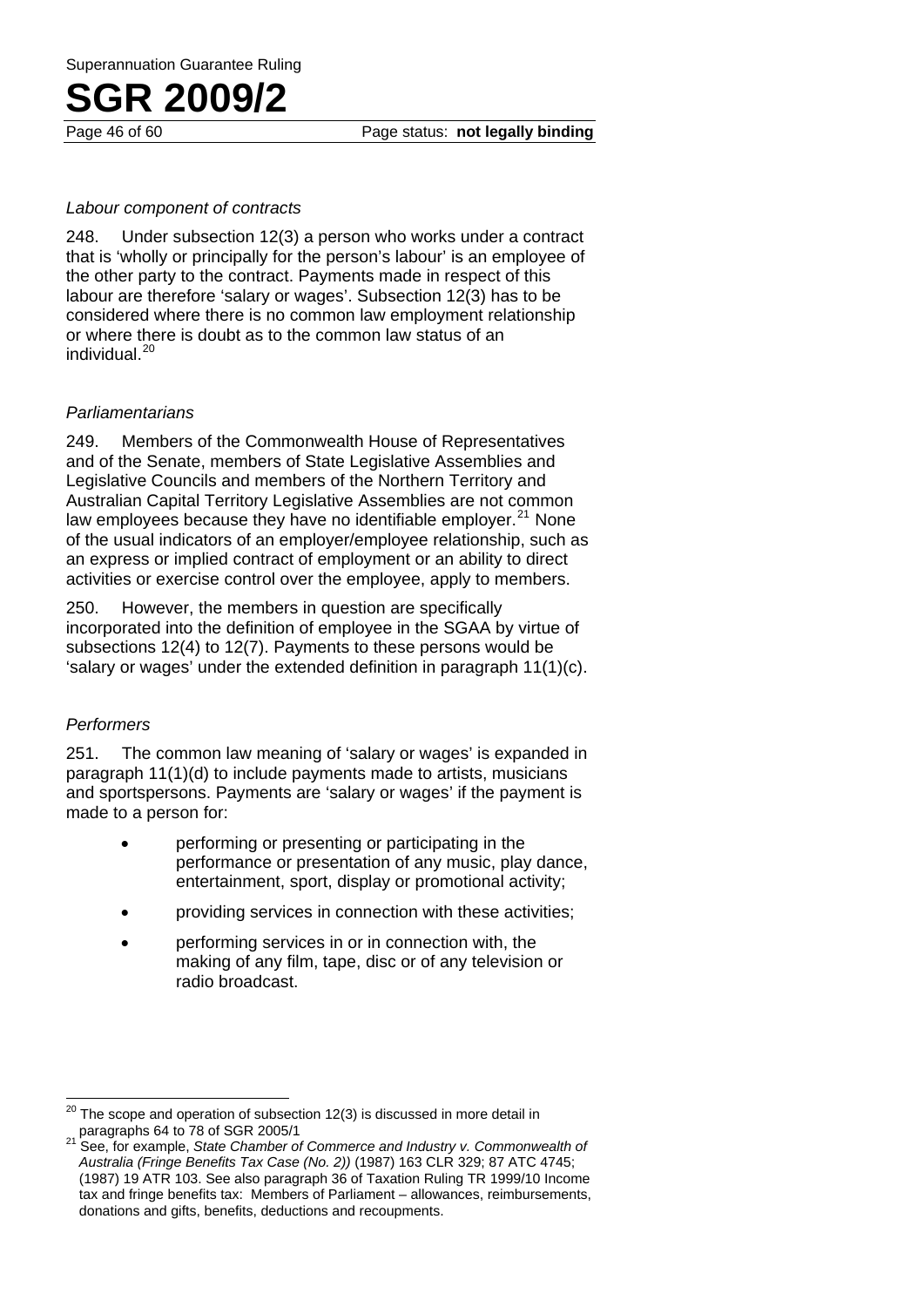Page 46 of 60 Page status: **not legally binding**

#### *Labour component of contracts*

248. Under subsection 12(3) a person who works under a contract that is 'wholly or principally for the person's labour' is an employee of the other party to the contract. Payments made in respect of this labour are therefore 'salary or wages'. Subsection 12(3) has to be considered where there is no common law employment relationship or where there is doubt as to the common law status of an individual.<sup>20</sup>

#### *Parliamentarians*

249. Members of the Commonwealth House of Representatives and of the Senate, members of State Legislative Assemblies and Legislative Councils and members of the Northern Territory and Australian Capital Territory Legislative Assemblies are not common law employees because they have no identifiable employer. $21$  None of the usual indicators of an employer/employee relationship, such as an express or implied contract of employment or an ability to dire ct activities or exercise control over the employee, apply to members.

250. However, the members in question are specifically incorporated into the definition of employee in the SGAA by virtue of subsections 12(4) to 12(7). Payments to these persons would be 'salary or wages' under the extended definition in paragraph 11(1)(c).

#### *Performers*

251. The common law meaning of 'salary or wages' is expanded in paragraph 11(1)(d) to include payments made to artists, musicians and sportspersons. Payments are 'salary or wages' if the payment is made to a person for:

- performing or presenting or participating in the performance or presentation of any music, play dance, entertainment, sport, display or promotional activity;
- providing services in connection with these activities;
- performing services in or in connection with, the making of any film, tape, disc or of any television or radio broadcast.

 $\overline{\phantom{a}}$ The scope and operation of subsection 12(3) is discussed in more detail in paragraphs 64 to 78 of SGR 2005/1

paragraphs 64 to 78 of SGR 2005/1 21 See, for example, *State Chamber of Commerce and Industry v. Commonwealth of Australia (Fringe Benefits Tax Case (No. 2))* (1987) 163 CLR 329; 87 ATC 4745; (1987) 19 ATR 103. See also paragraph 36 of Taxation Ruling TR 1999/10 Income tax and fringe benefits tax: Members of Parliament – allowances, reimbursements, donations and gifts, benefits, deductions and recoupments.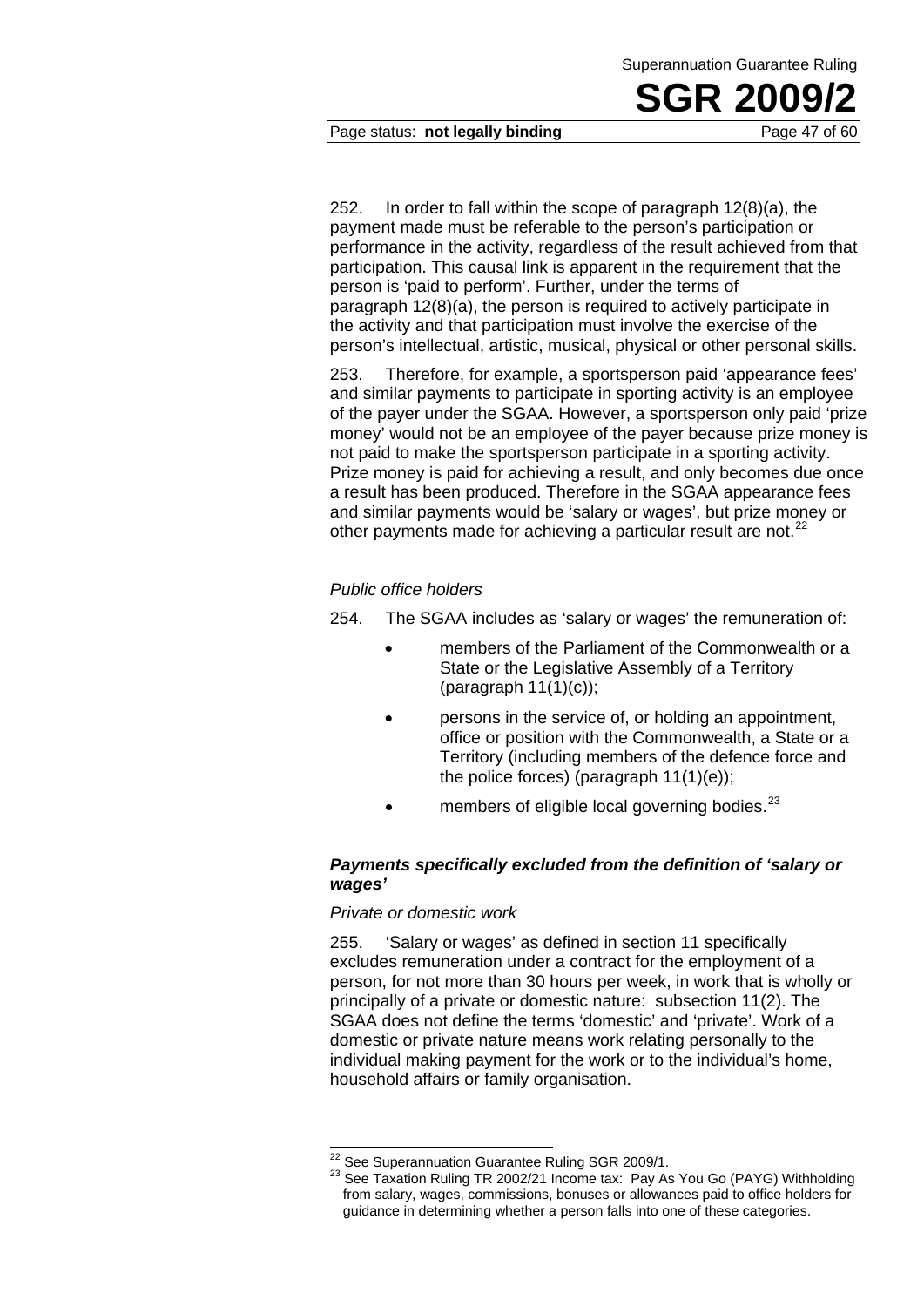Page status: **not legally binding** Page 47 of 60

252. In order to fall within the scope of paragraph 12(8)(a), the payment made must be referable to the person's participation or performance in the activity, regardless of the result achieved from that participation. This causal link is apparent in the requirement that the person is 'paid to perform'. Further, under the terms of paragraph 12(8)(a), the person is required to actively participate in the activity and that participation must involve the exercise of the person's intellectual, artistic, musical, physical or other personal skills.

253. Therefore, for example, a sportsperson paid 'appearance fees' and similar payments to participate in sporting activity is an employee of the payer under the SGAA. However, a sportsperson only paid 'prize money' would not be an employee of the payer because prize money is not paid to make the sportsperson participate in a sporting activity. Prize money is paid for achieving a result, and only becomes due once a result has been produced. Therefore in the SGAA appearance fees and similar payments would be 'salary or wages', but prize money or other payments made for achieving a particular result are not.<sup>22</sup>

#### *Public office holders*

- 254. The SGAA includes as 'salary or wages' the remuneration of:
	- members of the Parliament of the Commonwealth or a State or the Legislative Assembly of a Territory (paragraph 11(1)(c));
	- persons in the service of, or holding an appointment, office or position with the Commonwealth, a State or a Territory (including members of the defence force and the police forces) (paragraph 11(1)(e));
	- members of eligible local governing bodies. $^{23}$

#### *Payments specifically excluded from the definition of 'salary or wages'*

#### *Private or domestic work*

255. 'Salary or wages' as defined in section 11 specifically excludes remuneration under a contract for the employment of a person, for not more than 30 hours per week, in work that is wholly or principally of a private or domestic nature: subsection 11(2). The SGAA does not define the terms 'domestic' and 'private'. Work of a domestic or private nature means work relating personally to the individual making payment for the work or to the individual's home, household affairs or family organisation.

<sup>&</sup>lt;sup>22</sup> See Superannuation Guarantee Ruling SGR 2009/1.

<sup>&</sup>lt;sup>23</sup> See Taxation Ruling TR 2002/21 Income tax: Pay As You Go (PAYG) Withholding from salary, wages, commissions, bonuses or allowances paid to office holders for guidance in determining whether a person falls into one of these categories.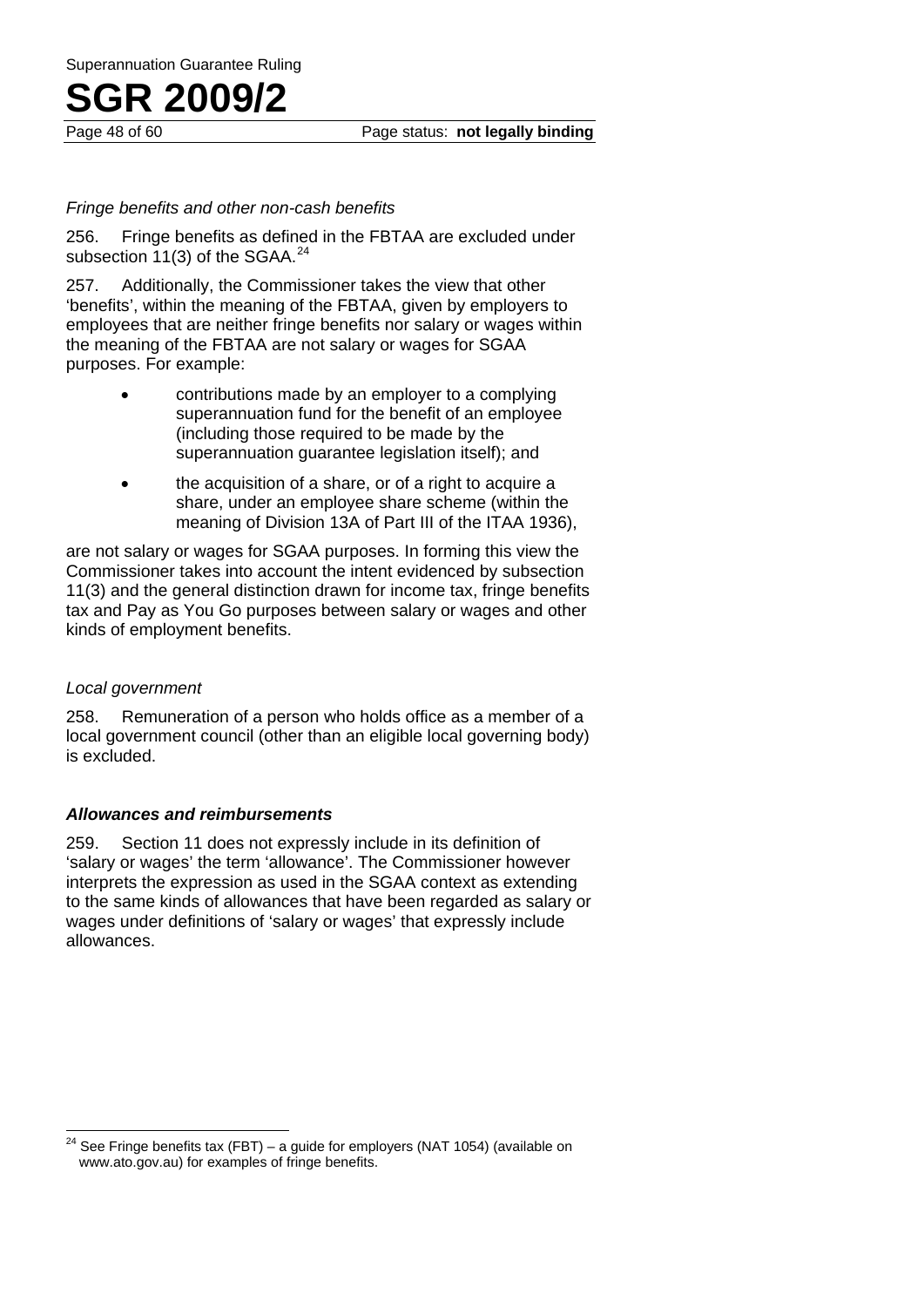Page 48 of 60 Page status: **not legally binding**

#### *Fringe benefits and other non-cash benefits*

256. Fringe benefits as defined in the FBTAA are excluded under subsection 11(3) of the SGAA.<sup>24</sup>

257. Additionally, the Commissioner takes the view that other 'benefits', within the meaning of the FBTAA, given by employers to employees that are neither fringe benefits nor salary or wages within the meaning of the FBTAA are not salary or wages for SGAA purposes. For example:

- contributions made by an employer to a complying superannuation fund for the benefit of an employee (including those required to be made by the superannuation quarantee legislation itself); and
- the acquisition of a share, or of a right to acquire a share, under an employee share scheme (within the meaning of Division 13A of Part III of the ITAA 1936),

are not salary or wages for SGAA purposes. In forming this view the Commissioner takes into account the intent evidenced by subsection 11(3) and the general distinction drawn for income tax, fringe benefits tax and Pay as You Go purposes between salary or wages and other kinds of employment benefits.

#### *Local government*

258. Remuneration of a person who holds office as a member of a local government council (other than an eligible local governing body) is excluded.

#### *Allowances and reimbursements*

259. Section 11 does not expressly include in its definition of 'salary or wages' the term 'allowance'. The Commissioner however interprets the expression as used in the SGAA context as extending to the same kinds of allowances that have been regarded as salary or wages under definitions of 'salary or wages' that expressly include allowances.

 See Fringe benefits tax (FBT) – a quide for employers (NAT 1054) (available on www.ato.gov.au) for examples of fringe benefits.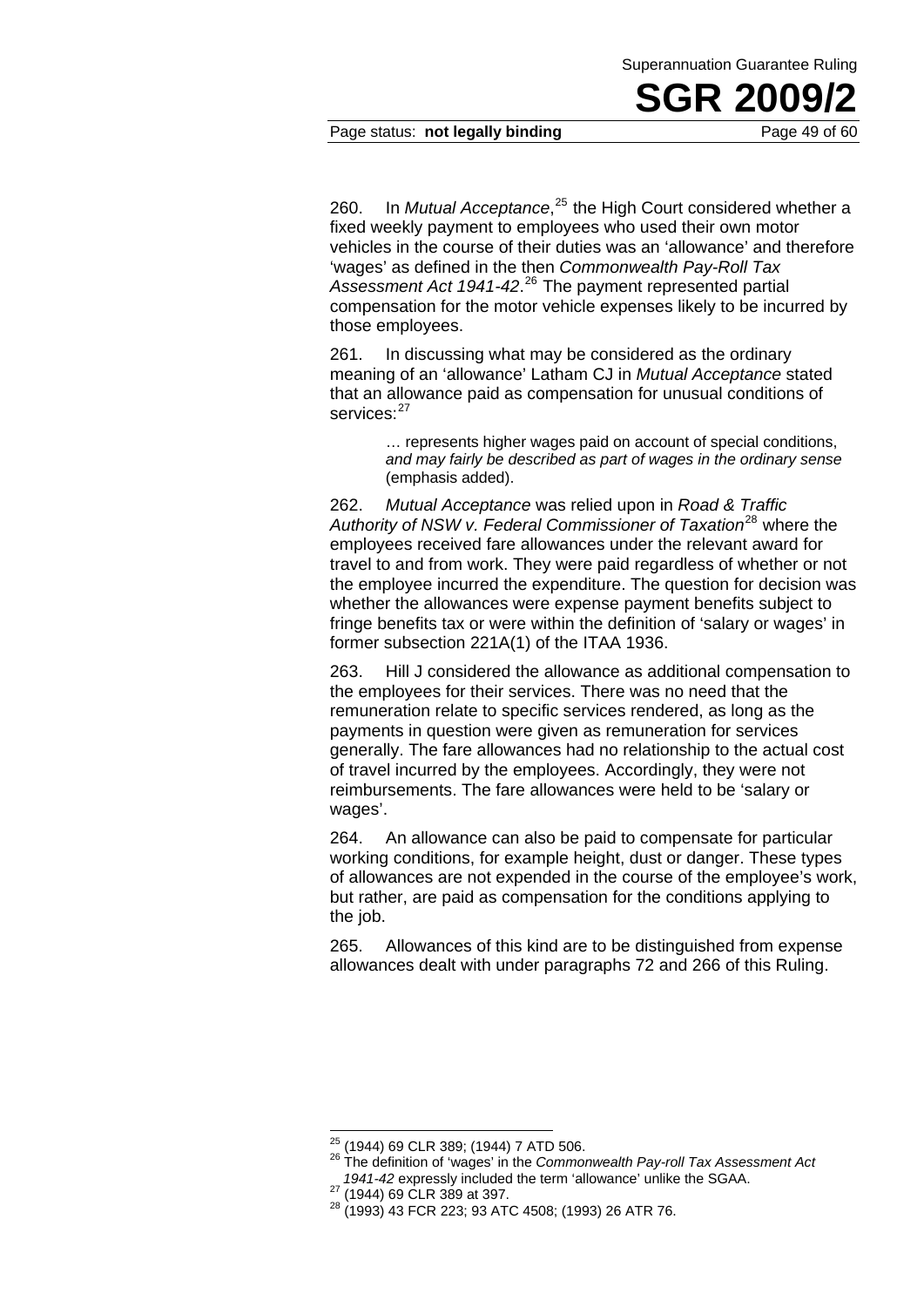#### Page status: **not legally binding** Page 49 of 60

260. In *Mutual Acceptance*,<sup>25</sup> the High Court considered whether a fixed weekly payment to employees who used their own motor vehicles in the course of their duties was an 'allowance' and therefore 'wages' as defined in the then *Commonwealth Pay-Roll Tax Assessment Act 1941-42*. 26 The payment represented partial compensation for the motor vehicle expenses likely to be incurred by those employees.

261. In discussing what may be considered as the ordinary meaning of an 'allowance' Latham CJ in *Mutual Acceptance* stated that an allowance paid as compensation for unusual conditions of services:<sup>27</sup>

> ... represents higher wages paid on account of special conditions. *and may fairly be described as part of wages in the ordinary sense* (emphasis added).

262. *Mutual Acceptance* was relied upon in *Road & Traffic Authority of NSW v. Federal Commissioner of Taxation*28 where the employees received fare allowances under the relevant award for travel to and from work. They were paid regardless of whether or not the employee incurred the expenditure. The question for decision was whether the allowances were expense payment benefits subject to fringe benefits tax or were within the definition of 'salary or wages' in former subsection 221A(1) of the ITAA 1936.

263. Hill J considered the allowance as additional compensation to the employees for their services. There was no need that the remuneration relate to specific services rendered, as long as the payments in question were given as remuneration for services generally. The fare allowances had no relationship to the actual cost of travel incurred by the employees. Accordingly, they were not reimbursements. The fare allowances were held to be 'salary or wages'.

264. An allowance can also be paid to compensate for particular working conditions, for example height, dust or danger. These types of allowances are not expended in the course of the employee's work, but rather, are paid as compensation for the conditions applying to the job.

265. Allowances of this kind are to be distinguished from expense allowances dealt with under paragraphs 72 and 266 of this Ruling.

<sup>&</sup>lt;sup>25</sup> (1944) 69 CLR 389; (1944) 7 ATD 506.

<sup>&</sup>lt;sup>26</sup> The definition of 'wages' in the *Commonwealth Pay-roll Tax Assessment Act* 1941-42 expressly included the term 'allowance' unlike the SGAA.

*<sup>1941-42</sup>* expressly included the term 'allowance' unlike the SGAA. 27 (1944) 69 CLR 389 at 397. 28 (1993) 43 FCR 223; 93 ATC 4508; (1993) 26 ATR 76.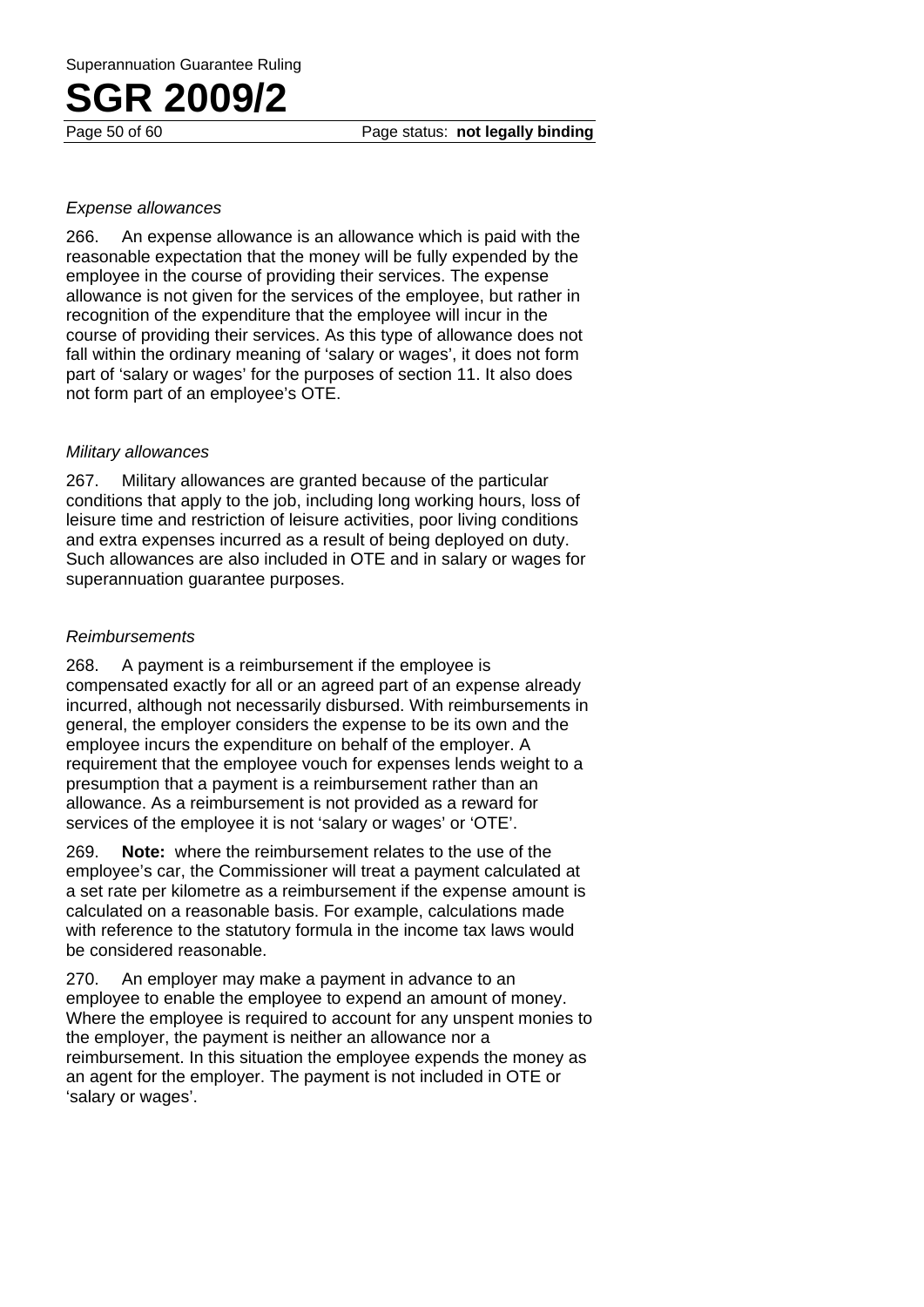#### *Expense allowances*

266. An expense allowance is an allowance which is paid with the reasonable expectation that the money will be fully expended by the employee in the course of providing their services. The expense allowance is not given for the services of the employee, but rather in recognition of the expenditure that the employee will incur in the course of providing their services. As this type of allowance does not fall within the ordinary meaning of 'salary or wages', it does not form part of 'salary or wages' for the purposes of section 11. It also does not form part of an employee's OTE.

#### *Military allowances*

267. Military allowances are granted because of the particular conditions that apply to the job, including long working hours, loss of leisure time and restriction of leisure activities, poor living conditions and extra expenses incurred as a result of being deployed on duty. Such allowances are also included in OTE and in salary or wages for superannuation guarantee purposes.

#### *Reimbursements*

268. A payment is a reimbursement if the employee is compensated exactly for all or an agreed part of an expense already incurred, although not necessarily disbursed. With reimbursements in general, the employer considers the expense to be its own and the employee incurs the expenditure on behalf of the employer. A requirement that the employee vouch for expenses lends weight to a presumption that a payment is a reimbursement rather than an allowance. As a reimbursement is not provided as a reward for services of the employee it is not 'salary or wages' or 'OTE'.

269. **Note:** where the reimbursement relates to the use of the employee's car, the Commissioner will treat a payment calculated at a set rate per kilometre as a reimbursement if the expense amount is calculated on a reasonable basis. For example, calculations made with reference to the statutory formula in the income tax laws would be considered reasonable.

270. An employer may make a payment in advance to an employee to enable the employee to expend an amount of money. Where the employee is required to account for any unspent monies to the employer, the payment is neither an allowance nor a reimbursement. In this situation the employee expends the money as an agent for the employer. The payment is not included in OTE or 'salary or wages'.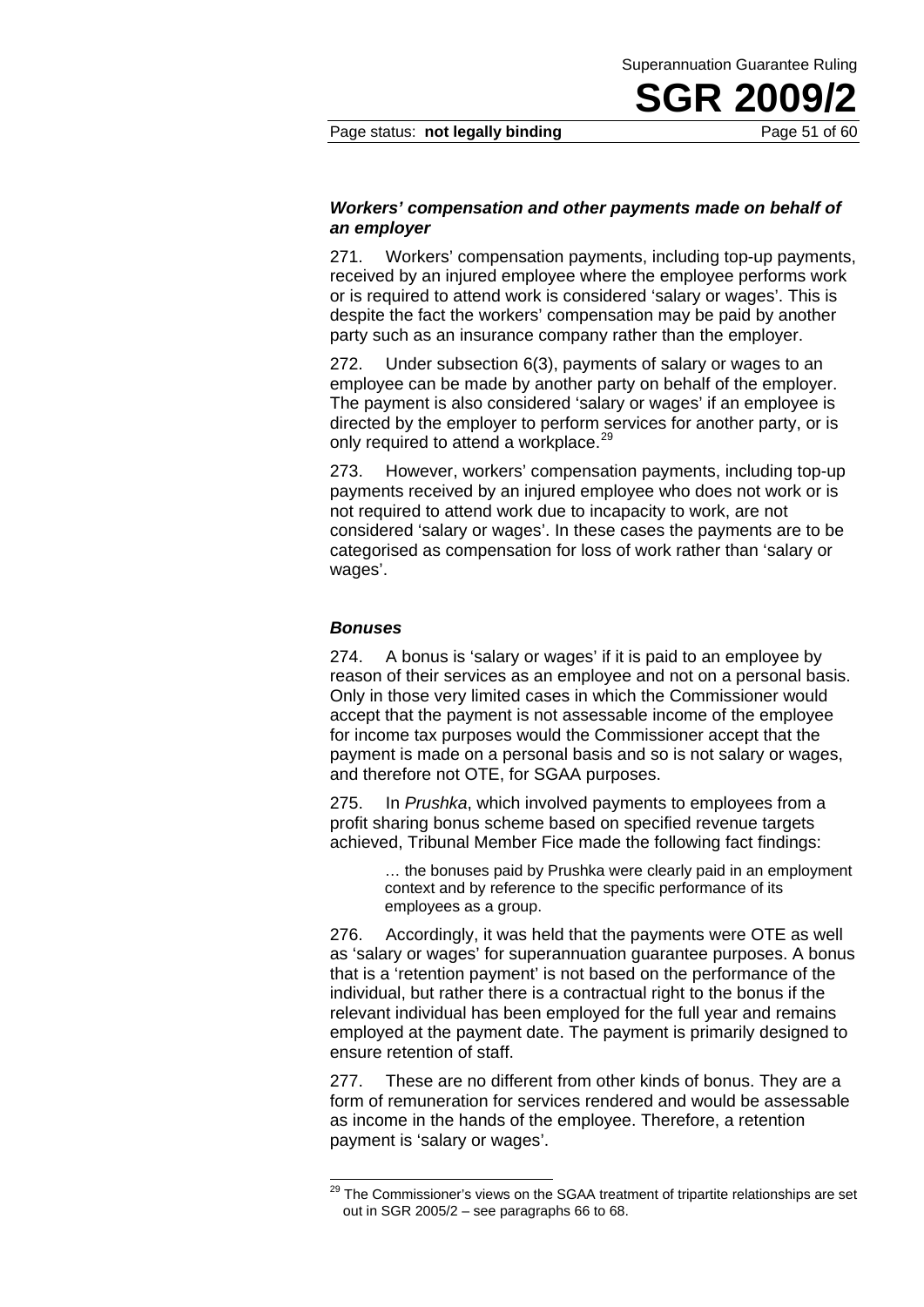#### Page status: **not legally binding** Page 51 of 60

#### *Workers' compensation and other payments made on behalf of an employer*

271. Workers' compensation payments, including top-up payments, received by an injured employee where the employee performs work or is required to attend work is considered 'salary or wages'. This is despite the fact the workers' compensation may be paid by another party such as an insurance company rather than the employer.

272. Under subsection 6(3), payments of salary or wages to an employee can be made by another party on behalf of the employer. The payment is also considered 'salary or wages' if an employee is directed by the employer to perform services for another party, or is only required to attend a workplace.<sup>29</sup>

273. However, workers' compensation payments, including top-up payments received by an injured employee who does not work or is not required to attend work due to incapacity to work, are not considered 'salary or wages'. In these cases the payments are to be categorised as compensation for loss of work rather than 'salary or wages'.

#### *Bonuses*

-

274. A bonus is 'salary or wages' if it is paid to an employee by reason of their services as an employee and not on a personal basis. Only in those very limited cases in which the Commissioner would accept that the payment is not assessable income of the employee for income tax purposes would the Commissioner accept that the payment is made on a personal basis and so is not salary or wages, and therefore not OTE, for SGAA purposes.

275. In *Prushka*, which involved payments to employees from a profit sharing bonus scheme based on specified revenue targets achieved, Tribunal Member Fice made the following fact findings:

> … the bonuses paid by Prushka were clearly paid in an employment context and by reference to the specific performance of its employees as a group.

276. Accordingly, it was held that the payments were OTE as well as 'salary or wages' for superannuation guarantee purposes. A bonus that is a 'retention payment' is not based on the performance of the individual, but rather there is a contractual right to the bonus if the relevant individual has been employed for the full year and remains employed at the payment date. The payment is primarily designed to ensure retention of staff.

277. These are no different from other kinds of bonus. They are a form of remuneration for services rendered and would be assessable as income in the hands of the employee. Therefore, a retention payment is 'salary or wages'.

 $^{29}$  The Commissioner's views on the SGAA treatment of tripartite relationships are set out in SGR 2005/2 – see paragraphs 66 to 68.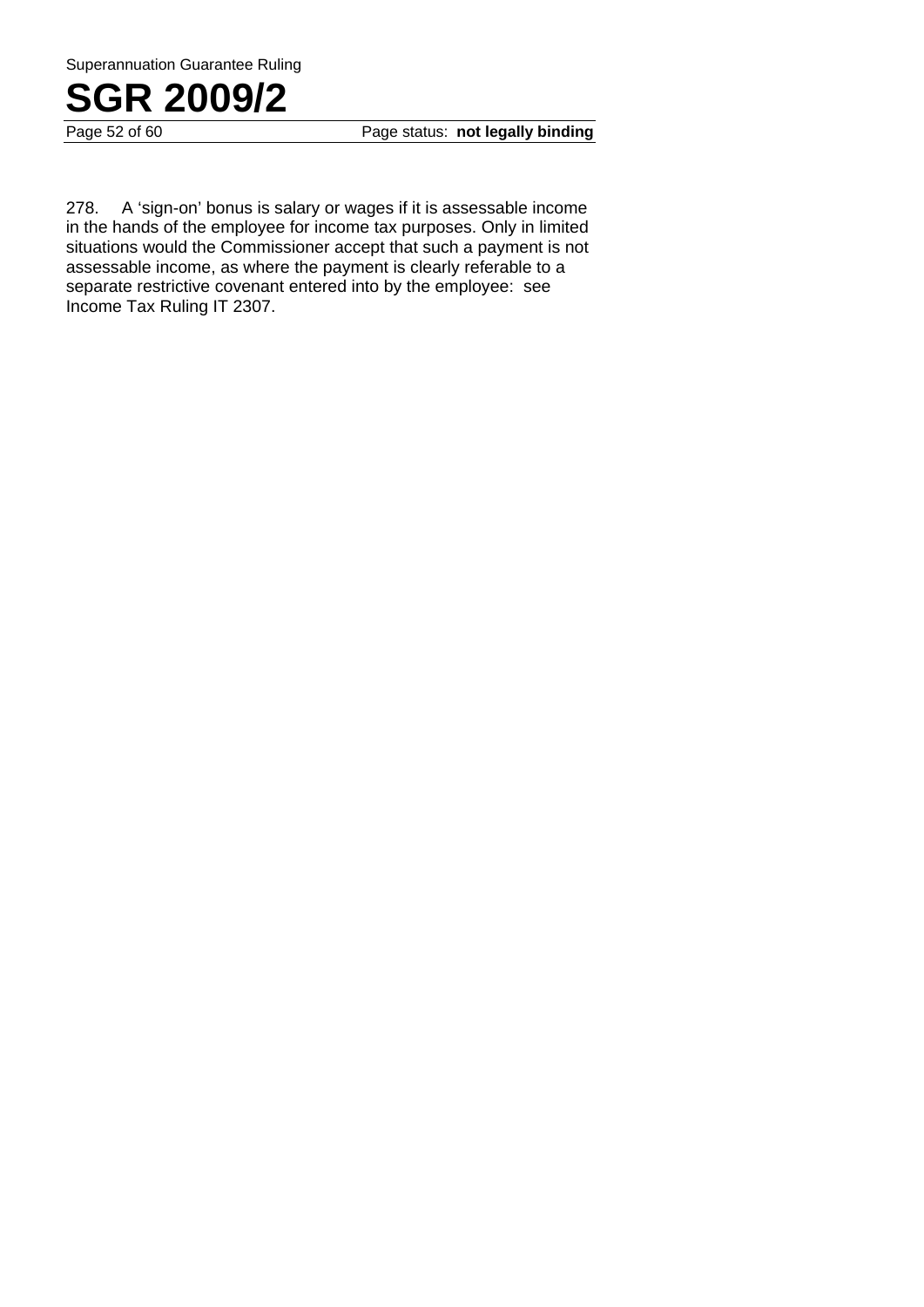Superannuation Guarantee Ruling



Page 52 of 60 **Page status: not legally binding** 

278. A 'sign-on' bonus is salary or wages if it is assessable income in the hands of the employee for income tax purposes. Only in limited situations would the Commissioner accept that such a payment is not assessable income, as where the payment is clearly referable to a separate restrictive covenant entered into by the employee: see Income Tax Ruling IT 2307.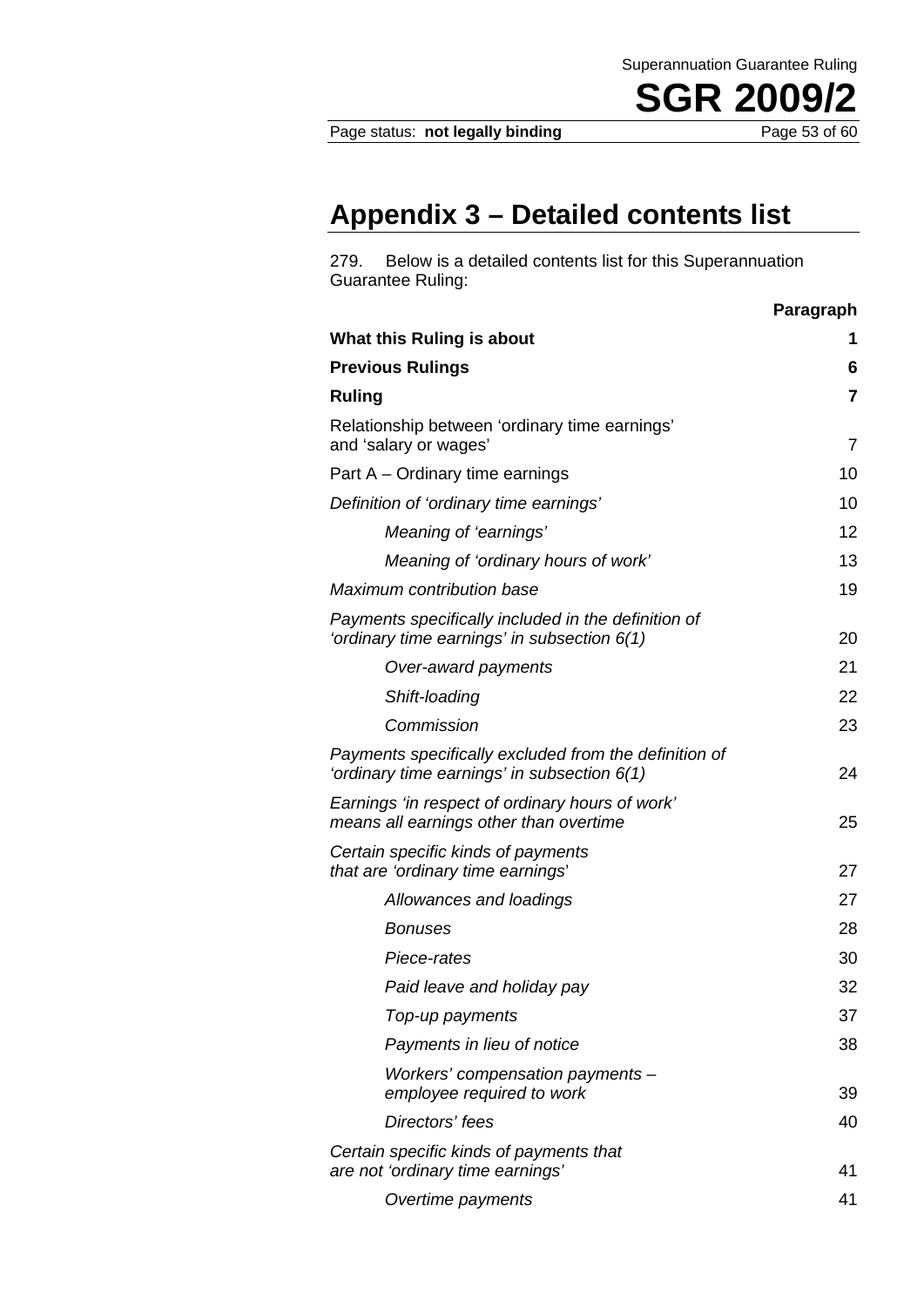Page status: **not legally binding** Page 53 of 60

**SGR 2009** 

Superannuation Guarantee Ruling

### **Appendix 3 – Detailed contents list**

279. Below is a detailed contents list for this Superannuation Guarantee Ruling:

|                                                                                                        | Paragraph               |
|--------------------------------------------------------------------------------------------------------|-------------------------|
| What this Ruling is about                                                                              | 1                       |
| <b>Previous Rulings</b>                                                                                | 6                       |
| <b>Ruling</b>                                                                                          | $\overline{\mathbf{r}}$ |
| Relationship between 'ordinary time earnings'<br>and 'salary or wages'                                 | 7                       |
| Part A – Ordinary time earnings                                                                        | 10                      |
| Definition of 'ordinary time earnings'                                                                 | 10                      |
| Meaning of 'earnings'                                                                                  | 12                      |
| Meaning of 'ordinary hours of work'                                                                    | 13                      |
| Maximum contribution base                                                                              | 19                      |
| Payments specifically included in the definition of<br>'ordinary time earnings' in subsection $6(1)$   | 20                      |
| Over-award payments                                                                                    | 21                      |
| Shift-loading                                                                                          | 22                      |
| Commission                                                                                             | 23                      |
| Payments specifically excluded from the definition of<br>'ordinary time earnings' in subsection $6(1)$ | 24                      |
| Earnings 'in respect of ordinary hours of work'<br>means all earnings other than overtime              | 25                      |
| Certain specific kinds of payments<br>that are 'ordinary time earnings'                                | 27                      |
| Allowances and loadings                                                                                | 27                      |
| Bonuses                                                                                                | 28                      |
| Piece-rates                                                                                            | 30                      |
| Paid leave and holiday pay                                                                             | 32                      |
| Top-up payments                                                                                        | 37                      |
| Payments in lieu of notice                                                                             | 38                      |
| Workers' compensation payments -<br>employee required to work                                          | 39                      |
| Directors' fees                                                                                        | 40                      |
| Certain specific kinds of payments that<br>are not 'ordinary time earnings'                            | 41                      |
| Overtime payments                                                                                      | 41                      |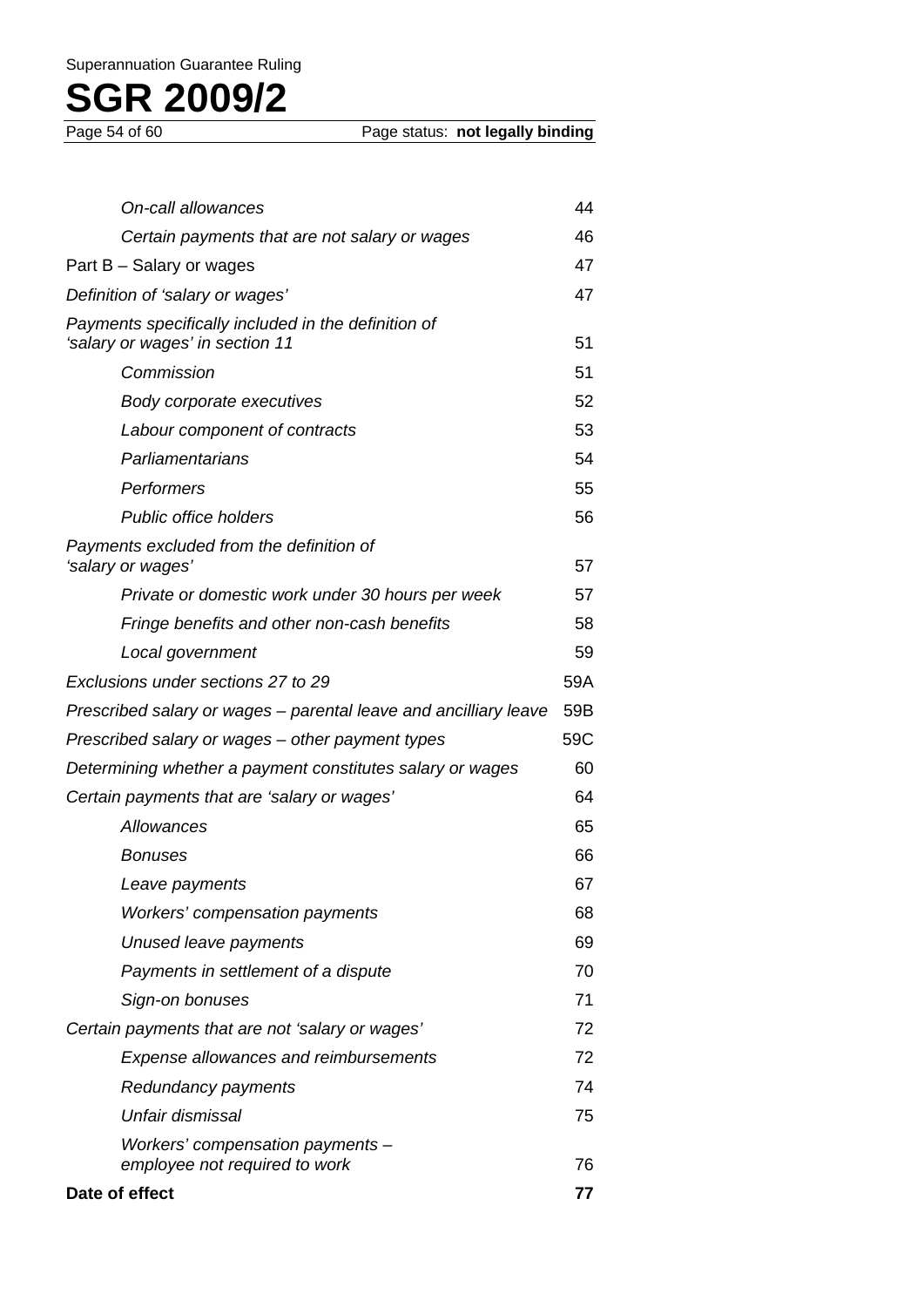| On-call allowances                                                                     | 44  |
|----------------------------------------------------------------------------------------|-----|
| Certain payments that are not salary or wages                                          | 46  |
| Part B – Salary or wages                                                               | 47  |
| Definition of 'salary or wages'                                                        | 47  |
| Payments specifically included in the definition of<br>'salary or wages' in section 11 | 51  |
| Commission                                                                             | 51  |
| Body corporate executives                                                              | 52  |
| Labour component of contracts                                                          | 53  |
| Parliamentarians                                                                       | 54  |
| Performers                                                                             | 55  |
| <b>Public office holders</b>                                                           | 56  |
| Payments excluded from the definition of<br>'salary or wages'                          | 57  |
| Private or domestic work under 30 hours per week                                       | 57  |
| Fringe benefits and other non-cash benefits                                            | 58  |
| Local government                                                                       | 59  |
| Exclusions under sections 27 to 29                                                     | 59A |
| Prescribed salary or wages – parental leave and ancilliary leave                       | 59B |
| Prescribed salary or wages – other payment types                                       | 59C |
| Determining whether a payment constitutes salary or wages                              | 60  |
| Certain payments that are 'salary or wages'                                            | 64  |
| Allowances                                                                             | 65  |
| Bonuses                                                                                | 66  |
| Leave payments                                                                         | 67  |
| Workers' compensation payments                                                         | 68  |
| Unused leave payments                                                                  | 69  |
| Payments in settlement of a dispute                                                    | 70  |
| Sign-on bonuses                                                                        | 71  |
| Certain payments that are not 'salary or wages'                                        | 72  |
| Expense allowances and reimbursements                                                  | 72  |
| Redundancy payments                                                                    | 74  |
| Unfair dismissal                                                                       | 75  |
| Workers' compensation payments -<br>employee not required to work                      | 76  |
| Date of effect                                                                         | 77  |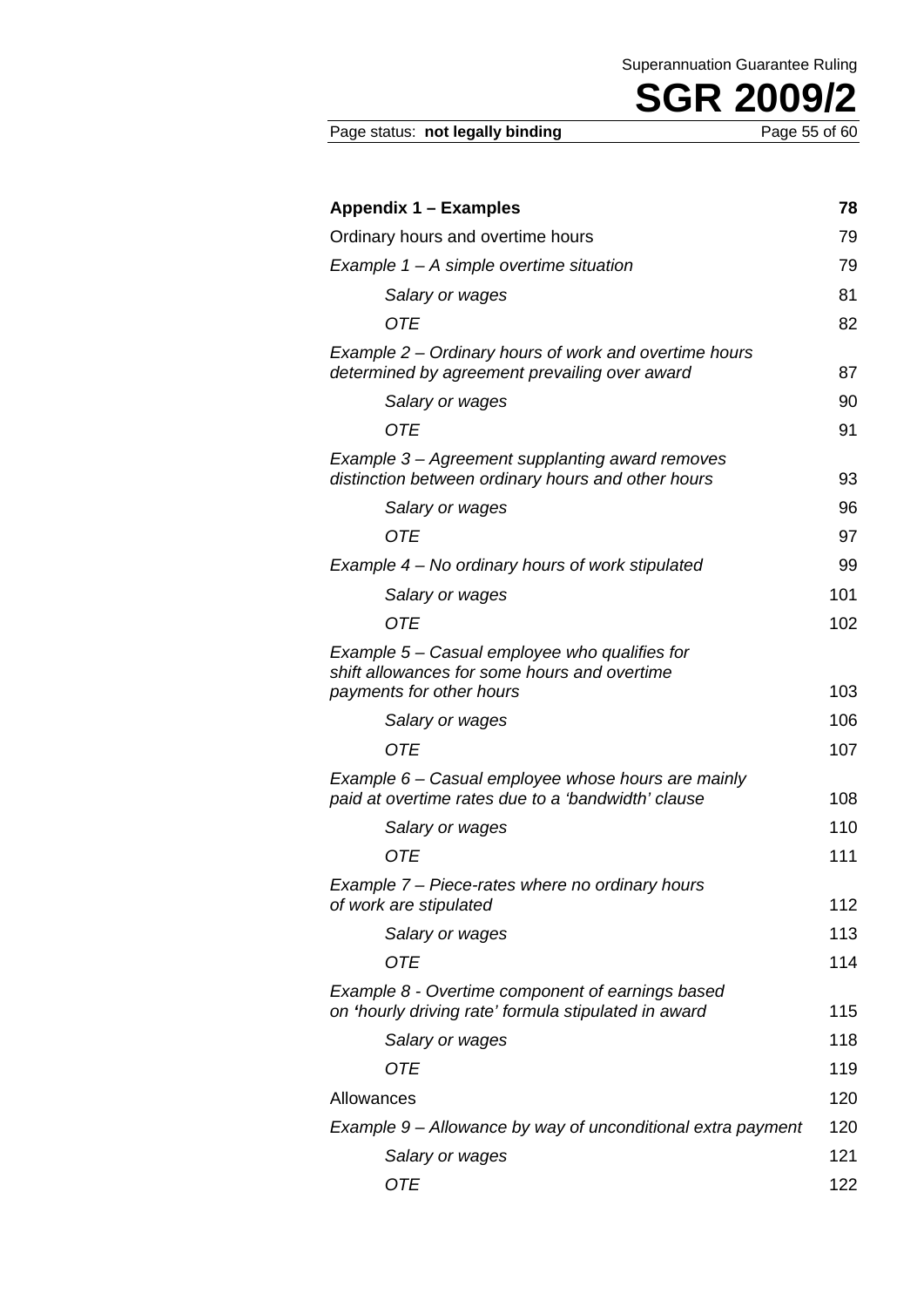| Appendix 1 – Examples                                                                                    | 78  |
|----------------------------------------------------------------------------------------------------------|-----|
| Ordinary hours and overtime hours                                                                        | 79  |
| Example $1 - A$ simple overtime situation                                                                | 79  |
| Salary or wages                                                                                          | 81  |
| <b>OTE</b>                                                                                               | 82  |
| Example 2 – Ordinary hours of work and overtime hours<br>determined by agreement prevailing over award   | 87  |
| Salary or wages                                                                                          | 90  |
| 0TE                                                                                                      | 91  |
| Example 3 – Agreement supplanting award removes<br>distinction between ordinary hours and other hours    | 93  |
| Salary or wages                                                                                          | 96  |
| <b>OTE</b>                                                                                               | 97  |
| Example 4 – No ordinary hours of work stipulated                                                         | 99  |
| Salary or wages                                                                                          | 101 |
| <b>OTE</b>                                                                                               | 102 |
| Example 5 – Casual employee who qualifies for<br>shift allowances for some hours and overtime            |     |
| payments for other hours                                                                                 | 103 |
| Salary or wages                                                                                          | 106 |
| <b>OTE</b>                                                                                               | 107 |
| Example 6 – Casual employee whose hours are mainly<br>paid at overtime rates due to a 'bandwidth' clause | 108 |
| Salary or wages                                                                                          | 110 |
| <b>OTE</b>                                                                                               | 111 |
| Example 7 – Piece-rates where no ordinary hours<br>of work are stipulated                                | 112 |
| Salary or wages                                                                                          | 113 |
| <b>OTE</b>                                                                                               | 114 |
| Example 8 - Overtime component of earnings based<br>on 'hourly driving rate' formula stipulated in award | 115 |
| Salary or wages                                                                                          | 118 |
| <b>OTE</b>                                                                                               | 119 |
| Allowances                                                                                               | 120 |
| Example 9 – Allowance by way of unconditional extra payment                                              | 120 |
| Salary or wages                                                                                          | 121 |
| <b>OTE</b>                                                                                               | 122 |

Page status: not legally binding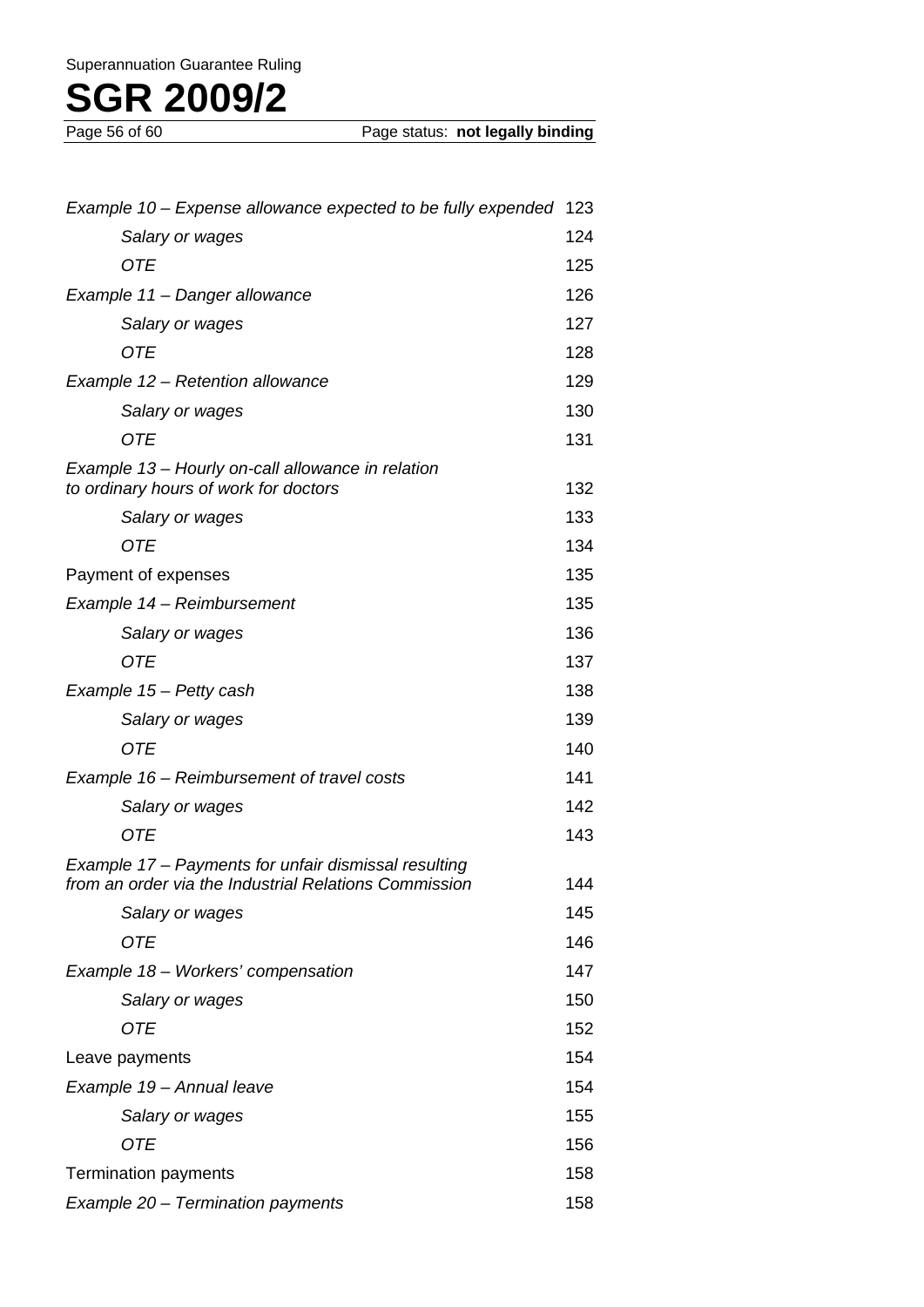| Example 10 – Expense allowance expected to be fully expended                                                  | 123 |
|---------------------------------------------------------------------------------------------------------------|-----|
| Salary or wages                                                                                               | 124 |
| OTE                                                                                                           | 125 |
| Example 11 - Danger allowance                                                                                 | 126 |
| Salary or wages                                                                                               | 127 |
| OTE                                                                                                           | 128 |
| Example 12 – Retention allowance                                                                              | 129 |
| Salary or wages                                                                                               | 130 |
| <b>OTE</b>                                                                                                    | 131 |
| Example 13 - Hourly on-call allowance in relation<br>to ordinary hours of work for doctors                    | 132 |
| Salary or wages                                                                                               | 133 |
| <b>OTE</b>                                                                                                    | 134 |
| Payment of expenses                                                                                           | 135 |
| Example 14 - Reimbursement                                                                                    | 135 |
| Salary or wages                                                                                               | 136 |
| <b>OTE</b>                                                                                                    | 137 |
| Example 15 - Petty cash                                                                                       | 138 |
| Salary or wages                                                                                               | 139 |
| <b>OTE</b>                                                                                                    | 140 |
| Example 16 – Reimbursement of travel costs                                                                    | 141 |
| Salary or wages                                                                                               | 142 |
| <b>OTE</b>                                                                                                    | 143 |
| Example 17 – Payments for unfair dismissal resulting<br>from an order via the Industrial Relations Commission | 144 |
| Salary or wages                                                                                               | 145 |
| OTE                                                                                                           | 146 |
| Example 18 - Workers' compensation                                                                            | 147 |
| Salary or wages                                                                                               | 150 |
| OTE                                                                                                           | 152 |
| Leave payments                                                                                                | 154 |
| Example 19 - Annual leave                                                                                     | 154 |
| Salary or wages                                                                                               | 155 |
| OTE                                                                                                           | 156 |
| <b>Termination payments</b>                                                                                   | 158 |
| Example 20 - Termination payments                                                                             | 158 |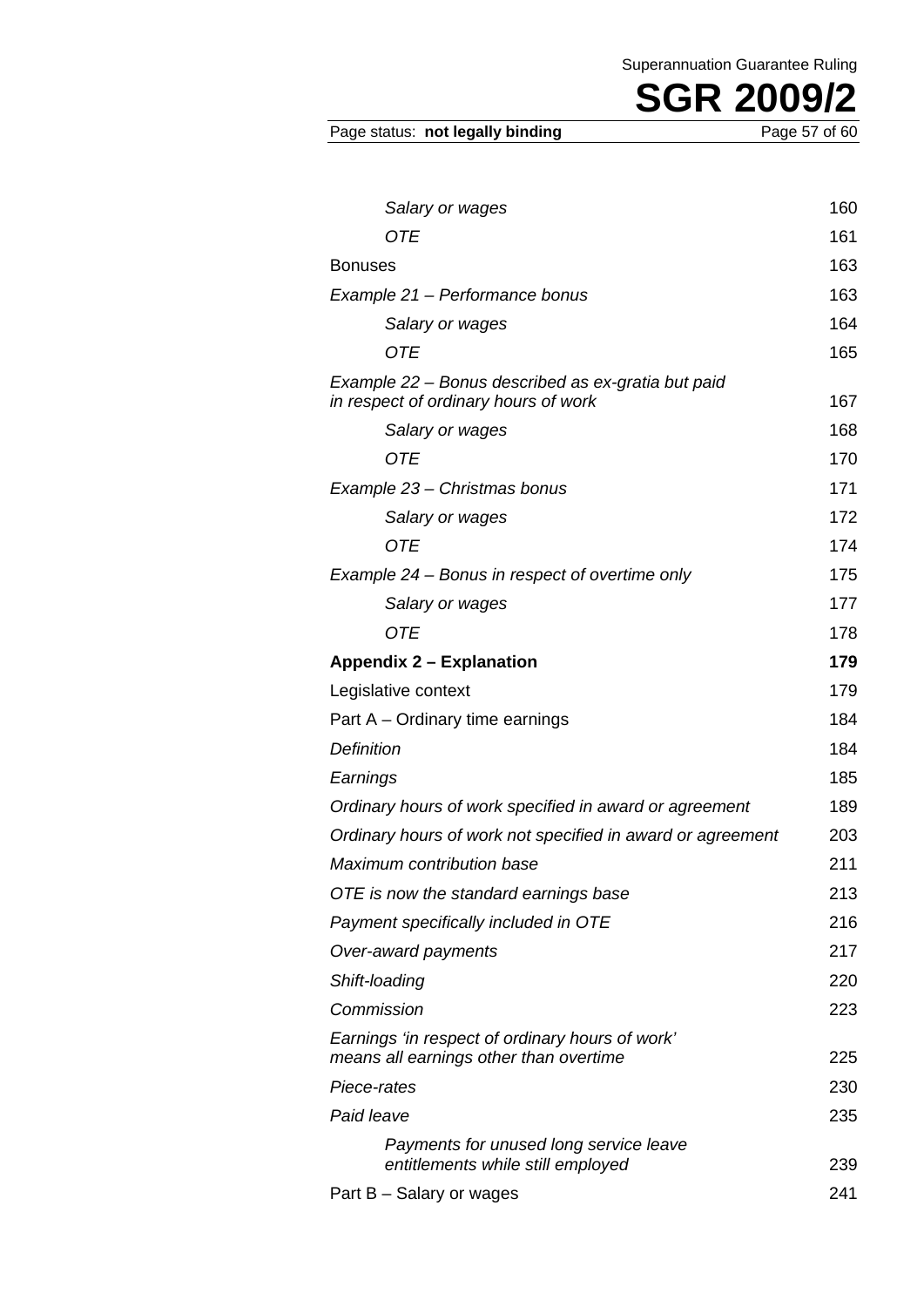Page status: not legally binding

| Salary or wages                                                                            | 160 |
|--------------------------------------------------------------------------------------------|-----|
| OTE                                                                                        | 161 |
| <b>Bonuses</b>                                                                             | 163 |
| Example 21 – Performance bonus                                                             | 163 |
| Salary or wages                                                                            | 164 |
| OTE                                                                                        | 165 |
| Example 22 - Bonus described as ex-gratia but paid<br>in respect of ordinary hours of work | 167 |
| Salary or wages                                                                            | 168 |
| OTE                                                                                        | 170 |
| Example 23 – Christmas bonus                                                               | 171 |
| Salary or wages                                                                            | 172 |
| OTE                                                                                        | 174 |
| Example 24 – Bonus in respect of overtime only                                             | 175 |
| Salary or wages                                                                            | 177 |
| <b>OTE</b>                                                                                 | 178 |
| <b>Appendix 2 – Explanation</b>                                                            | 179 |
| Legislative context                                                                        | 179 |
| Part A – Ordinary time earnings                                                            | 184 |
| <b>Definition</b>                                                                          | 184 |
| Earnings                                                                                   | 185 |
| Ordinary hours of work specified in award or agreement                                     | 189 |
| Ordinary hours of work not specified in award or agreement                                 | 203 |
| Maximum contribution base                                                                  | 211 |
| OTE is now the standard earnings base                                                      | 213 |
| Payment specifically included in OTE                                                       | 216 |
| Over-award payments                                                                        | 217 |
| Shift-loading                                                                              | 220 |
| Commission                                                                                 | 223 |
| Earnings 'in respect of ordinary hours of work'<br>means all earnings other than overtime  | 225 |
| Piece-rates                                                                                | 230 |
| Paid leave                                                                                 | 235 |
| Payments for unused long service leave<br>entitlements while still employed                | 239 |
| Part B – Salary or wages                                                                   | 241 |
|                                                                                            |     |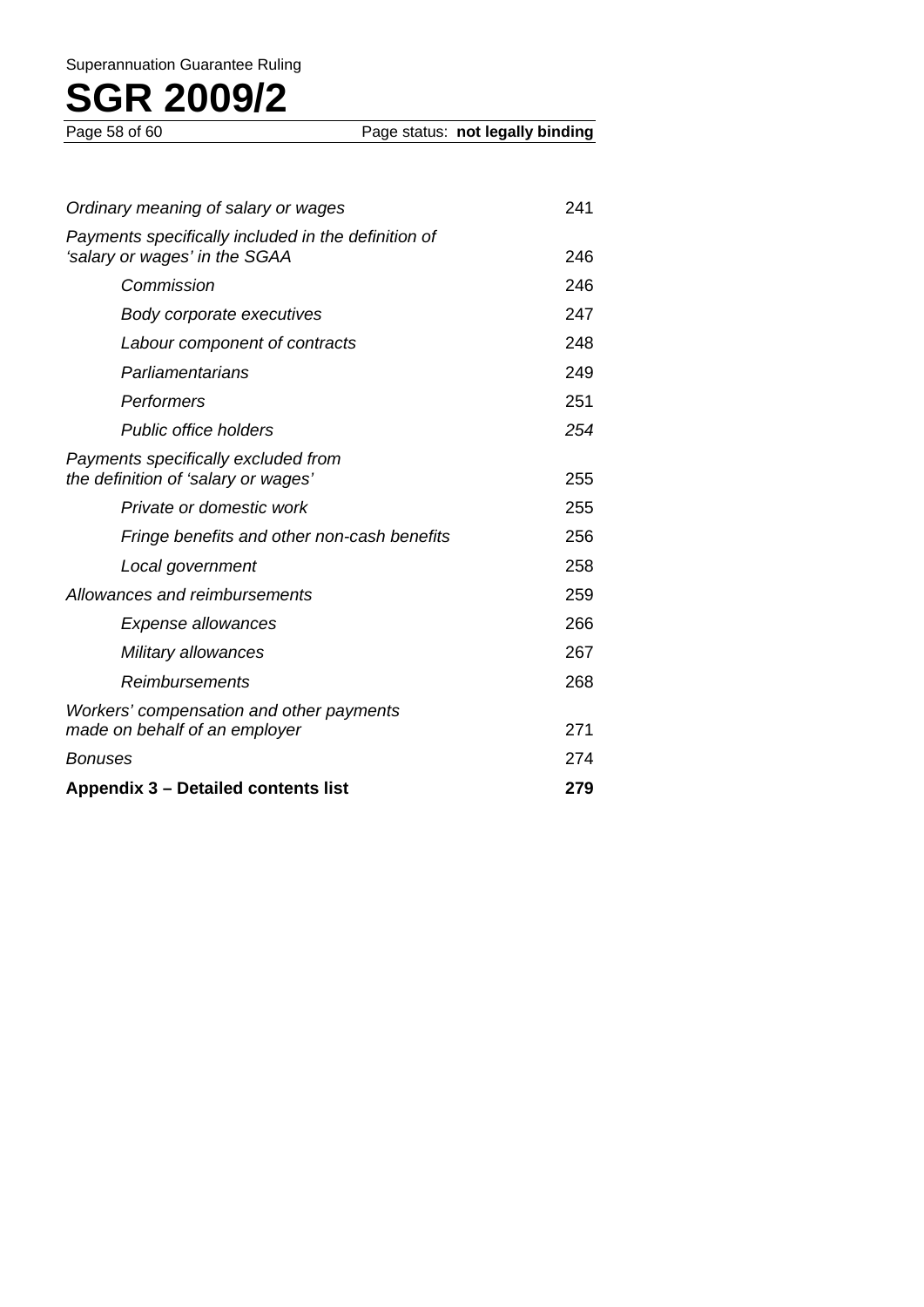| Ordinary meaning of salary or wages                                                  | 241 |
|--------------------------------------------------------------------------------------|-----|
| Payments specifically included in the definition of<br>'salary or wages' in the SGAA | 246 |
| Commission                                                                           | 246 |
| Body corporate executives                                                            | 247 |
| Labour component of contracts                                                        | 248 |
| Parliamentarians                                                                     | 249 |
| Performers                                                                           | 251 |
| <b>Public office holders</b>                                                         | 254 |
| Payments specifically excluded from<br>the definition of 'salary or wages'           | 255 |
| Private or domestic work                                                             | 255 |
| Fringe benefits and other non-cash benefits                                          | 256 |
| Local government                                                                     | 258 |
| Allowances and reimbursements                                                        | 259 |
| <b>Expense allowances</b>                                                            | 266 |
| Military allowances                                                                  | 267 |
| <b>Reimbursements</b>                                                                | 268 |
| Workers' compensation and other payments<br>made on behalf of an employer            | 271 |
| <b>Bonuses</b>                                                                       | 274 |
| Appendix 3 - Detailed contents list                                                  | 279 |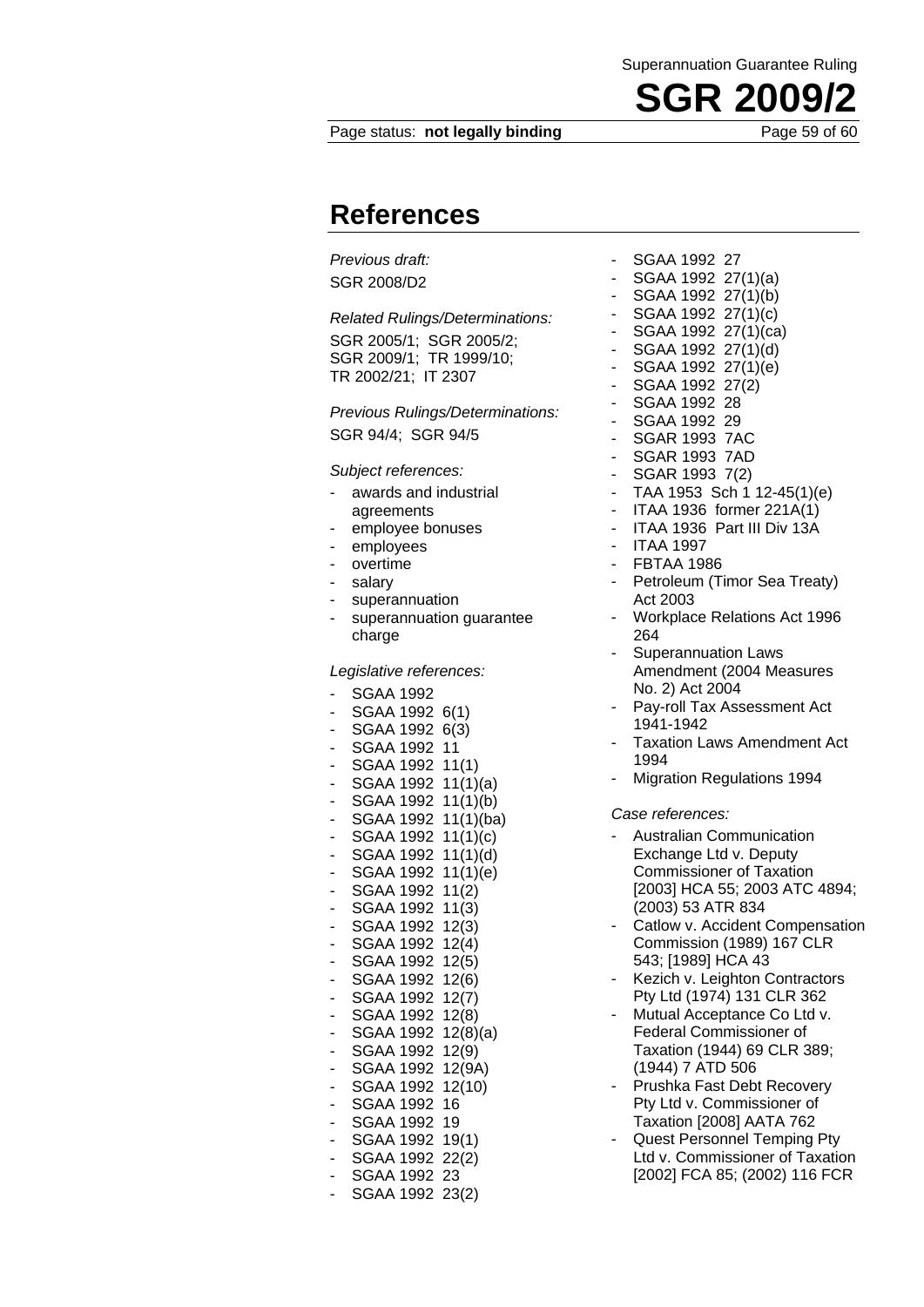#### Page status: **not legally binding** Page 59 of 60

**References** 

*Previous draft:*  SGR 2008/D2

*Related Rulings/Determinations:* 

SGR 2005/1; SGR 2005/2; SGR 2009/1; TR 1999/10; TR 2002/21; IT 2307

*Previous Rulings/Determinations:*  SGR 94/4; SGR 94/5

*Subject references:* 

- awards and industrial agreements
- employee bonuses
- employees
- overtime
- salary
- superannuation
- superannuation guarantee charge

#### *Legislative references:*

- SGAA 1992
- SGAA 1992 6(1)
- SGAA 1992 6(3)
- SGAA 1992 11
- SGAA 1992 11(1)
- SGAA 1992 11(1)(a) SGAA 1992 11(1)(b) - SGAA 1992 11(1)(ba)
- SGAA 1992 11(1)(c) SGAA 1992 11(1)(d) SGAA 1992 11(1)(e)  $-$  SGAA 1992 11(2) - SGAA 1992 11(3) - SGAA 1992 12(3) - SGAA 1992 12(4) - SGAA 1992 12(5) - SGAA 1992 12(6)
- SGAA 1992 12(7) SGAA 1992 12(8) - SGAA 1992 12(8)(a) SGAA 1992 12(9) SGAA 1992 12(9A)
- SGAA 1992 12(10)
- SGAA 1992 16
- SGAA 1992 19 SGAA 1992 19(1)
- SGAA 1992 22(2)
- SGAA 1992 23
- SGAA 1992 23(2)
- SGAA 1992 27
- SGAA 1992 27(1)(a)
- SGAA 1992 27(1)(b)
- SGAA 1992 27(1)(c)
- SGAA 1992 27(1)(ca)
- SGAA 1992 27(1)(d)
- SGAA 1992  $27(1)(e)$ - SGAA 1992  $27(2)$
- SGAA 1992 28
- SGAA 1992 29
- SGAR 1993 7AC
- SGAR 1993 7AD
- SGAR 1993 7(2)
- TAA 1953 Sch 1 12-45(1)(e)
- ITAA 1936 former 221A(1)
- ITAA 1936 Part III Div 13A
- ITAA 1997
- **FBTAA 1986**
- Petroleum (Timor Sea Treaty) Act 2003
- Workplace Relations Act 1996 264
- Superannuation Laws Amendment (2004 Measures No. 2) Act 2004
- Pay-roll Tax Assessment Act 1941-1942
- Taxation Laws Amendment Act 1994
- Migration Regulations 1994

#### *Case references:*

- Australian Communication Exchange Ltd v. Deputy Commissioner of Taxation [2003] HCA 55; 2003 ATC 4894; (2003) 53 ATR 834
- Catlow v. Accident Compensation Commission (1989) 167 CLR 543; [1989] HCA 43
- Kezich v. Leighton Contractors Pty Ltd (1974) 131 CLR 362
- Mutual Acceptance Co Ltd v. Federal Commissioner of Taxation (1944) 69 CLR 389; (1944) 7 ATD 506
- Prushka Fast Debt Recovery Pty Ltd v. Commissioner of Taxation [2008] AATA 762
- Quest Personnel Temping Pty Ltd v. Commissioner of Taxation [2002] FCA 85; (2002) 116 FCR

**SGR 2009**